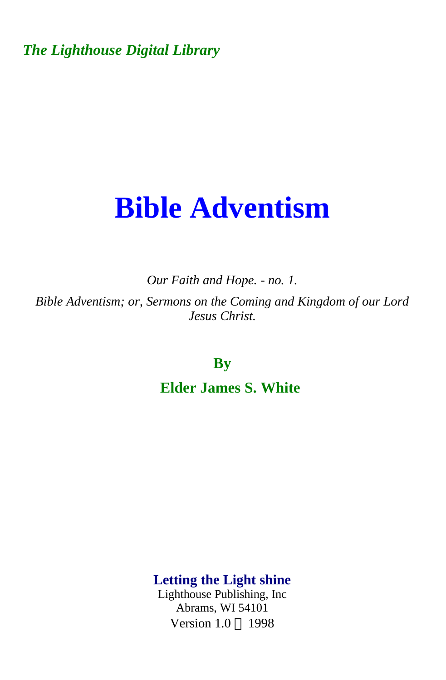*The Lighthouse Digital Library* 

# **Bible Adventism**

*Our Faith and Hope. - no. 1. Bible Adventism; or, Sermons on the Coming and Kingdom of our Lord Jesus Christ.* 

**By** 

**Elder James S. White** 

**Letting the Light shine** 

Lighthouse Publishing, Inc Abrams, WI 54101 Version  $1.0 \odot 1998$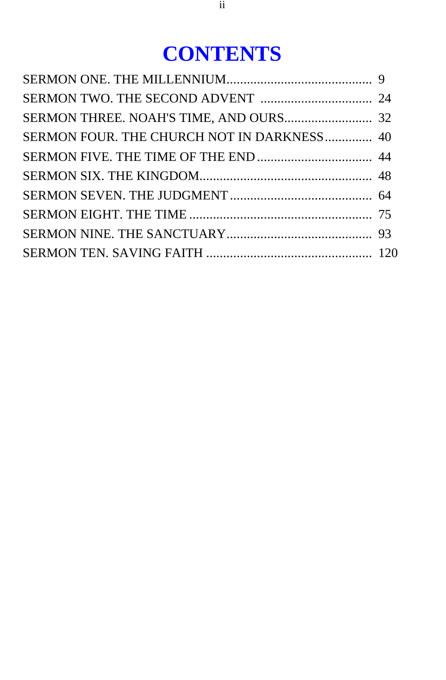## **CONTENTS**

| SERMON FOUR. THE CHURCH NOT IN DARKNESS 40 |  |
|--------------------------------------------|--|
|                                            |  |
|                                            |  |
|                                            |  |
|                                            |  |
|                                            |  |
|                                            |  |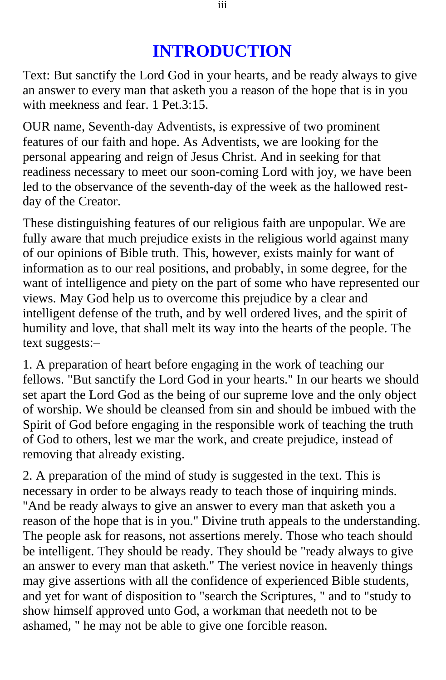#### **INTRODUCTION**

Text: But sanctify the Lord God in your hearts, and be ready always to give an answer to every man that asketh you a reason of the hope that is in you with meekness and fear. 1 Pet.3:15.

OUR name, Seventh-day Adventists, is expressive of two prominent features of our faith and hope. As Adventists, we are looking for the personal appearing and reign of Jesus Christ. And in seeking for that readiness necessary to meet our soon-coming Lord with joy, we have been led to the observance of the seventh-day of the week as the hallowed restday of the Creator.

These distinguishing features of our religious faith are unpopular. We are fully aware that much prejudice exists in the religious world against many of our opinions of Bible truth. This, however, exists mainly for want of information as to our real positions, and probably, in some degree, for the want of intelligence and piety on the part of some who have represented our views. May God help us to overcome this prejudice by a clear and intelligent defense of the truth, and by well ordered lives, and the spirit of humility and love, that shall melt its way into the hearts of the people. The text suggests:–

1. A preparation of heart before engaging in the work of teaching our fellows. "But sanctify the Lord God in your hearts." In our hearts we should set apart the Lord God as the being of our supreme love and the only object of worship. We should be cleansed from sin and should be imbued with the Spirit of God before engaging in the responsible work of teaching the truth of God to others, lest we mar the work, and create prejudice, instead of removing that already existing.

2. A preparation of the mind of study is suggested in the text. This is necessary in order to be always ready to teach those of inquiring minds. "And be ready always to give an answer to every man that asketh you a reason of the hope that is in you." Divine truth appeals to the understanding. The people ask for reasons, not assertions merely. Those who teach should be intelligent. They should be ready. They should be "ready always to give an answer to every man that asketh." The veriest novice in heavenly things may give assertions with all the confidence of experienced Bible students, and yet for want of disposition to "search the Scriptures, " and to "study to show himself approved unto God, a workman that needeth not to be ashamed, " he may not be able to give one forcible reason.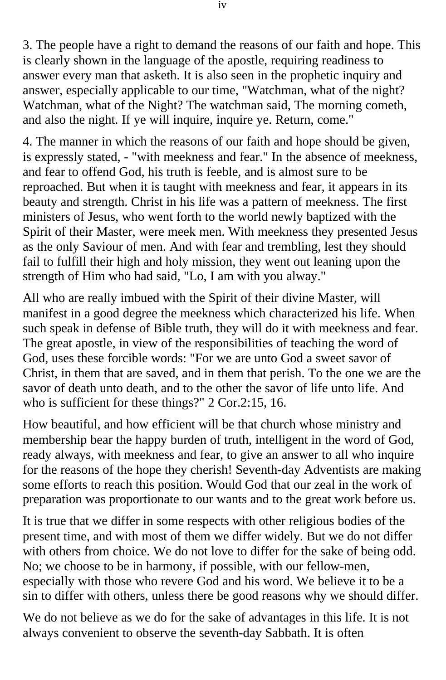3. The people have a right to demand the reasons of our faith and hope. This is clearly shown in the language of the apostle, requiring readiness to answer every man that asketh. It is also seen in the prophetic inquiry and answer, especially applicable to our time, "Watchman, what of the night? Watchman, what of the Night? The watchman said, The morning cometh, and also the night. If ye will inquire, inquire ye. Return, come."

4. The manner in which the reasons of our faith and hope should be given, is expressly stated, - "with meekness and fear." In the absence of meekness, and fear to offend God, his truth is feeble, and is almost sure to be reproached. But when it is taught with meekness and fear, it appears in its beauty and strength. Christ in his life was a pattern of meekness. The first ministers of Jesus, who went forth to the world newly baptized with the Spirit of their Master, were meek men. With meekness they presented Jesus as the only Saviour of men. And with fear and trembling, lest they should fail to fulfill their high and holy mission, they went out leaning upon the strength of Him who had said, "Lo, I am with you alway."

All who are really imbued with the Spirit of their divine Master, will manifest in a good degree the meekness which characterized his life. When such speak in defense of Bible truth, they will do it with meekness and fear. The great apostle, in view of the responsibilities of teaching the word of God, uses these forcible words: "For we are unto God a sweet savor of Christ, in them that are saved, and in them that perish. To the one we are the savor of death unto death, and to the other the savor of life unto life. And who is sufficient for these things?" 2 Cor.2:15, 16.

How beautiful, and how efficient will be that church whose ministry and membership bear the happy burden of truth, intelligent in the word of God, ready always, with meekness and fear, to give an answer to all who inquire for the reasons of the hope they cherish! Seventh-day Adventists are making some efforts to reach this position. Would God that our zeal in the work of preparation was proportionate to our wants and to the great work before us.

It is true that we differ in some respects with other religious bodies of the present time, and with most of them we differ widely. But we do not differ with others from choice. We do not love to differ for the sake of being odd. No; we choose to be in harmony, if possible, with our fellow-men, especially with those who revere God and his word. We believe it to be a sin to differ with others, unless there be good reasons why we should differ.

We do not believe as we do for the sake of advantages in this life. It is not always convenient to observe the seventh-day Sabbath. It is often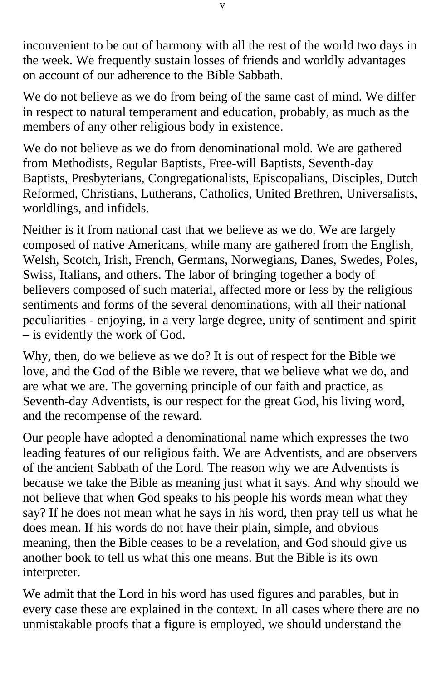inconvenient to be out of harmony with all the rest of the world two days in the week. We frequently sustain losses of friends and worldly advantages on account of our adherence to the Bible Sabbath.

We do not believe as we do from being of the same cast of mind. We differ in respect to natural temperament and education, probably, as much as the members of any other religious body in existence.

We do not believe as we do from denominational mold. We are gathered from Methodists, Regular Baptists, Free-will Baptists, Seventh-day Baptists, Presbyterians, Congregationalists, Episcopalians, Disciples, Dutch Reformed, Christians, Lutherans, Catholics, United Brethren, Universalists, worldlings, and infidels.

Neither is it from national cast that we believe as we do. We are largely composed of native Americans, while many are gathered from the English, Welsh, Scotch, Irish, French, Germans, Norwegians, Danes, Swedes, Poles, Swiss, Italians, and others. The labor of bringing together a body of believers composed of such material, affected more or less by the religious sentiments and forms of the several denominations, with all their national peculiarities - enjoying, in a very large degree, unity of sentiment and spirit – is evidently the work of God.

Why, then, do we believe as we do? It is out of respect for the Bible we love, and the God of the Bible we revere, that we believe what we do, and are what we are. The governing principle of our faith and practice, as Seventh-day Adventists, is our respect for the great God, his living word, and the recompense of the reward.

Our people have adopted a denominational name which expresses the two leading features of our religious faith. We are Adventists, and are observers of the ancient Sabbath of the Lord. The reason why we are Adventists is because we take the Bible as meaning just what it says. And why should we not believe that when God speaks to his people his words mean what they say? If he does not mean what he says in his word, then pray tell us what he does mean. If his words do not have their plain, simple, and obvious meaning, then the Bible ceases to be a revelation, and God should give us another book to tell us what this one means. But the Bible is its own interpreter.

We admit that the Lord in his word has used figures and parables, but in every case these are explained in the context. In all cases where there are no unmistakable proofs that a figure is employed, we should understand the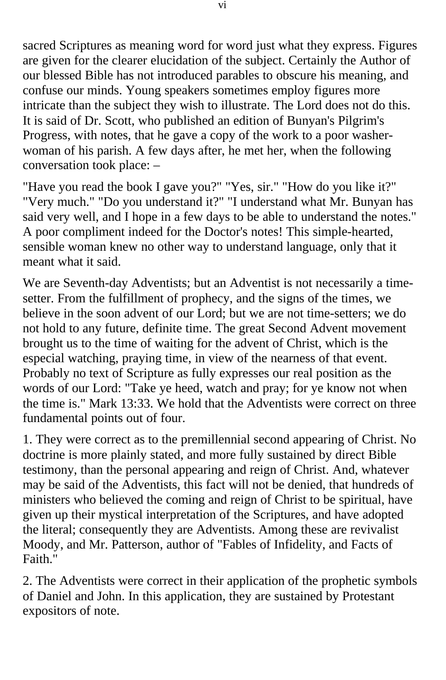sacred Scriptures as meaning word for word just what they express. Figures are given for the clearer elucidation of the subject. Certainly the Author of our blessed Bible has not introduced parables to obscure his meaning, and confuse our minds. Young speakers sometimes employ figures more intricate than the subject they wish to illustrate. The Lord does not do this. It is said of Dr. Scott, who published an edition of Bunyan's Pilgrim's Progress, with notes, that he gave a copy of the work to a poor washerwoman of his parish. A few days after, he met her, when the following conversation took place: –

"Have you read the book I gave you?" "Yes, sir." "How do you like it?" "Very much." "Do you understand it?" "I understand what Mr. Bunyan has said very well, and I hope in a few days to be able to understand the notes." A poor compliment indeed for the Doctor's notes! This simple-hearted, sensible woman knew no other way to understand language, only that it meant what it said.

We are Seventh-day Adventists; but an Adventist is not necessarily a timesetter. From the fulfillment of prophecy, and the signs of the times, we believe in the soon advent of our Lord; but we are not time-setters; we do not hold to any future, definite time. The great Second Advent movement brought us to the time of waiting for the advent of Christ, which is the especial watching, praying time, in view of the nearness of that event. Probably no text of Scripture as fully expresses our real position as the words of our Lord: "Take ye heed, watch and pray; for ye know not when the time is." Mark 13:33. We hold that the Adventists were correct on three fundamental points out of four.

1. They were correct as to the premillennial second appearing of Christ. No doctrine is more plainly stated, and more fully sustained by direct Bible testimony, than the personal appearing and reign of Christ. And, whatever may be said of the Adventists, this fact will not be denied, that hundreds of ministers who believed the coming and reign of Christ to be spiritual, have given up their mystical interpretation of the Scriptures, and have adopted the literal; consequently they are Adventists. Among these are revivalist Moody, and Mr. Patterson, author of "Fables of Infidelity, and Facts of Faith."

2. The Adventists were correct in their application of the prophetic symbols of Daniel and John. In this application, they are sustained by Protestant expositors of note.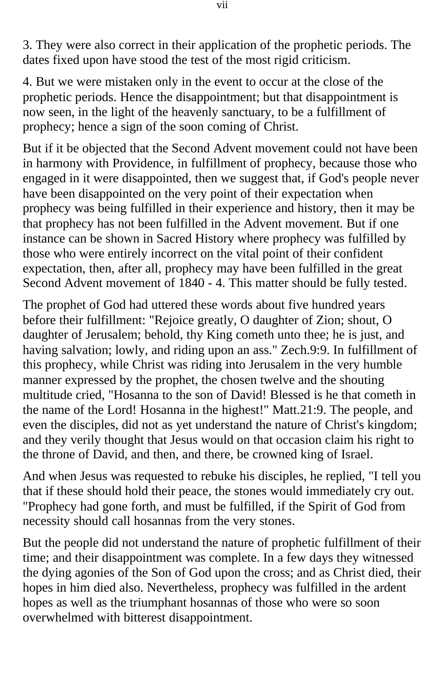3. They were also correct in their application of the prophetic periods. The dates fixed upon have stood the test of the most rigid criticism.

4. But we were mistaken only in the event to occur at the close of the prophetic periods. Hence the disappointment; but that disappointment is now seen, in the light of the heavenly sanctuary, to be a fulfillment of prophecy; hence a sign of the soon coming of Christ.

But if it be objected that the Second Advent movement could not have been in harmony with Providence, in fulfillment of prophecy, because those who engaged in it were disappointed, then we suggest that, if God's people never have been disappointed on the very point of their expectation when prophecy was being fulfilled in their experience and history, then it may be that prophecy has not been fulfilled in the Advent movement. But if one instance can be shown in Sacred History where prophecy was fulfilled by those who were entirely incorrect on the vital point of their confident expectation, then, after all, prophecy may have been fulfilled in the great Second Advent movement of 1840 - 4. This matter should be fully tested.

The prophet of God had uttered these words about five hundred years before their fulfillment: "Rejoice greatly, O daughter of Zion; shout, O daughter of Jerusalem; behold, thy King cometh unto thee; he is just, and having salvation; lowly, and riding upon an ass." Zech.9:9. In fulfillment of this prophecy, while Christ was riding into Jerusalem in the very humble manner expressed by the prophet, the chosen twelve and the shouting multitude cried, "Hosanna to the son of David! Blessed is he that cometh in the name of the Lord! Hosanna in the highest!" Matt.21:9. The people, and even the disciples, did not as yet understand the nature of Christ's kingdom; and they verily thought that Jesus would on that occasion claim his right to the throne of David, and then, and there, be crowned king of Israel.

And when Jesus was requested to rebuke his disciples, he replied, "I tell you that if these should hold their peace, the stones would immediately cry out. "Prophecy had gone forth, and must be fulfilled, if the Spirit of God from necessity should call hosannas from the very stones.

But the people did not understand the nature of prophetic fulfillment of their time; and their disappointment was complete. In a few days they witnessed the dying agonies of the Son of God upon the cross; and as Christ died, their hopes in him died also. Nevertheless, prophecy was fulfilled in the ardent hopes as well as the triumphant hosannas of those who were so soon overwhelmed with bitterest disappointment.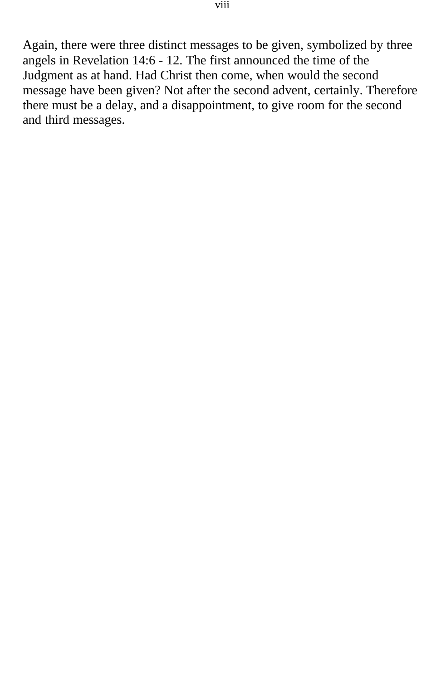Again, there were three distinct messages to be given, symbolized by three angels in Revelation 14:6 - 12. The first announced the time of the Judgment as at hand. Had Christ then come, when would the second message have been given? Not after the second advent, certainly. Therefore there must be a delay, and a disappointment, to give room for the second and third messages.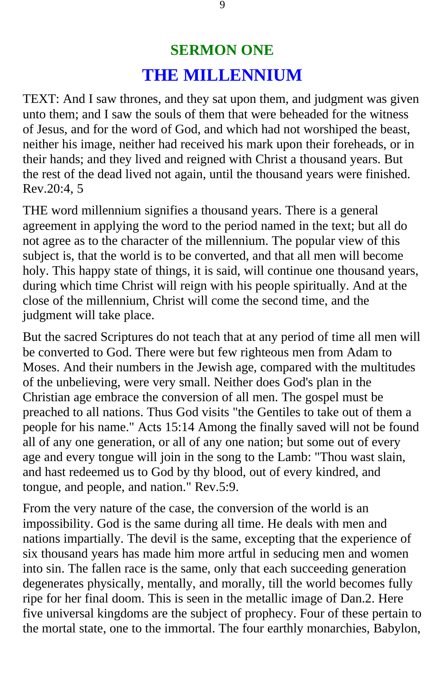### **SERMON ONE THE MILLENNIUM**

<span id="page-8-0"></span>TEXT: And I saw thrones, and they sat upon them, and judgment was given unto them; and I saw the souls of them that were beheaded for the witness of Jesus, and for the word of God, and which had not worshiped the beast, neither his image, neither had received his mark upon their foreheads, or in their hands; and they lived and reigned with Christ a thousand years. But the rest of the dead lived not again, until the thousand years were finished. Rev.20:4, 5

THE word millennium signifies a thousand years. There is a general agreement in applying the word to the period named in the text; but all do not agree as to the character of the millennium. The popular view of this subject is, that the world is to be converted, and that all men will become holy. This happy state of things, it is said, will continue one thousand years, during which time Christ will reign with his people spiritually. And at the close of the millennium, Christ will come the second time, and the judgment will take place.

But the sacred Scriptures do not teach that at any period of time all men will be converted to God. There were but few righteous men from Adam to Moses. And their numbers in the Jewish age, compared with the multitudes of the unbelieving, were very small. Neither does God's plan in the Christian age embrace the conversion of all men. The gospel must be preached to all nations. Thus God visits "the Gentiles to take out of them a people for his name." Acts 15:14 Among the finally saved will not be found all of any one generation, or all of any one nation; but some out of every age and every tongue will join in the song to the Lamb: "Thou wast slain, and hast redeemed us to God by thy blood, out of every kindred, and tongue, and people, and nation." Rev.5:9.

From the very nature of the case, the conversion of the world is an impossibility. God is the same during all time. He deals with men and nations impartially. The devil is the same, excepting that the experience of six thousand years has made him more artful in seducing men and women into sin. The fallen race is the same, only that each succeeding generation degenerates physically, mentally, and morally, till the world becomes fully ripe for her final doom. This is seen in the metallic image of Dan.2. Here five universal kingdoms are the subject of prophecy. Four of these pertain to the mortal state, one to the immortal. The four earthly monarchies, Babylon,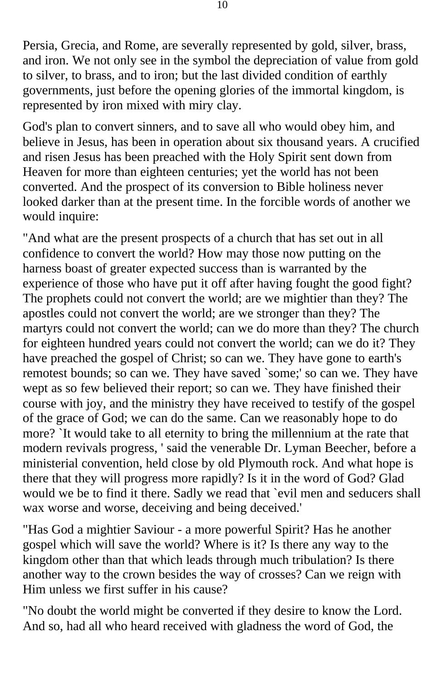Persia, Grecia, and Rome, are severally represented by gold, silver, brass, and iron. We not only see in the symbol the depreciation of value from gold to silver, to brass, and to iron; but the last divided condition of earthly governments, just before the opening glories of the immortal kingdom, is represented by iron mixed with miry clay.

God's plan to convert sinners, and to save all who would obey him, and believe in Jesus, has been in operation about six thousand years. A crucified and risen Jesus has been preached with the Holy Spirit sent down from Heaven for more than eighteen centuries; yet the world has not been converted. And the prospect of its conversion to Bible holiness never looked darker than at the present time. In the forcible words of another we would inquire:

"And what are the present prospects of a church that has set out in all confidence to convert the world? How may those now putting on the harness boast of greater expected success than is warranted by the experience of those who have put it off after having fought the good fight? The prophets could not convert the world; are we mightier than they? The apostles could not convert the world; are we stronger than they? The martyrs could not convert the world; can we do more than they? The church for eighteen hundred years could not convert the world; can we do it? They have preached the gospel of Christ; so can we. They have gone to earth's remotest bounds; so can we. They have saved `some;' so can we. They have wept as so few believed their report; so can we. They have finished their course with joy, and the ministry they have received to testify of the gospel of the grace of God; we can do the same. Can we reasonably hope to do more? `It would take to all eternity to bring the millennium at the rate that modern revivals progress, ' said the venerable Dr. Lyman Beecher, before a ministerial convention, held close by old Plymouth rock. And what hope is there that they will progress more rapidly? Is it in the word of God? Glad would we be to find it there. Sadly we read that `evil men and seducers shall wax worse and worse, deceiving and being deceived.'

"Has God a mightier Saviour - a more powerful Spirit? Has he another gospel which will save the world? Where is it? Is there any way to the kingdom other than that which leads through much tribulation? Is there another way to the crown besides the way of crosses? Can we reign with Him unless we first suffer in his cause?

"No doubt the world might be converted if they desire to know the Lord. And so, had all who heard received with gladness the word of God, the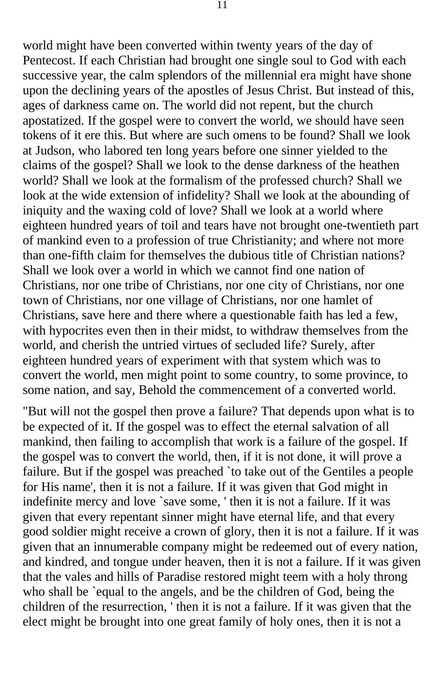world might have been converted within twenty years of the day of Pentecost. If each Christian had brought one single soul to God with each successive year, the calm splendors of the millennial era might have shone upon the declining years of the apostles of Jesus Christ. But instead of this, ages of darkness came on. The world did not repent, but the church apostatized. If the gospel were to convert the world, we should have seen tokens of it ere this. But where are such omens to be found? Shall we look at Judson, who labored ten long years before one sinner yielded to the claims of the gospel? Shall we look to the dense darkness of the heathen world? Shall we look at the formalism of the professed church? Shall we look at the wide extension of infidelity? Shall we look at the abounding of iniquity and the waxing cold of love? Shall we look at a world where eighteen hundred years of toil and tears have not brought one-twentieth part of mankind even to a profession of true Christianity; and where not more than one-fifth claim for themselves the dubious title of Christian nations? Shall we look over a world in which we cannot find one nation of Christians, nor one tribe of Christians, nor one city of Christians, nor one town of Christians, nor one village of Christians, nor one hamlet of Christians, save here and there where a questionable faith has led a few, with hypocrites even then in their midst, to withdraw themselves from the world, and cherish the untried virtues of secluded life? Surely, after eighteen hundred years of experiment with that system which was to convert the world, men might point to some country, to some province, to some nation, and say, Behold the commencement of a converted world.

"But will not the gospel then prove a failure? That depends upon what is to be expected of it. If the gospel was to effect the eternal salvation of all mankind, then failing to accomplish that work is a failure of the gospel. If the gospel was to convert the world, then, if it is not done, it will prove a failure. But if the gospel was preached `to take out of the Gentiles a people for His name', then it is not a failure. If it was given that God might in indefinite mercy and love `save some, ' then it is not a failure. If it was given that every repentant sinner might have eternal life, and that every good soldier might receive a crown of glory, then it is not a failure. If it was given that an innumerable company might be redeemed out of every nation, and kindred, and tongue under heaven, then it is not a failure. If it was given that the vales and hills of Paradise restored might teem with a holy throng who shall be `equal to the angels, and be the children of God, being the children of the resurrection, ' then it is not a failure. If it was given that the elect might be brought into one great family of holy ones, then it is not a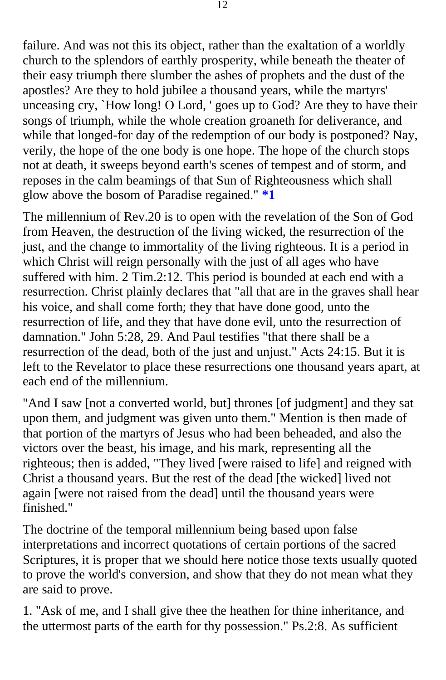failure. And was not this its object, rather than the exaltation of a worldly church to the splendors of earthly prosperity, while beneath the theater of their easy triumph there slumber the ashes of prophets and the dust of the apostles? Are they to hold jubilee a thousand years, while the martyrs' unceasing cry, `How long! O Lord, ' goes up to God? Are they to have their songs of triumph, while the whole creation groaneth for deliverance, and while that longed-for day of the redemption of our body is postponed? Nay, verily, the hope of the one body is one hope. The hope of the church stops not at death, it sweeps beyond earth's scenes of tempest and of storm, and reposes in the calm beamings of that Sun of Righteousness which shall glow above the bosom of Paradise regained." **[\\*1](#page-125-0)** 

The millennium of Rev.20 is to open with the revelation of the Son of God from Heaven, the destruction of the living wicked, the resurrection of the just, and the change to immortality of the living righteous. It is a period in which Christ will reign personally with the just of all ages who have suffered with him. 2 Tim.2:12. This period is bounded at each end with a resurrection. Christ plainly declares that "all that are in the graves shall hear his voice, and shall come forth; they that have done good, unto the resurrection of life, and they that have done evil, unto the resurrection of damnation." John 5:28, 29. And Paul testifies "that there shall be a resurrection of the dead, both of the just and unjust." Acts 24:15. But it is left to the Revelator to place these resurrections one thousand years apart, at each end of the millennium.

"And I saw [not a converted world, but] thrones [of judgment] and they sat upon them, and judgment was given unto them." Mention is then made of that portion of the martyrs of Jesus who had been beheaded, and also the victors over the beast, his image, and his mark, representing all the righteous; then is added, "They lived [were raised to life] and reigned with Christ a thousand years. But the rest of the dead [the wicked] lived not again [were not raised from the dead] until the thousand years were finished."

The doctrine of the temporal millennium being based upon false interpretations and incorrect quotations of certain portions of the sacred Scriptures, it is proper that we should here notice those texts usually quoted to prove the world's conversion, and show that they do not mean what they are said to prove.

1. "Ask of me, and I shall give thee the heathen for thine inheritance, and the uttermost parts of the earth for thy possession." Ps.2:8. As sufficient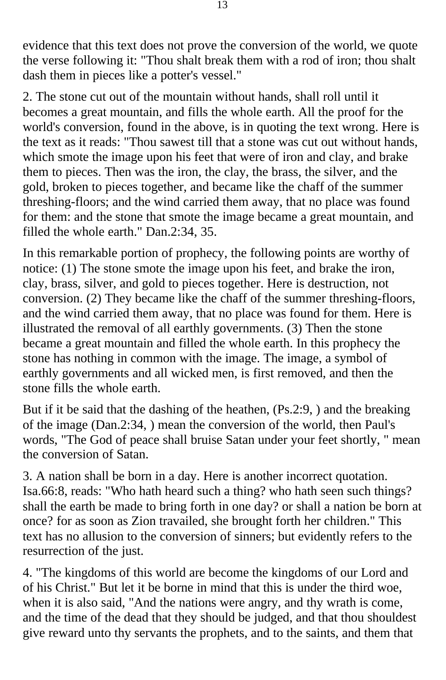evidence that this text does not prove the conversion of the world, we quote the verse following it: "Thou shalt break them with a rod of iron; thou shalt dash them in pieces like a potter's vessel."

2. The stone cut out of the mountain without hands, shall roll until it becomes a great mountain, and fills the whole earth. All the proof for the world's conversion, found in the above, is in quoting the text wrong. Here is the text as it reads: "Thou sawest till that a stone was cut out without hands, which smote the image upon his feet that were of iron and clay, and brake them to pieces. Then was the iron, the clay, the brass, the silver, and the gold, broken to pieces together, and became like the chaff of the summer threshing-floors; and the wind carried them away, that no place was found for them: and the stone that smote the image became a great mountain, and filled the whole earth." Dan.2:34, 35.

In this remarkable portion of prophecy, the following points are worthy of notice: (1) The stone smote the image upon his feet, and brake the iron, clay, brass, silver, and gold to pieces together. Here is destruction, not conversion. (2) They became like the chaff of the summer threshing-floors, and the wind carried them away, that no place was found for them. Here is illustrated the removal of all earthly governments. (3) Then the stone became a great mountain and filled the whole earth. In this prophecy the stone has nothing in common with the image. The image, a symbol of earthly governments and all wicked men, is first removed, and then the stone fills the whole earth.

But if it be said that the dashing of the heathen, (Ps.2:9, ) and the breaking of the image (Dan.2:34, ) mean the conversion of the world, then Paul's words, "The God of peace shall bruise Satan under your feet shortly, " mean the conversion of Satan.

3. A nation shall be born in a day. Here is another incorrect quotation. Isa.66:8, reads: "Who hath heard such a thing? who hath seen such things? shall the earth be made to bring forth in one day? or shall a nation be born at once? for as soon as Zion travailed, she brought forth her children." This text has no allusion to the conversion of sinners; but evidently refers to the resurrection of the just.

4. "The kingdoms of this world are become the kingdoms of our Lord and of his Christ." But let it be borne in mind that this is under the third woe, when it is also said, "And the nations were angry, and thy wrath is come, and the time of the dead that they should be judged, and that thou shouldest give reward unto thy servants the prophets, and to the saints, and them that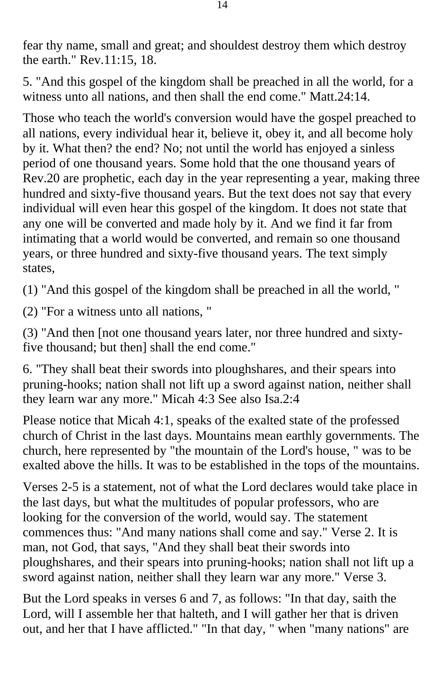fear thy name, small and great; and shouldest destroy them which destroy the earth." Rev.11:15, 18.

5. "And this gospel of the kingdom shall be preached in all the world, for a witness unto all nations, and then shall the end come." Matt.24:14.

Those who teach the world's conversion would have the gospel preached to all nations, every individual hear it, believe it, obey it, and all become holy by it. What then? the end? No; not until the world has enjoyed a sinless period of one thousand years. Some hold that the one thousand years of Rev.20 are prophetic, each day in the year representing a year, making three hundred and sixty-five thousand years. But the text does not say that every individual will even hear this gospel of the kingdom. It does not state that any one will be converted and made holy by it. And we find it far from intimating that a world would be converted, and remain so one thousand years, or three hundred and sixty-five thousand years. The text simply states,

(1) "And this gospel of the kingdom shall be preached in all the world, "

(2) "For a witness unto all nations, "

(3) "And then [not one thousand years later, nor three hundred and sixtyfive thousand; but then] shall the end come."

6. "They shall beat their swords into ploughshares, and their spears into pruning-hooks; nation shall not lift up a sword against nation, neither shall they learn war any more." Micah 4:3 See also Isa.2:4

Please notice that Micah 4:1, speaks of the exalted state of the professed church of Christ in the last days. Mountains mean earthly governments. The church, here represented by "the mountain of the Lord's house, " was to be exalted above the hills. It was to be established in the tops of the mountains.

Verses 2-5 is a statement, not of what the Lord declares would take place in the last days, but what the multitudes of popular professors, who are looking for the conversion of the world, would say. The statement commences thus: "And many nations shall come and say." Verse 2. It is man, not God, that says, "And they shall beat their swords into ploughshares, and their spears into pruning-hooks; nation shall not lift up a sword against nation, neither shall they learn war any more." Verse 3.

But the Lord speaks in verses 6 and 7, as follows: "In that day, saith the Lord, will I assemble her that halteth, and I will gather her that is driven out, and her that I have afflicted." "In that day, " when "many nations" are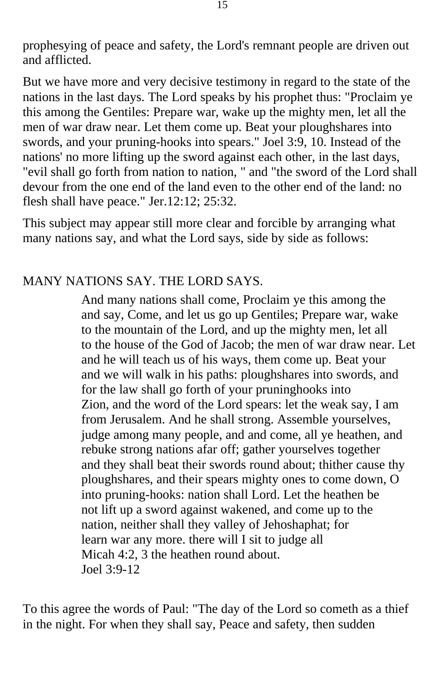prophesying of peace and safety, the Lord's remnant people are driven out and afflicted.

But we have more and very decisive testimony in regard to the state of the nations in the last days. The Lord speaks by his prophet thus: "Proclaim ye this among the Gentiles: Prepare war, wake up the mighty men, let all the men of war draw near. Let them come up. Beat your ploughshares into swords, and your pruning-hooks into spears." Joel 3:9, 10. Instead of the nations' no more lifting up the sword against each other, in the last days, "evil shall go forth from nation to nation, " and "the sword of the Lord shall devour from the one end of the land even to the other end of the land: no flesh shall have peace." Jer.12:12; 25:32.

This subject may appear still more clear and forcible by arranging what many nations say, and what the Lord says, side by side as follows:

#### MANY NATIONS SAY. THE LORD SAYS.

And many nations shall come, Proclaim ye this among the and say, Come, and let us go up Gentiles; Prepare war, wake to the mountain of the Lord, and up the mighty men, let all to the house of the God of Jacob; the men of war draw near. Let and he will teach us of his ways, them come up. Beat your and we will walk in his paths: ploughshares into swords, and for the law shall go forth of your pruninghooks into Zion, and the word of the Lord spears: let the weak say, I am from Jerusalem. And he shall strong. Assemble yourselves, judge among many people, and and come, all ye heathen, and rebuke strong nations afar off; gather yourselves together and they shall beat their swords round about; thither cause thy ploughshares, and their spears mighty ones to come down, O into pruning-hooks: nation shall Lord. Let the heathen be not lift up a sword against wakened, and come up to the nation, neither shall they valley of Jehoshaphat; for learn war any more. there will I sit to judge all Micah 4:2, 3 the heathen round about. Joel 3:9-12

To this agree the words of Paul: "The day of the Lord so cometh as a thief in the night. For when they shall say, Peace and safety, then sudden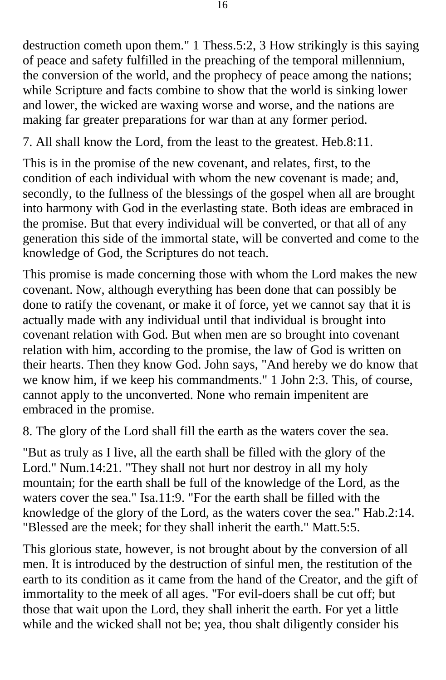destruction cometh upon them." 1 Thess.5:2, 3 How strikingly is this saying of peace and safety fulfilled in the preaching of the temporal millennium, the conversion of the world, and the prophecy of peace among the nations; while Scripture and facts combine to show that the world is sinking lower and lower, the wicked are waxing worse and worse, and the nations are making far greater preparations for war than at any former period.

7. All shall know the Lord, from the least to the greatest. Heb.8:11.

This is in the promise of the new covenant, and relates, first, to the condition of each individual with whom the new covenant is made; and, secondly, to the fullness of the blessings of the gospel when all are brought into harmony with God in the everlasting state. Both ideas are embraced in the promise. But that every individual will be converted, or that all of any generation this side of the immortal state, will be converted and come to the knowledge of God, the Scriptures do not teach.

This promise is made concerning those with whom the Lord makes the new covenant. Now, although everything has been done that can possibly be done to ratify the covenant, or make it of force, yet we cannot say that it is actually made with any individual until that individual is brought into covenant relation with God. But when men are so brought into covenant relation with him, according to the promise, the law of God is written on their hearts. Then they know God. John says, "And hereby we do know that we know him, if we keep his commandments." 1 John 2:3. This, of course, cannot apply to the unconverted. None who remain impenitent are embraced in the promise.

8. The glory of the Lord shall fill the earth as the waters cover the sea.

"But as truly as I live, all the earth shall be filled with the glory of the Lord." Num.14:21. "They shall not hurt nor destroy in all my holy mountain; for the earth shall be full of the knowledge of the Lord, as the waters cover the sea." Isa.11:9. "For the earth shall be filled with the knowledge of the glory of the Lord, as the waters cover the sea." Hab.2:14. "Blessed are the meek; for they shall inherit the earth." Matt.5:5.

This glorious state, however, is not brought about by the conversion of all men. It is introduced by the destruction of sinful men, the restitution of the earth to its condition as it came from the hand of the Creator, and the gift of immortality to the meek of all ages. "For evil-doers shall be cut off; but those that wait upon the Lord, they shall inherit the earth. For yet a little while and the wicked shall not be; yea, thou shalt diligently consider his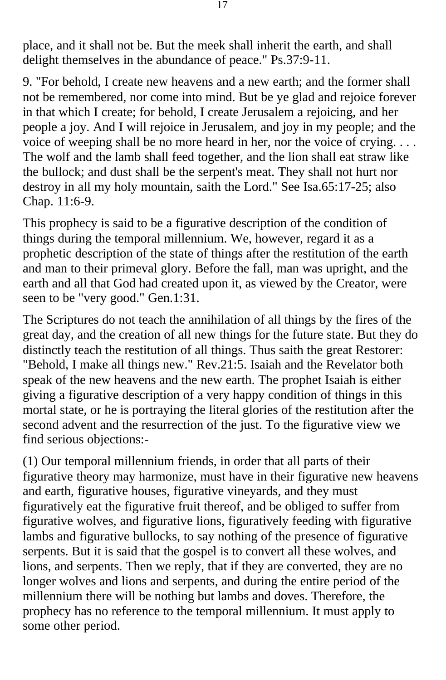place, and it shall not be. But the meek shall inherit the earth, and shall delight themselves in the abundance of peace." Ps.37:9-11.

9. "For behold, I create new heavens and a new earth; and the former shall not be remembered, nor come into mind. But be ye glad and rejoice forever in that which I create; for behold, I create Jerusalem a rejoicing, and her people a joy. And I will rejoice in Jerusalem, and joy in my people; and the voice of weeping shall be no more heard in her, nor the voice of crying. . . . The wolf and the lamb shall feed together, and the lion shall eat straw like the bullock; and dust shall be the serpent's meat. They shall not hurt nor destroy in all my holy mountain, saith the Lord." See Isa.65:17-25; also Chap. 11:6-9.

This prophecy is said to be a figurative description of the condition of things during the temporal millennium. We, however, regard it as a prophetic description of the state of things after the restitution of the earth and man to their primeval glory. Before the fall, man was upright, and the earth and all that God had created upon it, as viewed by the Creator, were seen to be "very good." Gen.1:31.

The Scriptures do not teach the annihilation of all things by the fires of the great day, and the creation of all new things for the future state. But they do distinctly teach the restitution of all things. Thus saith the great Restorer: "Behold, I make all things new." Rev.21:5. Isaiah and the Revelator both speak of the new heavens and the new earth. The prophet Isaiah is either giving a figurative description of a very happy condition of things in this mortal state, or he is portraying the literal glories of the restitution after the second advent and the resurrection of the just. To the figurative view we find serious objections:-

(1) Our temporal millennium friends, in order that all parts of their figurative theory may harmonize, must have in their figurative new heavens and earth, figurative houses, figurative vineyards, and they must figuratively eat the figurative fruit thereof, and be obliged to suffer from figurative wolves, and figurative lions, figuratively feeding with figurative lambs and figurative bullocks, to say nothing of the presence of figurative serpents. But it is said that the gospel is to convert all these wolves, and lions, and serpents. Then we reply, that if they are converted, they are no longer wolves and lions and serpents, and during the entire period of the millennium there will be nothing but lambs and doves. Therefore, the prophecy has no reference to the temporal millennium. It must apply to some other period.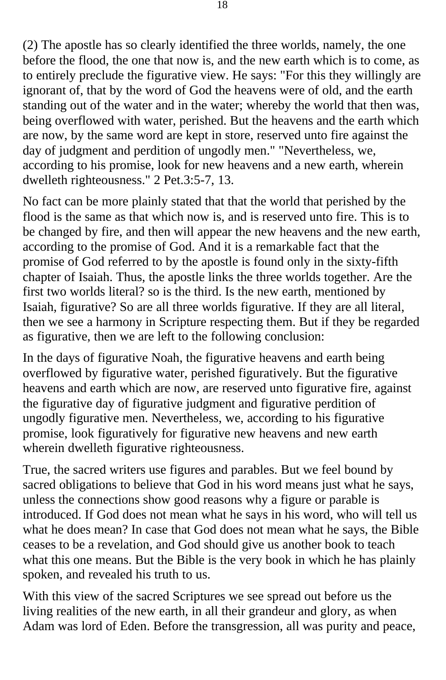(2) The apostle has so clearly identified the three worlds, namely, the one before the flood, the one that now is, and the new earth which is to come, as to entirely preclude the figurative view. He says: "For this they willingly are ignorant of, that by the word of God the heavens were of old, and the earth standing out of the water and in the water; whereby the world that then was, being overflowed with water, perished. But the heavens and the earth which are now, by the same word are kept in store, reserved unto fire against the day of judgment and perdition of ungodly men." "Nevertheless, we, according to his promise, look for new heavens and a new earth, wherein dwelleth righteousness." 2 Pet.3:5-7, 13.

No fact can be more plainly stated that that the world that perished by the flood is the same as that which now is, and is reserved unto fire. This is to be changed by fire, and then will appear the new heavens and the new earth, according to the promise of God. And it is a remarkable fact that the promise of God referred to by the apostle is found only in the sixty-fifth chapter of Isaiah. Thus, the apostle links the three worlds together. Are the first two worlds literal? so is the third. Is the new earth, mentioned by Isaiah, figurative? So are all three worlds figurative. If they are all literal, then we see a harmony in Scripture respecting them. But if they be regarded as figurative, then we are left to the following conclusion:

In the days of figurative Noah, the figurative heavens and earth being overflowed by figurative water, perished figuratively. But the figurative heavens and earth which are now, are reserved unto figurative fire, against the figurative day of figurative judgment and figurative perdition of ungodly figurative men. Nevertheless, we, according to his figurative promise, look figuratively for figurative new heavens and new earth wherein dwelleth figurative righteousness.

True, the sacred writers use figures and parables. But we feel bound by sacred obligations to believe that God in his word means just what he says, unless the connections show good reasons why a figure or parable is introduced. If God does not mean what he says in his word, who will tell us what he does mean? In case that God does not mean what he says, the Bible ceases to be a revelation, and God should give us another book to teach what this one means. But the Bible is the very book in which he has plainly spoken, and revealed his truth to us.

With this view of the sacred Scriptures we see spread out before us the living realities of the new earth, in all their grandeur and glory, as when Adam was lord of Eden. Before the transgression, all was purity and peace,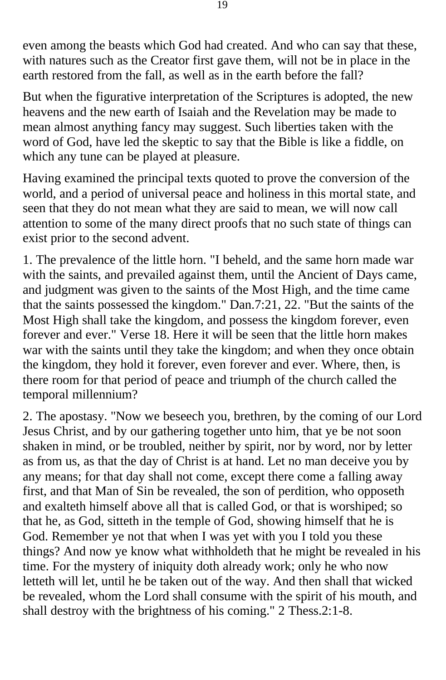even among the beasts which God had created. And who can say that these, with natures such as the Creator first gave them, will not be in place in the earth restored from the fall, as well as in the earth before the fall?

But when the figurative interpretation of the Scriptures is adopted, the new heavens and the new earth of Isaiah and the Revelation may be made to mean almost anything fancy may suggest. Such liberties taken with the word of God, have led the skeptic to say that the Bible is like a fiddle, on which any tune can be played at pleasure.

Having examined the principal texts quoted to prove the conversion of the world, and a period of universal peace and holiness in this mortal state, and seen that they do not mean what they are said to mean, we will now call attention to some of the many direct proofs that no such state of things can exist prior to the second advent.

1. The prevalence of the little horn. "I beheld, and the same horn made war with the saints, and prevailed against them, until the Ancient of Days came, and judgment was given to the saints of the Most High, and the time came that the saints possessed the kingdom." Dan.7:21, 22. "But the saints of the Most High shall take the kingdom, and possess the kingdom forever, even forever and ever." Verse 18. Here it will be seen that the little horn makes war with the saints until they take the kingdom; and when they once obtain the kingdom, they hold it forever, even forever and ever. Where, then, is there room for that period of peace and triumph of the church called the temporal millennium?

2. The apostasy. "Now we beseech you, brethren, by the coming of our Lord Jesus Christ, and by our gathering together unto him, that ye be not soon shaken in mind, or be troubled, neither by spirit, nor by word, nor by letter as from us, as that the day of Christ is at hand. Let no man deceive you by any means; for that day shall not come, except there come a falling away first, and that Man of Sin be revealed, the son of perdition, who opposeth and exalteth himself above all that is called God, or that is worshiped; so that he, as God, sitteth in the temple of God, showing himself that he is God. Remember ye not that when I was yet with you I told you these things? And now ye know what withholdeth that he might be revealed in his time. For the mystery of iniquity doth already work; only he who now letteth will let, until he be taken out of the way. And then shall that wicked be revealed, whom the Lord shall consume with the spirit of his mouth, and shall destroy with the brightness of his coming." 2 Thess.2:1-8.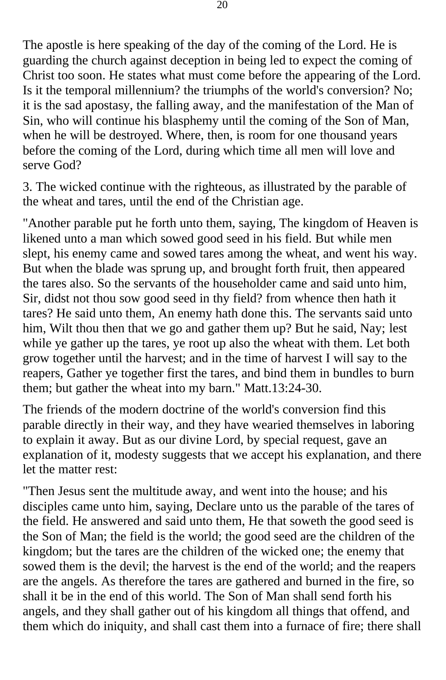The apostle is here speaking of the day of the coming of the Lord. He is guarding the church against deception in being led to expect the coming of Christ too soon. He states what must come before the appearing of the Lord. Is it the temporal millennium? the triumphs of the world's conversion? No; it is the sad apostasy, the falling away, and the manifestation of the Man of Sin, who will continue his blasphemy until the coming of the Son of Man, when he will be destroyed. Where, then, is room for one thousand years before the coming of the Lord, during which time all men will love and serve God?

3. The wicked continue with the righteous, as illustrated by the parable of the wheat and tares, until the end of the Christian age.

"Another parable put he forth unto them, saying, The kingdom of Heaven is likened unto a man which sowed good seed in his field. But while men slept, his enemy came and sowed tares among the wheat, and went his way. But when the blade was sprung up, and brought forth fruit, then appeared the tares also. So the servants of the householder came and said unto him, Sir, didst not thou sow good seed in thy field? from whence then hath it tares? He said unto them, An enemy hath done this. The servants said unto him, Wilt thou then that we go and gather them up? But he said, Nay; lest while ye gather up the tares, ye root up also the wheat with them. Let both grow together until the harvest; and in the time of harvest I will say to the reapers, Gather ye together first the tares, and bind them in bundles to burn them; but gather the wheat into my barn." Matt.13:24-30.

The friends of the modern doctrine of the world's conversion find this parable directly in their way, and they have wearied themselves in laboring to explain it away. But as our divine Lord, by special request, gave an explanation of it, modesty suggests that we accept his explanation, and there let the matter rest:

"Then Jesus sent the multitude away, and went into the house; and his disciples came unto him, saying, Declare unto us the parable of the tares of the field. He answered and said unto them, He that soweth the good seed is the Son of Man; the field is the world; the good seed are the children of the kingdom; but the tares are the children of the wicked one; the enemy that sowed them is the devil; the harvest is the end of the world; and the reapers are the angels. As therefore the tares are gathered and burned in the fire, so shall it be in the end of this world. The Son of Man shall send forth his angels, and they shall gather out of his kingdom all things that offend, and them which do iniquity, and shall cast them into a furnace of fire; there shall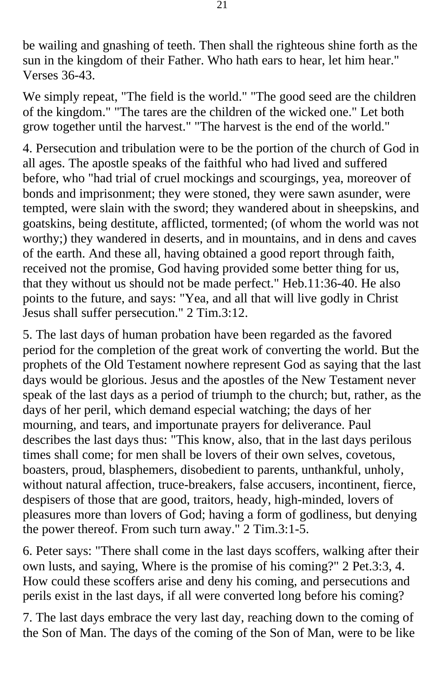be wailing and gnashing of teeth. Then shall the righteous shine forth as the sun in the kingdom of their Father. Who hath ears to hear, let him hear." Verses 36-43.

We simply repeat, "The field is the world." "The good seed are the children of the kingdom." "The tares are the children of the wicked one." Let both grow together until the harvest." "The harvest is the end of the world."

4. Persecution and tribulation were to be the portion of the church of God in all ages. The apostle speaks of the faithful who had lived and suffered before, who "had trial of cruel mockings and scourgings, yea, moreover of bonds and imprisonment; they were stoned, they were sawn asunder, were tempted, were slain with the sword; they wandered about in sheepskins, and goatskins, being destitute, afflicted, tormented; (of whom the world was not worthy;) they wandered in deserts, and in mountains, and in dens and caves of the earth. And these all, having obtained a good report through faith, received not the promise, God having provided some better thing for us, that they without us should not be made perfect." Heb.11:36-40. He also points to the future, and says: "Yea, and all that will live godly in Christ Jesus shall suffer persecution." 2 Tim.3:12.

5. The last days of human probation have been regarded as the favored period for the completion of the great work of converting the world. But the prophets of the Old Testament nowhere represent God as saying that the last days would be glorious. Jesus and the apostles of the New Testament never speak of the last days as a period of triumph to the church; but, rather, as the days of her peril, which demand especial watching; the days of her mourning, and tears, and importunate prayers for deliverance. Paul describes the last days thus: "This know, also, that in the last days perilous times shall come; for men shall be lovers of their own selves, covetous, boasters, proud, blasphemers, disobedient to parents, unthankful, unholy, without natural affection, truce-breakers, false accusers, incontinent, fierce, despisers of those that are good, traitors, heady, high-minded, lovers of pleasures more than lovers of God; having a form of godliness, but denying the power thereof. From such turn away." 2 Tim.3:1-5.

6. Peter says: "There shall come in the last days scoffers, walking after their own lusts, and saying, Where is the promise of his coming?" 2 Pet.3:3, 4. How could these scoffers arise and deny his coming, and persecutions and perils exist in the last days, if all were converted long before his coming?

7. The last days embrace the very last day, reaching down to the coming of the Son of Man. The days of the coming of the Son of Man, were to be like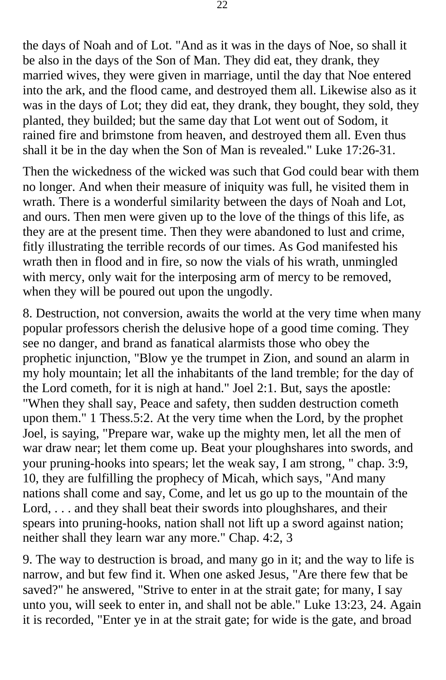the days of Noah and of Lot. "And as it was in the days of Noe, so shall it be also in the days of the Son of Man. They did eat, they drank, they married wives, they were given in marriage, until the day that Noe entered into the ark, and the flood came, and destroyed them all. Likewise also as it was in the days of Lot; they did eat, they drank, they bought, they sold, they planted, they builded; but the same day that Lot went out of Sodom, it rained fire and brimstone from heaven, and destroyed them all. Even thus shall it be in the day when the Son of Man is revealed." Luke 17:26-31.

Then the wickedness of the wicked was such that God could bear with them no longer. And when their measure of iniquity was full, he visited them in wrath. There is a wonderful similarity between the days of Noah and Lot, and ours. Then men were given up to the love of the things of this life, as they are at the present time. Then they were abandoned to lust and crime, fitly illustrating the terrible records of our times. As God manifested his wrath then in flood and in fire, so now the vials of his wrath, unmingled with mercy, only wait for the interposing arm of mercy to be removed, when they will be poured out upon the ungodly.

8. Destruction, not conversion, awaits the world at the very time when many popular professors cherish the delusive hope of a good time coming. They see no danger, and brand as fanatical alarmists those who obey the prophetic injunction, "Blow ye the trumpet in Zion, and sound an alarm in my holy mountain; let all the inhabitants of the land tremble; for the day of the Lord cometh, for it is nigh at hand." Joel 2:1. But, says the apostle: "When they shall say, Peace and safety, then sudden destruction cometh upon them." 1 Thess.5:2. At the very time when the Lord, by the prophet Joel, is saying, "Prepare war, wake up the mighty men, let all the men of war draw near; let them come up. Beat your ploughshares into swords, and your pruning-hooks into spears; let the weak say, I am strong, " chap. 3:9, 10, they are fulfilling the prophecy of Micah, which says, "And many nations shall come and say, Come, and let us go up to the mountain of the Lord, . . . and they shall beat their swords into ploughshares, and their spears into pruning-hooks, nation shall not lift up a sword against nation; neither shall they learn war any more." Chap. 4:2, 3

9. The way to destruction is broad, and many go in it; and the way to life is narrow, and but few find it. When one asked Jesus, "Are there few that be saved?" he answered, "Strive to enter in at the strait gate; for many, I say unto you, will seek to enter in, and shall not be able." Luke 13:23, 24. Again it is recorded, "Enter ye in at the strait gate; for wide is the gate, and broad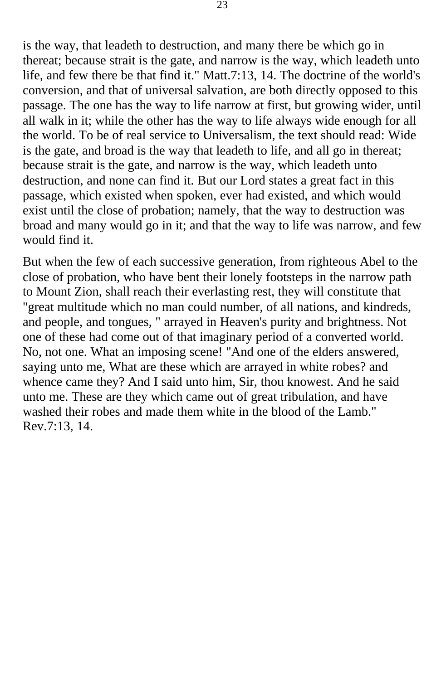is the way, that leadeth to destruction, and many there be which go in thereat; because strait is the gate, and narrow is the way, which leadeth unto life, and few there be that find it." Matt.7:13, 14. The doctrine of the world's conversion, and that of universal salvation, are both directly opposed to this passage. The one has the way to life narrow at first, but growing wider, until all walk in it; while the other has the way to life always wide enough for all the world. To be of real service to Universalism, the text should read: Wide is the gate, and broad is the way that leadeth to life, and all go in thereat; because strait is the gate, and narrow is the way, which leadeth unto destruction, and none can find it. But our Lord states a great fact in this passage, which existed when spoken, ever had existed, and which would exist until the close of probation; namely, that the way to destruction was broad and many would go in it; and that the way to life was narrow, and few would find it.

But when the few of each successive generation, from righteous Abel to the close of probation, who have bent their lonely footsteps in the narrow path to Mount Zion, shall reach their everlasting rest, they will constitute that "great multitude which no man could number, of all nations, and kindreds, and people, and tongues, " arrayed in Heaven's purity and brightness. Not one of these had come out of that imaginary period of a converted world. No, not one. What an imposing scene! "And one of the elders answered, saying unto me, What are these which are arrayed in white robes? and whence came they? And I said unto him, Sir, thou knowest. And he said unto me. These are they which came out of great tribulation, and have washed their robes and made them white in the blood of the Lamb." Rev.7:13, 14.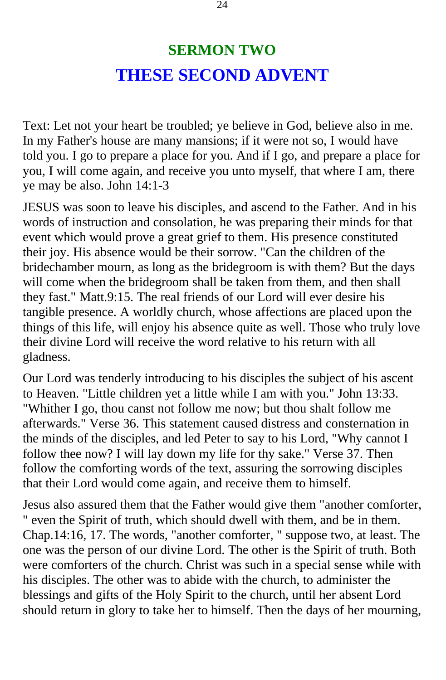#### **SERMON TWO THESE SECOND ADVENT**

<span id="page-23-0"></span>Text: Let not your heart be troubled; ye believe in God, believe also in me. In my Father's house are many mansions; if it were not so, I would have told you. I go to prepare a place for you. And if I go, and prepare a place for you, I will come again, and receive you unto myself, that where I am, there ye may be also. John 14:1-3

JESUS was soon to leave his disciples, and ascend to the Father. And in his words of instruction and consolation, he was preparing their minds for that event which would prove a great grief to them. His presence constituted their joy. His absence would be their sorrow. "Can the children of the bridechamber mourn, as long as the bridegroom is with them? But the days will come when the bridegroom shall be taken from them, and then shall they fast." Matt.9:15. The real friends of our Lord will ever desire his tangible presence. A worldly church, whose affections are placed upon the things of this life, will enjoy his absence quite as well. Those who truly love their divine Lord will receive the word relative to his return with all gladness.

Our Lord was tenderly introducing to his disciples the subject of his ascent to Heaven. "Little children yet a little while I am with you." John 13:33. "Whither I go, thou canst not follow me now; but thou shalt follow me afterwards." Verse 36. This statement caused distress and consternation in the minds of the disciples, and led Peter to say to his Lord, "Why cannot I follow thee now? I will lay down my life for thy sake." Verse 37. Then follow the comforting words of the text, assuring the sorrowing disciples that their Lord would come again, and receive them to himself.

Jesus also assured them that the Father would give them "another comforter, " even the Spirit of truth, which should dwell with them, and be in them. Chap.14:16, 17. The words, "another comforter, " suppose two, at least. The one was the person of our divine Lord. The other is the Spirit of truth. Both were comforters of the church. Christ was such in a special sense while with his disciples. The other was to abide with the church, to administer the blessings and gifts of the Holy Spirit to the church, until her absent Lord should return in glory to take her to himself. Then the days of her mourning,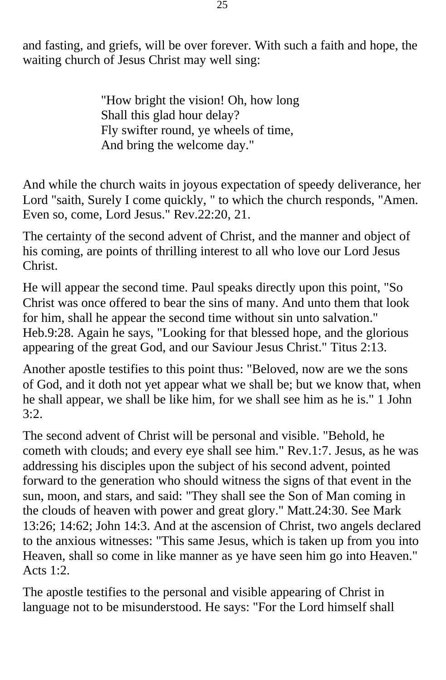and fasting, and griefs, will be over forever. With such a faith and hope, the waiting church of Jesus Christ may well sing:

> "How bright the vision! Oh, how long Shall this glad hour delay? Fly swifter round, ye wheels of time, And bring the welcome day."

And while the church waits in joyous expectation of speedy deliverance, her Lord "saith, Surely I come quickly, " to which the church responds, "Amen. Even so, come, Lord Jesus." Rev.22:20, 21.

The certainty of the second advent of Christ, and the manner and object of his coming, are points of thrilling interest to all who love our Lord Jesus Christ.

He will appear the second time. Paul speaks directly upon this point, "So Christ was once offered to bear the sins of many. And unto them that look for him, shall he appear the second time without sin unto salvation." Heb.9:28. Again he says, "Looking for that blessed hope, and the glorious appearing of the great God, and our Saviour Jesus Christ." Titus 2:13.

Another apostle testifies to this point thus: "Beloved, now are we the sons of God, and it doth not yet appear what we shall be; but we know that, when he shall appear, we shall be like him, for we shall see him as he is." 1 John 3:2.

The second advent of Christ will be personal and visible. "Behold, he cometh with clouds; and every eye shall see him." Rev.1:7. Jesus, as he was addressing his disciples upon the subject of his second advent, pointed forward to the generation who should witness the signs of that event in the sun, moon, and stars, and said: "They shall see the Son of Man coming in the clouds of heaven with power and great glory." Matt.24:30. See Mark 13:26; 14:62; John 14:3. And at the ascension of Christ, two angels declared to the anxious witnesses: "This same Jesus, which is taken up from you into Heaven, shall so come in like manner as ye have seen him go into Heaven." Acts 1:2.

The apostle testifies to the personal and visible appearing of Christ in language not to be misunderstood. He says: "For the Lord himself shall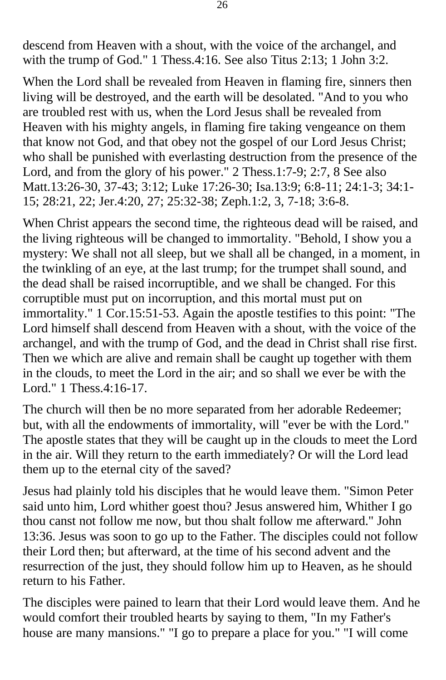descend from Heaven with a shout, with the voice of the archangel, and with the trump of God." 1 Thess.4:16. See also Titus 2:13; 1 John 3:2.

When the Lord shall be revealed from Heaven in flaming fire, sinners then living will be destroyed, and the earth will be desolated. "And to you who are troubled rest with us, when the Lord Jesus shall be revealed from Heaven with his mighty angels, in flaming fire taking vengeance on them that know not God, and that obey not the gospel of our Lord Jesus Christ; who shall be punished with everlasting destruction from the presence of the Lord, and from the glory of his power." 2 Thess.1:7-9; 2:7, 8 See also Matt.13:26-30, 37-43; 3:12; Luke 17:26-30; Isa.13:9; 6:8-11; 24:1-3; 34:1- 15; 28:21, 22; Jer.4:20, 27; 25:32-38; Zeph.1:2, 3, 7-18; 3:6-8.

When Christ appears the second time, the righteous dead will be raised, and the living righteous will be changed to immortality. "Behold, I show you a mystery: We shall not all sleep, but we shall all be changed, in a moment, in the twinkling of an eye, at the last trump; for the trumpet shall sound, and the dead shall be raised incorruptible, and we shall be changed. For this corruptible must put on incorruption, and this mortal must put on immortality." 1 Cor.15:51-53. Again the apostle testifies to this point: "The Lord himself shall descend from Heaven with a shout, with the voice of the archangel, and with the trump of God, and the dead in Christ shall rise first. Then we which are alive and remain shall be caught up together with them in the clouds, to meet the Lord in the air; and so shall we ever be with the Lord." 1 Thess.4:16-17.

The church will then be no more separated from her adorable Redeemer; but, with all the endowments of immortality, will "ever be with the Lord." The apostle states that they will be caught up in the clouds to meet the Lord in the air. Will they return to the earth immediately? Or will the Lord lead them up to the eternal city of the saved?

Jesus had plainly told his disciples that he would leave them. "Simon Peter said unto him, Lord whither goest thou? Jesus answered him, Whither I go thou canst not follow me now, but thou shalt follow me afterward." John 13:36. Jesus was soon to go up to the Father. The disciples could not follow their Lord then; but afterward, at the time of his second advent and the resurrection of the just, they should follow him up to Heaven, as he should return to his Father.

The disciples were pained to learn that their Lord would leave them. And he would comfort their troubled hearts by saying to them, "In my Father's house are many mansions." "I go to prepare a place for you." "I will come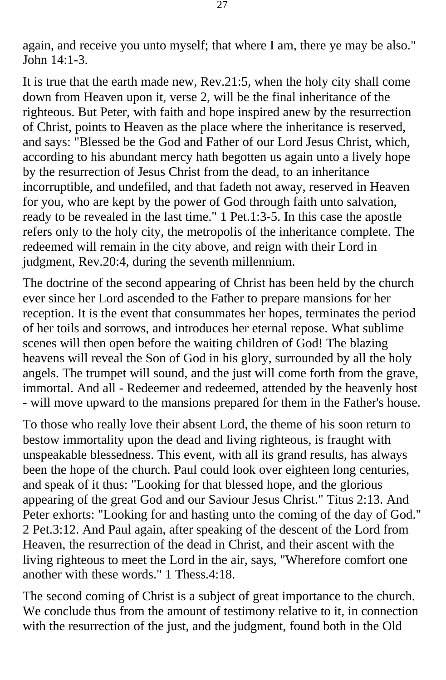again, and receive you unto myself; that where I am, there ye may be also." John  $14.1-3$ .

It is true that the earth made new, Rev.21:5, when the holy city shall come down from Heaven upon it, verse 2, will be the final inheritance of the righteous. But Peter, with faith and hope inspired anew by the resurrection of Christ, points to Heaven as the place where the inheritance is reserved, and says: "Blessed be the God and Father of our Lord Jesus Christ, which, according to his abundant mercy hath begotten us again unto a lively hope by the resurrection of Jesus Christ from the dead, to an inheritance incorruptible, and undefiled, and that fadeth not away, reserved in Heaven for you, who are kept by the power of God through faith unto salvation, ready to be revealed in the last time." 1 Pet.1:3-5. In this case the apostle refers only to the holy city, the metropolis of the inheritance complete. The redeemed will remain in the city above, and reign with their Lord in judgment, Rev.20:4, during the seventh millennium.

The doctrine of the second appearing of Christ has been held by the church ever since her Lord ascended to the Father to prepare mansions for her reception. It is the event that consummates her hopes, terminates the period of her toils and sorrows, and introduces her eternal repose. What sublime scenes will then open before the waiting children of God! The blazing heavens will reveal the Son of God in his glory, surrounded by all the holy angels. The trumpet will sound, and the just will come forth from the grave, immortal. And all - Redeemer and redeemed, attended by the heavenly host - will move upward to the mansions prepared for them in the Father's house.

To those who really love their absent Lord, the theme of his soon return to bestow immortality upon the dead and living righteous, is fraught with unspeakable blessedness. This event, with all its grand results, has always been the hope of the church. Paul could look over eighteen long centuries, and speak of it thus: "Looking for that blessed hope, and the glorious appearing of the great God and our Saviour Jesus Christ." Titus 2:13. And Peter exhorts: "Looking for and hasting unto the coming of the day of God." 2 Pet.3:12. And Paul again, after speaking of the descent of the Lord from Heaven, the resurrection of the dead in Christ, and their ascent with the living righteous to meet the Lord in the air, says, "Wherefore comfort one another with these words." 1 Thess.4:18.

The second coming of Christ is a subject of great importance to the church. We conclude thus from the amount of testimony relative to it, in connection with the resurrection of the just, and the judgment, found both in the Old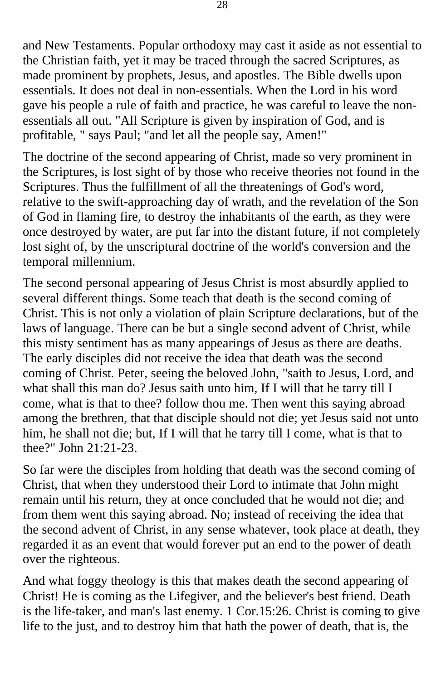and New Testaments. Popular orthodoxy may cast it aside as not essential to the Christian faith, yet it may be traced through the sacred Scriptures, as made prominent by prophets, Jesus, and apostles. The Bible dwells upon essentials. It does not deal in non-essentials. When the Lord in his word gave his people a rule of faith and practice, he was careful to leave the nonessentials all out. "All Scripture is given by inspiration of God, and is profitable, " says Paul; "and let all the people say, Amen!"

The doctrine of the second appearing of Christ, made so very prominent in the Scriptures, is lost sight of by those who receive theories not found in the Scriptures. Thus the fulfillment of all the threatenings of God's word, relative to the swift-approaching day of wrath, and the revelation of the Son of God in flaming fire, to destroy the inhabitants of the earth, as they were once destroyed by water, are put far into the distant future, if not completely lost sight of, by the unscriptural doctrine of the world's conversion and the temporal millennium.

The second personal appearing of Jesus Christ is most absurdly applied to several different things. Some teach that death is the second coming of Christ. This is not only a violation of plain Scripture declarations, but of the laws of language. There can be but a single second advent of Christ, while this misty sentiment has as many appearings of Jesus as there are deaths. The early disciples did not receive the idea that death was the second coming of Christ. Peter, seeing the beloved John, "saith to Jesus, Lord, and what shall this man do? Jesus saith unto him, If I will that he tarry till I come, what is that to thee? follow thou me. Then went this saying abroad among the brethren, that that disciple should not die; yet Jesus said not unto him, he shall not die; but, If I will that he tarry till I come, what is that to thee?" John 21:21-23.

So far were the disciples from holding that death was the second coming of Christ, that when they understood their Lord to intimate that John might remain until his return, they at once concluded that he would not die; and from them went this saying abroad. No; instead of receiving the idea that the second advent of Christ, in any sense whatever, took place at death, they regarded it as an event that would forever put an end to the power of death over the righteous.

And what foggy theology is this that makes death the second appearing of Christ! He is coming as the Lifegiver, and the believer's best friend. Death is the life-taker, and man's last enemy. 1 Cor.15:26. Christ is coming to give life to the just, and to destroy him that hath the power of death, that is, the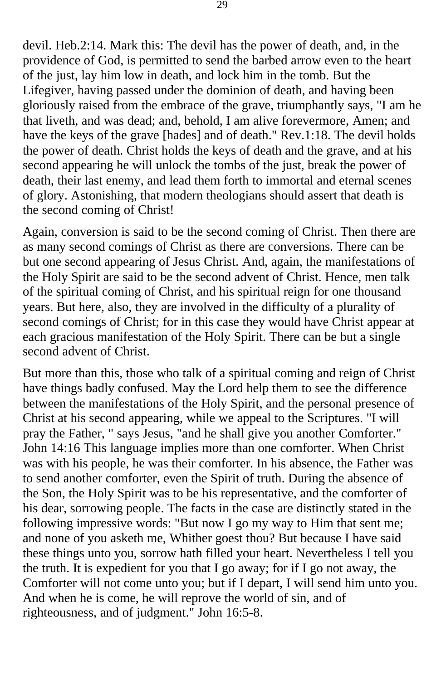devil. Heb.2:14. Mark this: The devil has the power of death, and, in the providence of God, is permitted to send the barbed arrow even to the heart of the just, lay him low in death, and lock him in the tomb. But the Lifegiver, having passed under the dominion of death, and having been gloriously raised from the embrace of the grave, triumphantly says, "I am he that liveth, and was dead; and, behold, I am alive forevermore, Amen; and have the keys of the grave [hades] and of death." Rev.1:18. The devil holds the power of death. Christ holds the keys of death and the grave, and at his second appearing he will unlock the tombs of the just, break the power of death, their last enemy, and lead them forth to immortal and eternal scenes of glory. Astonishing, that modern theologians should assert that death is the second coming of Christ!

Again, conversion is said to be the second coming of Christ. Then there are as many second comings of Christ as there are conversions. There can be but one second appearing of Jesus Christ. And, again, the manifestations of the Holy Spirit are said to be the second advent of Christ. Hence, men talk of the spiritual coming of Christ, and his spiritual reign for one thousand years. But here, also, they are involved in the difficulty of a plurality of second comings of Christ; for in this case they would have Christ appear at each gracious manifestation of the Holy Spirit. There can be but a single second advent of Christ.

But more than this, those who talk of a spiritual coming and reign of Christ have things badly confused. May the Lord help them to see the difference between the manifestations of the Holy Spirit, and the personal presence of Christ at his second appearing, while we appeal to the Scriptures. "I will pray the Father, " says Jesus, "and he shall give you another Comforter." John 14:16 This language implies more than one comforter. When Christ was with his people, he was their comforter. In his absence, the Father was to send another comforter, even the Spirit of truth. During the absence of the Son, the Holy Spirit was to be his representative, and the comforter of his dear, sorrowing people. The facts in the case are distinctly stated in the following impressive words: "But now I go my way to Him that sent me; and none of you asketh me, Whither goest thou? But because I have said these things unto you, sorrow hath filled your heart. Nevertheless I tell you the truth. It is expedient for you that I go away; for if I go not away, the Comforter will not come unto you; but if I depart, I will send him unto you. And when he is come, he will reprove the world of sin, and of righteousness, and of judgment." John 16:5-8.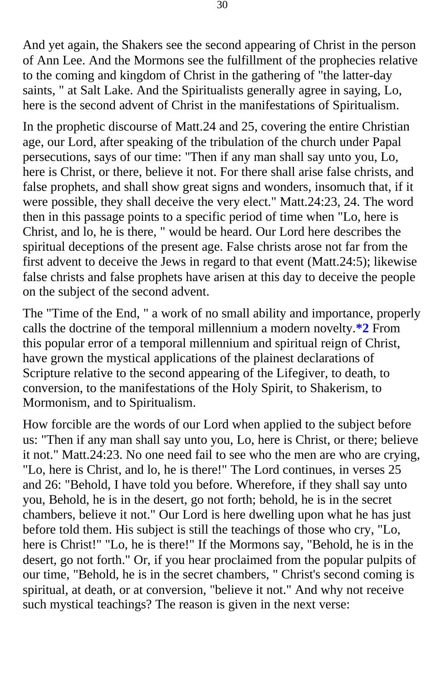And yet again, the Shakers see the second appearing of Christ in the person of Ann Lee. And the Mormons see the fulfillment of the prophecies relative to the coming and kingdom of Christ in the gathering of "the latter-day saints, " at Salt Lake. And the Spiritualists generally agree in saying, Lo, here is the second advent of Christ in the manifestations of Spiritualism.

In the prophetic discourse of Matt.24 and 25, covering the entire Christian age, our Lord, after speaking of the tribulation of the church under Papal persecutions, says of our time: "Then if any man shall say unto you, Lo, here is Christ, or there, believe it not. For there shall arise false christs, and false prophets, and shall show great signs and wonders, insomuch that, if it were possible, they shall deceive the very elect." Matt.24:23, 24. The word then in this passage points to a specific period of time when "Lo, here is Christ, and lo, he is there, " would be heard. Our Lord here describes the spiritual deceptions of the present age. False christs arose not far from the first advent to deceive the Jews in regard to that event (Matt.24:5); likewise false christs and false prophets have arisen at this day to deceive the people on the subject of the second advent.

The "Time of the End, " a work of no small ability and importance, properly calls the doctrine of the temporal millennium a modern novelty.**[\\*2](#page-125-0)** From this popular error of a temporal millennium and spiritual reign of Christ, have grown the mystical applications of the plainest declarations of Scripture relative to the second appearing of the Lifegiver, to death, to conversion, to the manifestations of the Holy Spirit, to Shakerism, to Mormonism, and to Spiritualism.

How forcible are the words of our Lord when applied to the subject before us: "Then if any man shall say unto you, Lo, here is Christ, or there; believe it not." Matt.24:23. No one need fail to see who the men are who are crying, "Lo, here is Christ, and lo, he is there!" The Lord continues, in verses 25 and 26: "Behold, I have told you before. Wherefore, if they shall say unto you, Behold, he is in the desert, go not forth; behold, he is in the secret chambers, believe it not." Our Lord is here dwelling upon what he has just before told them. His subject is still the teachings of those who cry, "Lo, here is Christ!" "Lo, he is there!" If the Mormons say, "Behold, he is in the desert, go not forth." Or, if you hear proclaimed from the popular pulpits of our time, "Behold, he is in the secret chambers, " Christ's second coming is spiritual, at death, or at conversion, "believe it not." And why not receive such mystical teachings? The reason is given in the next verse: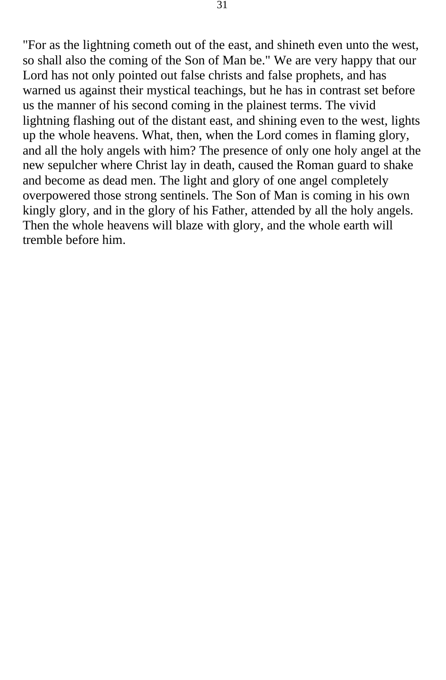"For as the lightning cometh out of the east, and shineth even unto the west, so shall also the coming of the Son of Man be." We are very happy that our Lord has not only pointed out false christs and false prophets, and has warned us against their mystical teachings, but he has in contrast set before us the manner of his second coming in the plainest terms. The vivid lightning flashing out of the distant east, and shining even to the west, lights up the whole heavens. What, then, when the Lord comes in flaming glory, and all the holy angels with him? The presence of only one holy angel at the new sepulcher where Christ lay in death, caused the Roman guard to shake and become as dead men. The light and glory of one angel completely overpowered those strong sentinels. The Son of Man is coming in his own kingly glory, and in the glory of his Father, attended by all the holy angels. Then the whole heavens will blaze with glory, and the whole earth will tremble before him.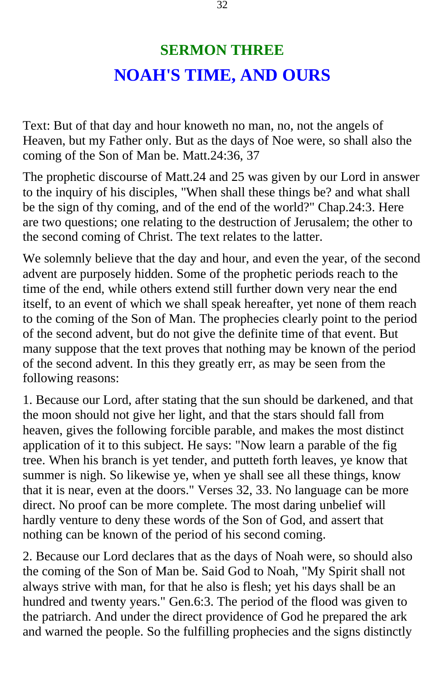### **SERMON THREE NOAH'S TIME, AND OURS**

<span id="page-31-0"></span>Text: But of that day and hour knoweth no man, no, not the angels of Heaven, but my Father only. But as the days of Noe were, so shall also the coming of the Son of Man be. Matt.24:36, 37

The prophetic discourse of Matt.24 and 25 was given by our Lord in answer to the inquiry of his disciples, "When shall these things be? and what shall be the sign of thy coming, and of the end of the world?" Chap.24:3. Here are two questions; one relating to the destruction of Jerusalem; the other to the second coming of Christ. The text relates to the latter.

We solemnly believe that the day and hour, and even the year, of the second advent are purposely hidden. Some of the prophetic periods reach to the time of the end, while others extend still further down very near the end itself, to an event of which we shall speak hereafter, yet none of them reach to the coming of the Son of Man. The prophecies clearly point to the period of the second advent, but do not give the definite time of that event. But many suppose that the text proves that nothing may be known of the period of the second advent. In this they greatly err, as may be seen from the following reasons:

1. Because our Lord, after stating that the sun should be darkened, and that the moon should not give her light, and that the stars should fall from heaven, gives the following forcible parable, and makes the most distinct application of it to this subject. He says: "Now learn a parable of the fig tree. When his branch is yet tender, and putteth forth leaves, ye know that summer is nigh. So likewise ye, when ye shall see all these things, know that it is near, even at the doors." Verses 32, 33. No language can be more direct. No proof can be more complete. The most daring unbelief will hardly venture to deny these words of the Son of God, and assert that nothing can be known of the period of his second coming.

2. Because our Lord declares that as the days of Noah were, so should also the coming of the Son of Man be. Said God to Noah, "My Spirit shall not always strive with man, for that he also is flesh; yet his days shall be an hundred and twenty years." Gen.6:3. The period of the flood was given to the patriarch. And under the direct providence of God he prepared the ark and warned the people. So the fulfilling prophecies and the signs distinctly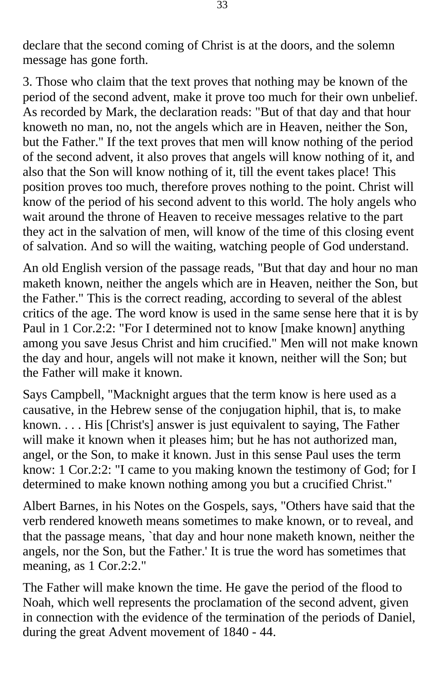declare that the second coming of Christ is at the doors, and the solemn message has gone forth.

3. Those who claim that the text proves that nothing may be known of the period of the second advent, make it prove too much for their own unbelief. As recorded by Mark, the declaration reads: "But of that day and that hour knoweth no man, no, not the angels which are in Heaven, neither the Son, but the Father." If the text proves that men will know nothing of the period of the second advent, it also proves that angels will know nothing of it, and also that the Son will know nothing of it, till the event takes place! This position proves too much, therefore proves nothing to the point. Christ will know of the period of his second advent to this world. The holy angels who wait around the throne of Heaven to receive messages relative to the part they act in the salvation of men, will know of the time of this closing event of salvation. And so will the waiting, watching people of God understand.

An old English version of the passage reads, "But that day and hour no man maketh known, neither the angels which are in Heaven, neither the Son, but the Father." This is the correct reading, according to several of the ablest critics of the age. The word know is used in the same sense here that it is by Paul in 1 Cor.2:2: "For I determined not to know [make known] anything among you save Jesus Christ and him crucified." Men will not make known the day and hour, angels will not make it known, neither will the Son; but the Father will make it known.

Says Campbell, "Macknight argues that the term know is here used as a causative, in the Hebrew sense of the conjugation hiphil, that is, to make known. . . . His [Christ's] answer is just equivalent to saying, The Father will make it known when it pleases him; but he has not authorized man, angel, or the Son, to make it known. Just in this sense Paul uses the term know: 1 Cor.2:2: "I came to you making known the testimony of God; for I determined to make known nothing among you but a crucified Christ."

Albert Barnes, in his Notes on the Gospels, says, "Others have said that the verb rendered knoweth means sometimes to make known, or to reveal, and that the passage means, `that day and hour none maketh known, neither the angels, nor the Son, but the Father.' It is true the word has sometimes that meaning, as 1 Cor.2:2."

The Father will make known the time. He gave the period of the flood to Noah, which well represents the proclamation of the second advent, given in connection with the evidence of the termination of the periods of Daniel, during the great Advent movement of 1840 - 44.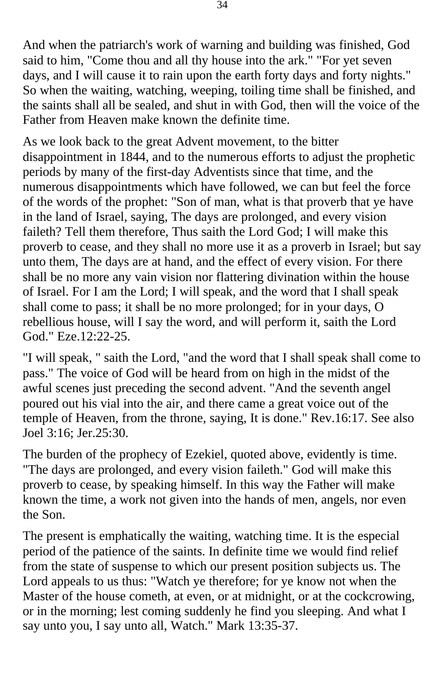And when the patriarch's work of warning and building was finished, God said to him, "Come thou and all thy house into the ark." "For yet seven days, and I will cause it to rain upon the earth forty days and forty nights." So when the waiting, watching, weeping, toiling time shall be finished, and the saints shall all be sealed, and shut in with God, then will the voice of the Father from Heaven make known the definite time.

As we look back to the great Advent movement, to the bitter disappointment in 1844, and to the numerous efforts to adjust the prophetic periods by many of the first-day Adventists since that time, and the numerous disappointments which have followed, we can but feel the force of the words of the prophet: "Son of man, what is that proverb that ye have in the land of Israel, saying, The days are prolonged, and every vision faileth? Tell them therefore, Thus saith the Lord God; I will make this proverb to cease, and they shall no more use it as a proverb in Israel; but say unto them, The days are at hand, and the effect of every vision. For there shall be no more any vain vision nor flattering divination within the house of Israel. For I am the Lord; I will speak, and the word that I shall speak shall come to pass; it shall be no more prolonged; for in your days, O rebellious house, will I say the word, and will perform it, saith the Lord God." Eze.12:22-25.

"I will speak, " saith the Lord, "and the word that I shall speak shall come to pass." The voice of God will be heard from on high in the midst of the awful scenes just preceding the second advent. "And the seventh angel poured out his vial into the air, and there came a great voice out of the temple of Heaven, from the throne, saying, It is done." Rev.16:17. See also Joel 3:16; Jer.25:30.

The burden of the prophecy of Ezekiel, quoted above, evidently is time. "The days are prolonged, and every vision faileth." God will make this proverb to cease, by speaking himself. In this way the Father will make known the time, a work not given into the hands of men, angels, nor even the Son.

The present is emphatically the waiting, watching time. It is the especial period of the patience of the saints. In definite time we would find relief from the state of suspense to which our present position subjects us. The Lord appeals to us thus: "Watch ye therefore; for ye know not when the Master of the house cometh, at even, or at midnight, or at the cockcrowing, or in the morning; lest coming suddenly he find you sleeping. And what I say unto you, I say unto all, Watch." Mark 13:35-37.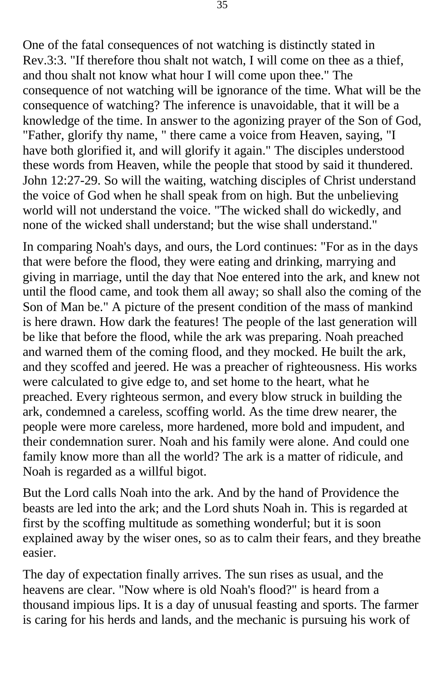One of the fatal consequences of not watching is distinctly stated in Rev.3:3. "If therefore thou shalt not watch, I will come on thee as a thief, and thou shalt not know what hour I will come upon thee." The consequence of not watching will be ignorance of the time. What will be the consequence of watching? The inference is unavoidable, that it will be a knowledge of the time. In answer to the agonizing prayer of the Son of God, "Father, glorify thy name, " there came a voice from Heaven, saying, "I have both glorified it, and will glorify it again." The disciples understood these words from Heaven, while the people that stood by said it thundered. John 12:27-29. So will the waiting, watching disciples of Christ understand the voice of God when he shall speak from on high. But the unbelieving world will not understand the voice. "The wicked shall do wickedly, and none of the wicked shall understand; but the wise shall understand."

In comparing Noah's days, and ours, the Lord continues: "For as in the days that were before the flood, they were eating and drinking, marrying and giving in marriage, until the day that Noe entered into the ark, and knew not until the flood came, and took them all away; so shall also the coming of the Son of Man be." A picture of the present condition of the mass of mankind is here drawn. How dark the features! The people of the last generation will be like that before the flood, while the ark was preparing. Noah preached and warned them of the coming flood, and they mocked. He built the ark, and they scoffed and jeered. He was a preacher of righteousness. His works were calculated to give edge to, and set home to the heart, what he preached. Every righteous sermon, and every blow struck in building the ark, condemned a careless, scoffing world. As the time drew nearer, the people were more careless, more hardened, more bold and impudent, and their condemnation surer. Noah and his family were alone. And could one family know more than all the world? The ark is a matter of ridicule, and Noah is regarded as a willful bigot.

But the Lord calls Noah into the ark. And by the hand of Providence the beasts are led into the ark; and the Lord shuts Noah in. This is regarded at first by the scoffing multitude as something wonderful; but it is soon explained away by the wiser ones, so as to calm their fears, and they breathe easier.

The day of expectation finally arrives. The sun rises as usual, and the heavens are clear. "Now where is old Noah's flood?" is heard from a thousand impious lips. It is a day of unusual feasting and sports. The farmer is caring for his herds and lands, and the mechanic is pursuing his work of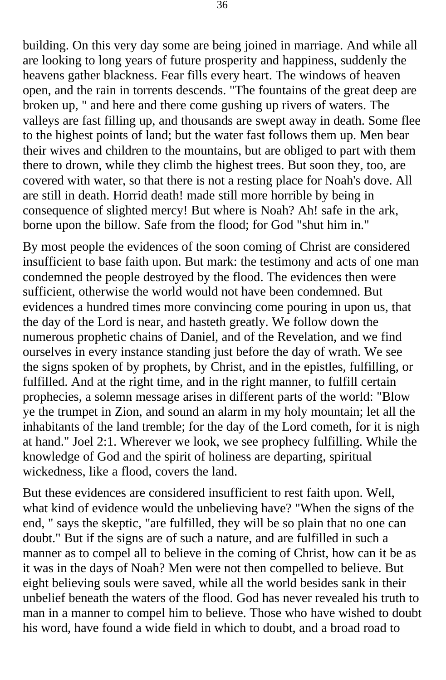building. On this very day some are being joined in marriage. And while all are looking to long years of future prosperity and happiness, suddenly the heavens gather blackness. Fear fills every heart. The windows of heaven open, and the rain in torrents descends. "The fountains of the great deep are broken up, " and here and there come gushing up rivers of waters. The valleys are fast filling up, and thousands are swept away in death. Some flee to the highest points of land; but the water fast follows them up. Men bear their wives and children to the mountains, but are obliged to part with them there to drown, while they climb the highest trees. But soon they, too, are covered with water, so that there is not a resting place for Noah's dove. All are still in death. Horrid death! made still more horrible by being in consequence of slighted mercy! But where is Noah? Ah! safe in the ark, borne upon the billow. Safe from the flood; for God "shut him in."

By most people the evidences of the soon coming of Christ are considered insufficient to base faith upon. But mark: the testimony and acts of one man condemned the people destroyed by the flood. The evidences then were sufficient, otherwise the world would not have been condemned. But evidences a hundred times more convincing come pouring in upon us, that the day of the Lord is near, and hasteth greatly. We follow down the numerous prophetic chains of Daniel, and of the Revelation, and we find ourselves in every instance standing just before the day of wrath. We see the signs spoken of by prophets, by Christ, and in the epistles, fulfilling, or fulfilled. And at the right time, and in the right manner, to fulfill certain prophecies, a solemn message arises in different parts of the world: "Blow ye the trumpet in Zion, and sound an alarm in my holy mountain; let all the inhabitants of the land tremble; for the day of the Lord cometh, for it is nigh at hand." Joel 2:1. Wherever we look, we see prophecy fulfilling. While the knowledge of God and the spirit of holiness are departing, spiritual wickedness, like a flood, covers the land.

But these evidences are considered insufficient to rest faith upon. Well, what kind of evidence would the unbelieving have? "When the signs of the end, " says the skeptic, "are fulfilled, they will be so plain that no one can doubt." But if the signs are of such a nature, and are fulfilled in such a manner as to compel all to believe in the coming of Christ, how can it be as it was in the days of Noah? Men were not then compelled to believe. But eight believing souls were saved, while all the world besides sank in their unbelief beneath the waters of the flood. God has never revealed his truth to man in a manner to compel him to believe. Those who have wished to doubt his word, have found a wide field in which to doubt, and a broad road to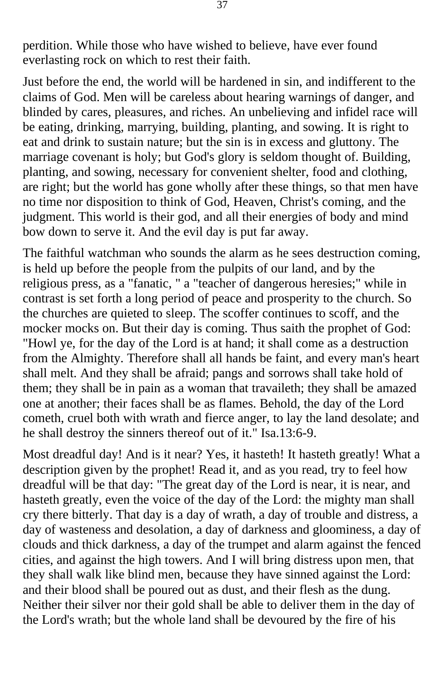perdition. While those who have wished to believe, have ever found everlasting rock on which to rest their faith.

Just before the end, the world will be hardened in sin, and indifferent to the claims of God. Men will be careless about hearing warnings of danger, and blinded by cares, pleasures, and riches. An unbelieving and infidel race will be eating, drinking, marrying, building, planting, and sowing. It is right to eat and drink to sustain nature; but the sin is in excess and gluttony. The marriage covenant is holy; but God's glory is seldom thought of. Building, planting, and sowing, necessary for convenient shelter, food and clothing, are right; but the world has gone wholly after these things, so that men have no time nor disposition to think of God, Heaven, Christ's coming, and the judgment. This world is their god, and all their energies of body and mind bow down to serve it. And the evil day is put far away.

The faithful watchman who sounds the alarm as he sees destruction coming, is held up before the people from the pulpits of our land, and by the religious press, as a "fanatic, " a "teacher of dangerous heresies;" while in contrast is set forth a long period of peace and prosperity to the church. So the churches are quieted to sleep. The scoffer continues to scoff, and the mocker mocks on. But their day is coming. Thus saith the prophet of God: "Howl ye, for the day of the Lord is at hand; it shall come as a destruction from the Almighty. Therefore shall all hands be faint, and every man's heart shall melt. And they shall be afraid; pangs and sorrows shall take hold of them; they shall be in pain as a woman that travaileth; they shall be amazed one at another; their faces shall be as flames. Behold, the day of the Lord cometh, cruel both with wrath and fierce anger, to lay the land desolate; and he shall destroy the sinners thereof out of it." Isa.13:6-9.

Most dreadful day! And is it near? Yes, it hasteth! It hasteth greatly! What a description given by the prophet! Read it, and as you read, try to feel how dreadful will be that day: "The great day of the Lord is near, it is near, and hasteth greatly, even the voice of the day of the Lord: the mighty man shall cry there bitterly. That day is a day of wrath, a day of trouble and distress, a day of wasteness and desolation, a day of darkness and gloominess, a day of clouds and thick darkness, a day of the trumpet and alarm against the fenced cities, and against the high towers. And I will bring distress upon men, that they shall walk like blind men, because they have sinned against the Lord: and their blood shall be poured out as dust, and their flesh as the dung. Neither their silver nor their gold shall be able to deliver them in the day of the Lord's wrath; but the whole land shall be devoured by the fire of his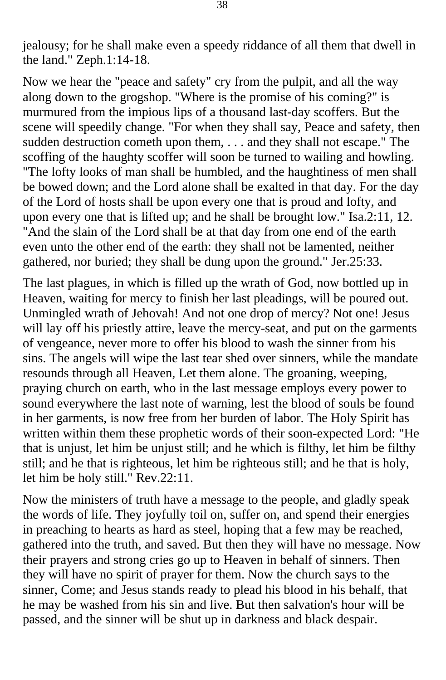jealousy; for he shall make even a speedy riddance of all them that dwell in the land." Zeph.1:14-18.

Now we hear the "peace and safety" cry from the pulpit, and all the way along down to the grogshop. "Where is the promise of his coming?" is murmured from the impious lips of a thousand last-day scoffers. But the scene will speedily change. "For when they shall say, Peace and safety, then sudden destruction cometh upon them, . . . and they shall not escape." The scoffing of the haughty scoffer will soon be turned to wailing and howling. "The lofty looks of man shall be humbled, and the haughtiness of men shall be bowed down; and the Lord alone shall be exalted in that day. For the day of the Lord of hosts shall be upon every one that is proud and lofty, and upon every one that is lifted up; and he shall be brought low." Isa.2:11, 12. "And the slain of the Lord shall be at that day from one end of the earth even unto the other end of the earth: they shall not be lamented, neither gathered, nor buried; they shall be dung upon the ground." Jer.25:33.

The last plagues, in which is filled up the wrath of God, now bottled up in Heaven, waiting for mercy to finish her last pleadings, will be poured out. Unmingled wrath of Jehovah! And not one drop of mercy? Not one! Jesus will lay off his priestly attire, leave the mercy-seat, and put on the garments of vengeance, never more to offer his blood to wash the sinner from his sins. The angels will wipe the last tear shed over sinners, while the mandate resounds through all Heaven, Let them alone. The groaning, weeping, praying church on earth, who in the last message employs every power to sound everywhere the last note of warning, lest the blood of souls be found in her garments, is now free from her burden of labor. The Holy Spirit has written within them these prophetic words of their soon-expected Lord: "He that is unjust, let him be unjust still; and he which is filthy, let him be filthy still; and he that is righteous, let him be righteous still; and he that is holy, let him be holy still." Rev.22:11.

Now the ministers of truth have a message to the people, and gladly speak the words of life. They joyfully toil on, suffer on, and spend their energies in preaching to hearts as hard as steel, hoping that a few may be reached, gathered into the truth, and saved. But then they will have no message. Now their prayers and strong cries go up to Heaven in behalf of sinners. Then they will have no spirit of prayer for them. Now the church says to the sinner, Come; and Jesus stands ready to plead his blood in his behalf, that he may be washed from his sin and live. But then salvation's hour will be passed, and the sinner will be shut up in darkness and black despair.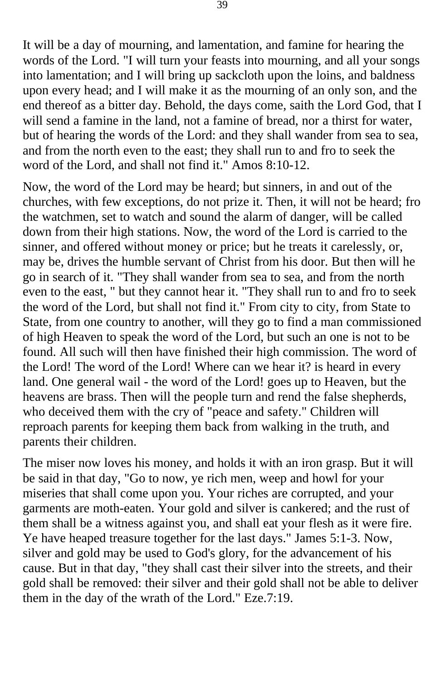It will be a day of mourning, and lamentation, and famine for hearing the words of the Lord. "I will turn your feasts into mourning, and all your songs into lamentation; and I will bring up sackcloth upon the loins, and baldness upon every head; and I will make it as the mourning of an only son, and the end thereof as a bitter day. Behold, the days come, saith the Lord God, that I will send a famine in the land, not a famine of bread, nor a thirst for water, but of hearing the words of the Lord: and they shall wander from sea to sea, and from the north even to the east; they shall run to and fro to seek the word of the Lord, and shall not find it." Amos 8:10-12.

Now, the word of the Lord may be heard; but sinners, in and out of the churches, with few exceptions, do not prize it. Then, it will not be heard; fro the watchmen, set to watch and sound the alarm of danger, will be called down from their high stations. Now, the word of the Lord is carried to the sinner, and offered without money or price; but he treats it carelessly, or, may be, drives the humble servant of Christ from his door. But then will he go in search of it. "They shall wander from sea to sea, and from the north even to the east, " but they cannot hear it. "They shall run to and fro to seek the word of the Lord, but shall not find it." From city to city, from State to State, from one country to another, will they go to find a man commissioned of high Heaven to speak the word of the Lord, but such an one is not to be found. All such will then have finished their high commission. The word of the Lord! The word of the Lord! Where can we hear it? is heard in every land. One general wail - the word of the Lord! goes up to Heaven, but the heavens are brass. Then will the people turn and rend the false shepherds, who deceived them with the cry of "peace and safety." Children will reproach parents for keeping them back from walking in the truth, and parents their children.

The miser now loves his money, and holds it with an iron grasp. But it will be said in that day, "Go to now, ye rich men, weep and howl for your miseries that shall come upon you. Your riches are corrupted, and your garments are moth-eaten. Your gold and silver is cankered; and the rust of them shall be a witness against you, and shall eat your flesh as it were fire. Ye have heaped treasure together for the last days." James 5:1-3. Now, silver and gold may be used to God's glory, for the advancement of his cause. But in that day, "they shall cast their silver into the streets, and their gold shall be removed: their silver and their gold shall not be able to deliver them in the day of the wrath of the Lord." Eze.7:19.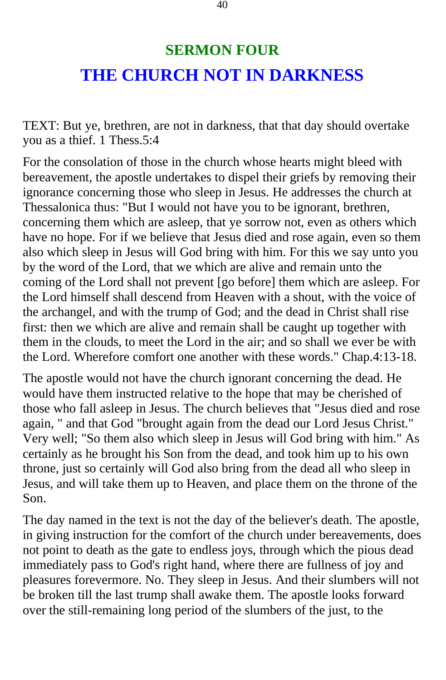# **SERMON FOUR THE CHURCH NOT IN DARKNESS**

TEXT: But ye, brethren, are not in darkness, that that day should overtake you as a thief. 1 Thess.5:4

For the consolation of those in the church whose hearts might bleed with bereavement, the apostle undertakes to dispel their griefs by removing their ignorance concerning those who sleep in Jesus. He addresses the church at Thessalonica thus: "But I would not have you to be ignorant, brethren, concerning them which are asleep, that ye sorrow not, even as others which have no hope. For if we believe that Jesus died and rose again, even so them also which sleep in Jesus will God bring with him. For this we say unto you by the word of the Lord, that we which are alive and remain unto the coming of the Lord shall not prevent [go before] them which are asleep. For the Lord himself shall descend from Heaven with a shout, with the voice of the archangel, and with the trump of God; and the dead in Christ shall rise first: then we which are alive and remain shall be caught up together with them in the clouds, to meet the Lord in the air; and so shall we ever be with the Lord. Wherefore comfort one another with these words." Chap.4:13-18.

The apostle would not have the church ignorant concerning the dead. He would have them instructed relative to the hope that may be cherished of those who fall asleep in Jesus. The church believes that "Jesus died and rose again, " and that God "brought again from the dead our Lord Jesus Christ." Very well; "So them also which sleep in Jesus will God bring with him." As certainly as he brought his Son from the dead, and took him up to his own throne, just so certainly will God also bring from the dead all who sleep in Jesus, and will take them up to Heaven, and place them on the throne of the Son.

The day named in the text is not the day of the believer's death. The apostle, in giving instruction for the comfort of the church under bereavements, does not point to death as the gate to endless joys, through which the pious dead immediately pass to God's right hand, where there are fullness of joy and pleasures forevermore. No. They sleep in Jesus. And their slumbers will not be broken till the last trump shall awake them. The apostle looks forward over the still-remaining long period of the slumbers of the just, to the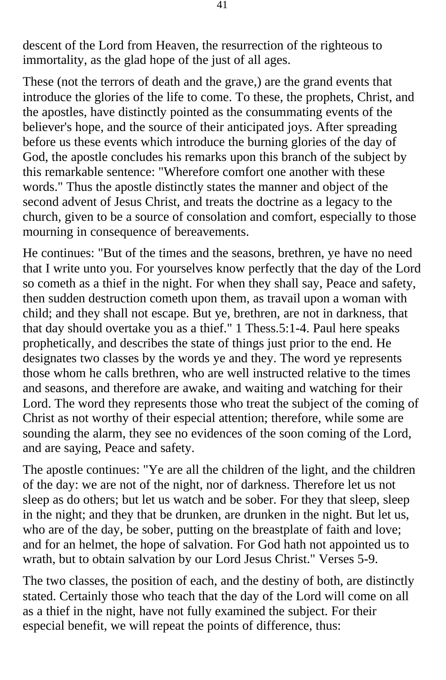descent of the Lord from Heaven, the resurrection of the righteous to immortality, as the glad hope of the just of all ages.

These (not the terrors of death and the grave,) are the grand events that introduce the glories of the life to come. To these, the prophets, Christ, and the apostles, have distinctly pointed as the consummating events of the believer's hope, and the source of their anticipated joys. After spreading before us these events which introduce the burning glories of the day of God, the apostle concludes his remarks upon this branch of the subject by this remarkable sentence: "Wherefore comfort one another with these words." Thus the apostle distinctly states the manner and object of the second advent of Jesus Christ, and treats the doctrine as a legacy to the church, given to be a source of consolation and comfort, especially to those mourning in consequence of bereavements.

He continues: "But of the times and the seasons, brethren, ye have no need that I write unto you. For yourselves know perfectly that the day of the Lord so cometh as a thief in the night. For when they shall say, Peace and safety, then sudden destruction cometh upon them, as travail upon a woman with child; and they shall not escape. But ye, brethren, are not in darkness, that that day should overtake you as a thief." 1 Thess.5:1-4. Paul here speaks prophetically, and describes the state of things just prior to the end. He designates two classes by the words ye and they. The word ye represents those whom he calls brethren, who are well instructed relative to the times and seasons, and therefore are awake, and waiting and watching for their Lord. The word they represents those who treat the subject of the coming of Christ as not worthy of their especial attention; therefore, while some are sounding the alarm, they see no evidences of the soon coming of the Lord, and are saying, Peace and safety.

The apostle continues: "Ye are all the children of the light, and the children of the day: we are not of the night, nor of darkness. Therefore let us not sleep as do others; but let us watch and be sober. For they that sleep, sleep in the night; and they that be drunken, are drunken in the night. But let us, who are of the day, be sober, putting on the breastplate of faith and love; and for an helmet, the hope of salvation. For God hath not appointed us to wrath, but to obtain salvation by our Lord Jesus Christ." Verses 5-9.

The two classes, the position of each, and the destiny of both, are distinctly stated. Certainly those who teach that the day of the Lord will come on all as a thief in the night, have not fully examined the subject. For their especial benefit, we will repeat the points of difference, thus: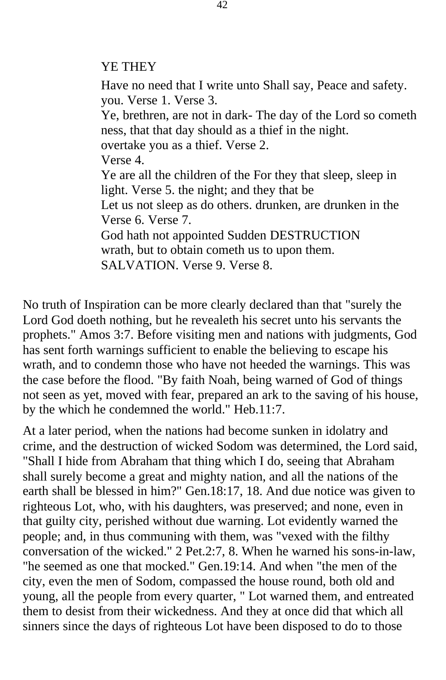#### YE THEY

Have no need that I write unto Shall say, Peace and safety. you. Verse 1. Verse 3. Ye, brethren, are not in dark- The day of the Lord so cometh ness, that that day should as a thief in the night. overtake you as a thief. Verse 2. Verse 4. Ye are all the children of the For they that sleep, sleep in light. Verse 5. the night; and they that be Let us not sleep as do others. drunken, are drunken in the Verse 6. Verse 7. God hath not appointed Sudden DESTRUCTION wrath, but to obtain cometh us to upon them. SALVATION. Verse 9. Verse 8.

No truth of Inspiration can be more clearly declared than that "surely the Lord God doeth nothing, but he revealeth his secret unto his servants the prophets." Amos 3:7. Before visiting men and nations with judgments, God has sent forth warnings sufficient to enable the believing to escape his wrath, and to condemn those who have not heeded the warnings. This was the case before the flood. "By faith Noah, being warned of God of things not seen as yet, moved with fear, prepared an ark to the saving of his house, by the which he condemned the world." Heb.11:7.

At a later period, when the nations had become sunken in idolatry and crime, and the destruction of wicked Sodom was determined, the Lord said, "Shall I hide from Abraham that thing which I do, seeing that Abraham shall surely become a great and mighty nation, and all the nations of the earth shall be blessed in him?" Gen.18:17, 18. And due notice was given to righteous Lot, who, with his daughters, was preserved; and none, even in that guilty city, perished without due warning. Lot evidently warned the people; and, in thus communing with them, was "vexed with the filthy conversation of the wicked." 2 Pet.2:7, 8. When he warned his sons-in-law, "he seemed as one that mocked." Gen.19:14. And when "the men of the city, even the men of Sodom, compassed the house round, both old and young, all the people from every quarter, " Lot warned them, and entreated them to desist from their wickedness. And they at once did that which all sinners since the days of righteous Lot have been disposed to do to those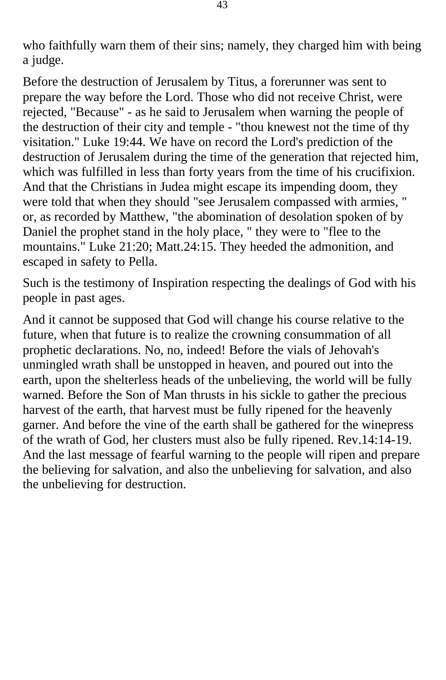who faithfully warn them of their sins; namely, they charged him with being a judge.

Before the destruction of Jerusalem by Titus, a forerunner was sent to prepare the way before the Lord. Those who did not receive Christ, were rejected, "Because" - as he said to Jerusalem when warning the people of the destruction of their city and temple - "thou knewest not the time of thy visitation." Luke 19:44. We have on record the Lord's prediction of the destruction of Jerusalem during the time of the generation that rejected him, which was fulfilled in less than forty years from the time of his crucifixion. And that the Christians in Judea might escape its impending doom, they were told that when they should "see Jerusalem compassed with armies, " or, as recorded by Matthew, "the abomination of desolation spoken of by Daniel the prophet stand in the holy place, " they were to "flee to the mountains." Luke 21:20; Matt.24:15. They heeded the admonition, and escaped in safety to Pella.

Such is the testimony of Inspiration respecting the dealings of God with his people in past ages.

And it cannot be supposed that God will change his course relative to the future, when that future is to realize the crowning consummation of all prophetic declarations. No, no, indeed! Before the vials of Jehovah's unmingled wrath shall be unstopped in heaven, and poured out into the earth, upon the shelterless heads of the unbelieving, the world will be fully warned. Before the Son of Man thrusts in his sickle to gather the precious harvest of the earth, that harvest must be fully ripened for the heavenly garner. And before the vine of the earth shall be gathered for the winepress of the wrath of God, her clusters must also be fully ripened. Rev.14:14-19. And the last message of fearful warning to the people will ripen and prepare the believing for salvation, and also the unbelieving for salvation, and also the unbelieving for destruction.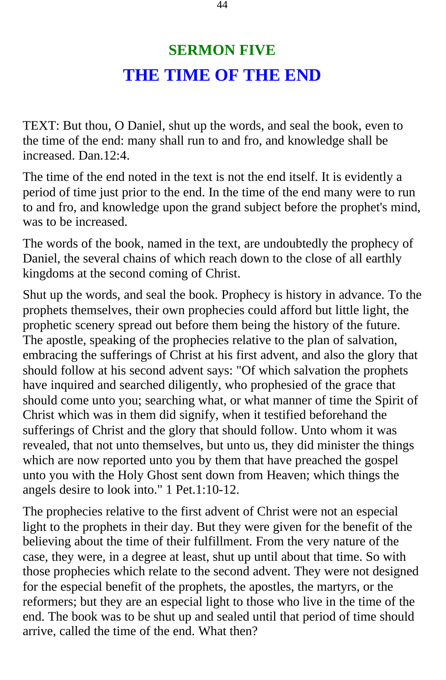# **SERMON FIVE THE TIME OF THE END**

TEXT: But thou, O Daniel, shut up the words, and seal the book, even to the time of the end: many shall run to and fro, and knowledge shall be increased. Dan.12:4.

The time of the end noted in the text is not the end itself. It is evidently a period of time just prior to the end. In the time of the end many were to run to and fro, and knowledge upon the grand subject before the prophet's mind, was to be increased.

The words of the book, named in the text, are undoubtedly the prophecy of Daniel, the several chains of which reach down to the close of all earthly kingdoms at the second coming of Christ.

Shut up the words, and seal the book. Prophecy is history in advance. To the prophets themselves, their own prophecies could afford but little light, the prophetic scenery spread out before them being the history of the future. The apostle, speaking of the prophecies relative to the plan of salvation, embracing the sufferings of Christ at his first advent, and also the glory that should follow at his second advent says: "Of which salvation the prophets have inquired and searched diligently, who prophesied of the grace that should come unto you; searching what, or what manner of time the Spirit of Christ which was in them did signify, when it testified beforehand the sufferings of Christ and the glory that should follow. Unto whom it was revealed, that not unto themselves, but unto us, they did minister the things which are now reported unto you by them that have preached the gospel unto you with the Holy Ghost sent down from Heaven; which things the angels desire to look into." 1 Pet.1:10-12.

The prophecies relative to the first advent of Christ were not an especial light to the prophets in their day. But they were given for the benefit of the believing about the time of their fulfillment. From the very nature of the case, they were, in a degree at least, shut up until about that time. So with those prophecies which relate to the second advent. They were not designed for the especial benefit of the prophets, the apostles, the martyrs, or the reformers; but they are an especial light to those who live in the time of the end. The book was to be shut up and sealed until that period of time should arrive, called the time of the end. What then?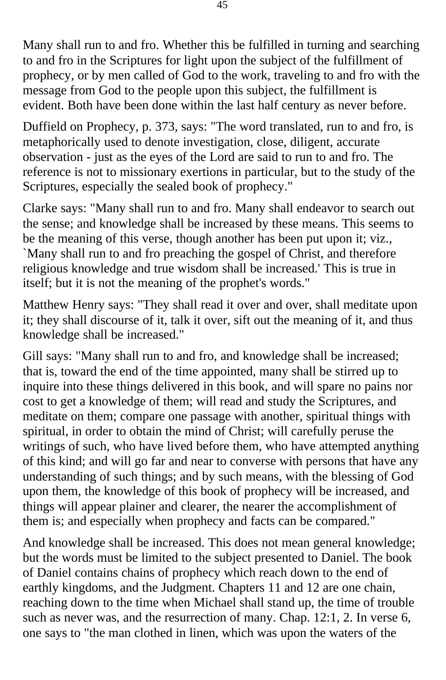Many shall run to and fro. Whether this be fulfilled in turning and searching to and fro in the Scriptures for light upon the subject of the fulfillment of prophecy, or by men called of God to the work, traveling to and fro with the message from God to the people upon this subject, the fulfillment is evident. Both have been done within the last half century as never before.

Duffield on Prophecy, p. 373, says: "The word translated, run to and fro, is metaphorically used to denote investigation, close, diligent, accurate observation - just as the eyes of the Lord are said to run to and fro. The reference is not to missionary exertions in particular, but to the study of the Scriptures, especially the sealed book of prophecy."

Clarke says: "Many shall run to and fro. Many shall endeavor to search out the sense; and knowledge shall be increased by these means. This seems to be the meaning of this verse, though another has been put upon it; viz., `Many shall run to and fro preaching the gospel of Christ, and therefore religious knowledge and true wisdom shall be increased.' This is true in itself; but it is not the meaning of the prophet's words."

Matthew Henry says: "They shall read it over and over, shall meditate upon it; they shall discourse of it, talk it over, sift out the meaning of it, and thus knowledge shall be increased."

Gill says: "Many shall run to and fro, and knowledge shall be increased; that is, toward the end of the time appointed, many shall be stirred up to inquire into these things delivered in this book, and will spare no pains nor cost to get a knowledge of them; will read and study the Scriptures, and meditate on them; compare one passage with another, spiritual things with spiritual, in order to obtain the mind of Christ; will carefully peruse the writings of such, who have lived before them, who have attempted anything of this kind; and will go far and near to converse with persons that have any understanding of such things; and by such means, with the blessing of God upon them, the knowledge of this book of prophecy will be increased, and things will appear plainer and clearer, the nearer the accomplishment of them is; and especially when prophecy and facts can be compared."

And knowledge shall be increased. This does not mean general knowledge; but the words must be limited to the subject presented to Daniel. The book of Daniel contains chains of prophecy which reach down to the end of earthly kingdoms, and the Judgment. Chapters 11 and 12 are one chain, reaching down to the time when Michael shall stand up, the time of trouble such as never was, and the resurrection of many. Chap. 12:1, 2. In verse 6, one says to "the man clothed in linen, which was upon the waters of the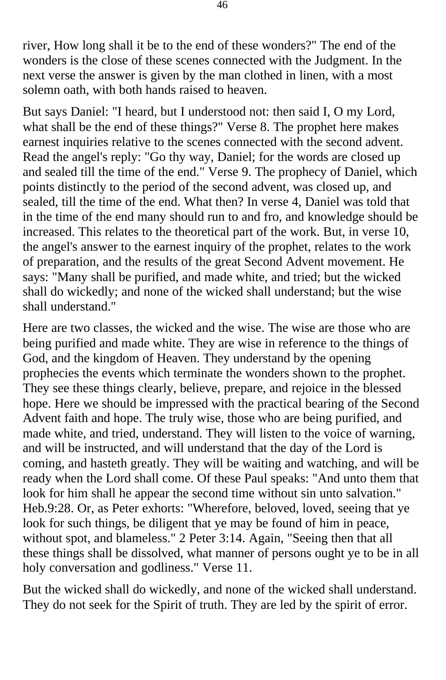river, How long shall it be to the end of these wonders?" The end of the wonders is the close of these scenes connected with the Judgment. In the next verse the answer is given by the man clothed in linen, with a most solemn oath, with both hands raised to heaven.

But says Daniel: "I heard, but I understood not: then said I, O my Lord, what shall be the end of these things?" Verse 8. The prophet here makes earnest inquiries relative to the scenes connected with the second advent. Read the angel's reply: "Go thy way, Daniel; for the words are closed up and sealed till the time of the end." Verse 9. The prophecy of Daniel, which points distinctly to the period of the second advent, was closed up, and sealed, till the time of the end. What then? In verse 4, Daniel was told that in the time of the end many should run to and fro, and knowledge should be increased. This relates to the theoretical part of the work. But, in verse 10, the angel's answer to the earnest inquiry of the prophet, relates to the work of preparation, and the results of the great Second Advent movement. He says: "Many shall be purified, and made white, and tried; but the wicked shall do wickedly; and none of the wicked shall understand; but the wise shall understand."

Here are two classes, the wicked and the wise. The wise are those who are being purified and made white. They are wise in reference to the things of God, and the kingdom of Heaven. They understand by the opening prophecies the events which terminate the wonders shown to the prophet. They see these things clearly, believe, prepare, and rejoice in the blessed hope. Here we should be impressed with the practical bearing of the Second Advent faith and hope. The truly wise, those who are being purified, and made white, and tried, understand. They will listen to the voice of warning, and will be instructed, and will understand that the day of the Lord is coming, and hasteth greatly. They will be waiting and watching, and will be ready when the Lord shall come. Of these Paul speaks: "And unto them that look for him shall he appear the second time without sin unto salvation." Heb.9:28. Or, as Peter exhorts: "Wherefore, beloved, loved, seeing that ye look for such things, be diligent that ye may be found of him in peace, without spot, and blameless." 2 Peter 3:14. Again, "Seeing then that all these things shall be dissolved, what manner of persons ought ye to be in all holy conversation and godliness." Verse 11.

But the wicked shall do wickedly, and none of the wicked shall understand. They do not seek for the Spirit of truth. They are led by the spirit of error.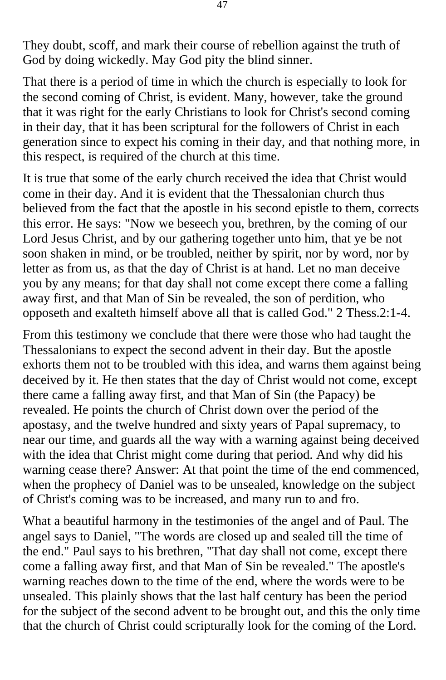They doubt, scoff, and mark their course of rebellion against the truth of God by doing wickedly. May God pity the blind sinner.

That there is a period of time in which the church is especially to look for the second coming of Christ, is evident. Many, however, take the ground that it was right for the early Christians to look for Christ's second coming in their day, that it has been scriptural for the followers of Christ in each generation since to expect his coming in their day, and that nothing more, in this respect, is required of the church at this time.

It is true that some of the early church received the idea that Christ would come in their day. And it is evident that the Thessalonian church thus believed from the fact that the apostle in his second epistle to them, corrects this error. He says: "Now we beseech you, brethren, by the coming of our Lord Jesus Christ, and by our gathering together unto him, that ye be not soon shaken in mind, or be troubled, neither by spirit, nor by word, nor by letter as from us, as that the day of Christ is at hand. Let no man deceive you by any means; for that day shall not come except there come a falling away first, and that Man of Sin be revealed, the son of perdition, who opposeth and exalteth himself above all that is called God." 2 Thess.2:1-4.

From this testimony we conclude that there were those who had taught the Thessalonians to expect the second advent in their day. But the apostle exhorts them not to be troubled with this idea, and warns them against being deceived by it. He then states that the day of Christ would not come, except there came a falling away first, and that Man of Sin (the Papacy) be revealed. He points the church of Christ down over the period of the apostasy, and the twelve hundred and sixty years of Papal supremacy, to near our time, and guards all the way with a warning against being deceived with the idea that Christ might come during that period. And why did his warning cease there? Answer: At that point the time of the end commenced, when the prophecy of Daniel was to be unsealed, knowledge on the subject of Christ's coming was to be increased, and many run to and fro.

What a beautiful harmony in the testimonies of the angel and of Paul. The angel says to Daniel, "The words are closed up and sealed till the time of the end." Paul says to his brethren, "That day shall not come, except there come a falling away first, and that Man of Sin be revealed." The apostle's warning reaches down to the time of the end, where the words were to be unsealed. This plainly shows that the last half century has been the period for the subject of the second advent to be brought out, and this the only time that the church of Christ could scripturally look for the coming of the Lord.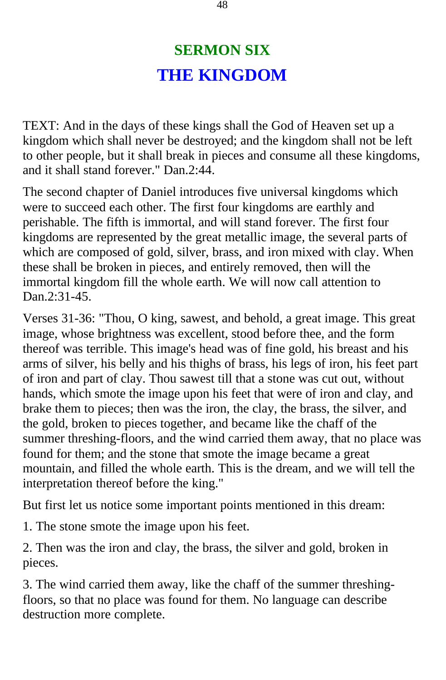# **SERMON SIX THE KINGDOM**

TEXT: And in the days of these kings shall the God of Heaven set up a kingdom which shall never be destroyed; and the kingdom shall not be left to other people, but it shall break in pieces and consume all these kingdoms, and it shall stand forever." Dan.2:44.

The second chapter of Daniel introduces five universal kingdoms which were to succeed each other. The first four kingdoms are earthly and perishable. The fifth is immortal, and will stand forever. The first four kingdoms are represented by the great metallic image, the several parts of which are composed of gold, silver, brass, and iron mixed with clay. When these shall be broken in pieces, and entirely removed, then will the immortal kingdom fill the whole earth. We will now call attention to Dan.2:31-45.

Verses 31-36: "Thou, O king, sawest, and behold, a great image. This great image, whose brightness was excellent, stood before thee, and the form thereof was terrible. This image's head was of fine gold, his breast and his arms of silver, his belly and his thighs of brass, his legs of iron, his feet part of iron and part of clay. Thou sawest till that a stone was cut out, without hands, which smote the image upon his feet that were of iron and clay, and brake them to pieces; then was the iron, the clay, the brass, the silver, and the gold, broken to pieces together, and became like the chaff of the summer threshing-floors, and the wind carried them away, that no place was found for them; and the stone that smote the image became a great mountain, and filled the whole earth. This is the dream, and we will tell the interpretation thereof before the king."

But first let us notice some important points mentioned in this dream:

1. The stone smote the image upon his feet.

2. Then was the iron and clay, the brass, the silver and gold, broken in pieces.

3. The wind carried them away, like the chaff of the summer threshingfloors, so that no place was found for them. No language can describe destruction more complete.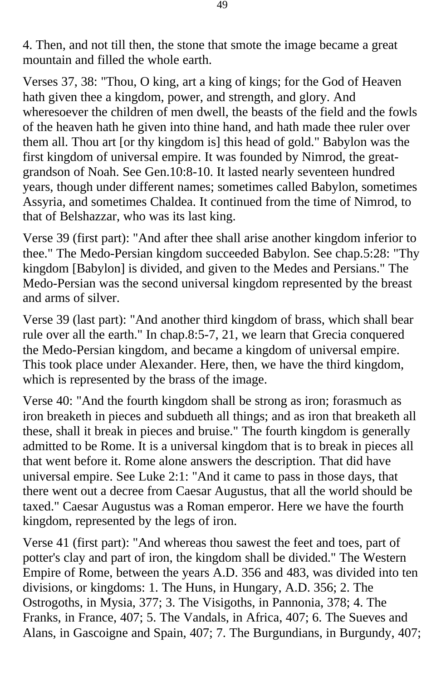4. Then, and not till then, the stone that smote the image became a great mountain and filled the whole earth.

Verses 37, 38: "Thou, O king, art a king of kings; for the God of Heaven hath given thee a kingdom, power, and strength, and glory. And wheresoever the children of men dwell, the beasts of the field and the fowls of the heaven hath he given into thine hand, and hath made thee ruler over them all. Thou art [or thy kingdom is] this head of gold." Babylon was the first kingdom of universal empire. It was founded by Nimrod, the greatgrandson of Noah. See Gen.10:8-10. It lasted nearly seventeen hundred years, though under different names; sometimes called Babylon, sometimes Assyria, and sometimes Chaldea. It continued from the time of Nimrod, to that of Belshazzar, who was its last king.

Verse 39 (first part): "And after thee shall arise another kingdom inferior to thee." The Medo-Persian kingdom succeeded Babylon. See chap.5:28: "Thy kingdom [Babylon] is divided, and given to the Medes and Persians." The Medo-Persian was the second universal kingdom represented by the breast and arms of silver.

Verse 39 (last part): "And another third kingdom of brass, which shall bear rule over all the earth." In chap.8:5-7, 21, we learn that Grecia conquered the Medo-Persian kingdom, and became a kingdom of universal empire. This took place under Alexander. Here, then, we have the third kingdom, which is represented by the brass of the image.

Verse 40: "And the fourth kingdom shall be strong as iron; forasmuch as iron breaketh in pieces and subdueth all things; and as iron that breaketh all these, shall it break in pieces and bruise." The fourth kingdom is generally admitted to be Rome. It is a universal kingdom that is to break in pieces all that went before it. Rome alone answers the description. That did have universal empire. See Luke 2:1: "And it came to pass in those days, that there went out a decree from Caesar Augustus, that all the world should be taxed." Caesar Augustus was a Roman emperor. Here we have the fourth kingdom, represented by the legs of iron.

Verse 41 (first part): "And whereas thou sawest the feet and toes, part of potter's clay and part of iron, the kingdom shall be divided." The Western Empire of Rome, between the years A.D. 356 and 483, was divided into ten divisions, or kingdoms: 1. The Huns, in Hungary, A.D. 356; 2. The Ostrogoths, in Mysia, 377; 3. The Visigoths, in Pannonia, 378; 4. The Franks, in France, 407; 5. The Vandals, in Africa, 407; 6. The Sueves and Alans, in Gascoigne and Spain, 407; 7. The Burgundians, in Burgundy, 407;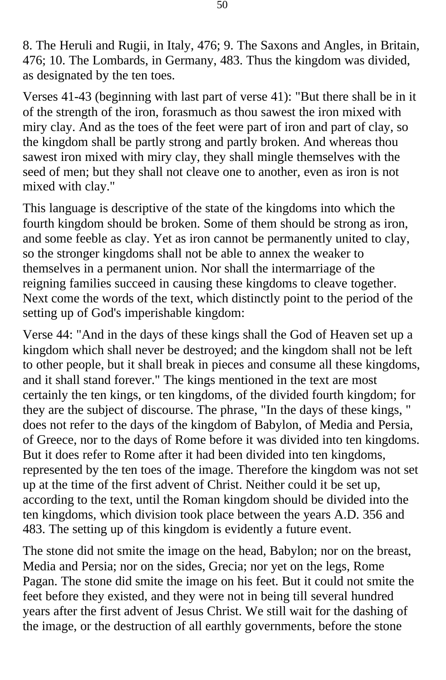8. The Heruli and Rugii, in Italy, 476; 9. The Saxons and Angles, in Britain, 476; 10. The Lombards, in Germany, 483. Thus the kingdom was divided, as designated by the ten toes.

Verses 41-43 (beginning with last part of verse 41): "But there shall be in it of the strength of the iron, forasmuch as thou sawest the iron mixed with miry clay. And as the toes of the feet were part of iron and part of clay, so the kingdom shall be partly strong and partly broken. And whereas thou sawest iron mixed with miry clay, they shall mingle themselves with the seed of men; but they shall not cleave one to another, even as iron is not mixed with clay."

This language is descriptive of the state of the kingdoms into which the fourth kingdom should be broken. Some of them should be strong as iron, and some feeble as clay. Yet as iron cannot be permanently united to clay, so the stronger kingdoms shall not be able to annex the weaker to themselves in a permanent union. Nor shall the intermarriage of the reigning families succeed in causing these kingdoms to cleave together. Next come the words of the text, which distinctly point to the period of the setting up of God's imperishable kingdom:

Verse 44: "And in the days of these kings shall the God of Heaven set up a kingdom which shall never be destroyed; and the kingdom shall not be left to other people, but it shall break in pieces and consume all these kingdoms, and it shall stand forever." The kings mentioned in the text are most certainly the ten kings, or ten kingdoms, of the divided fourth kingdom; for they are the subject of discourse. The phrase, "In the days of these kings, " does not refer to the days of the kingdom of Babylon, of Media and Persia, of Greece, nor to the days of Rome before it was divided into ten kingdoms. But it does refer to Rome after it had been divided into ten kingdoms, represented by the ten toes of the image. Therefore the kingdom was not set up at the time of the first advent of Christ. Neither could it be set up, according to the text, until the Roman kingdom should be divided into the ten kingdoms, which division took place between the years A.D. 356 and 483. The setting up of this kingdom is evidently a future event.

The stone did not smite the image on the head, Babylon; nor on the breast, Media and Persia; nor on the sides, Grecia; nor yet on the legs, Rome Pagan. The stone did smite the image on his feet. But it could not smite the feet before they existed, and they were not in being till several hundred years after the first advent of Jesus Christ. We still wait for the dashing of the image, or the destruction of all earthly governments, before the stone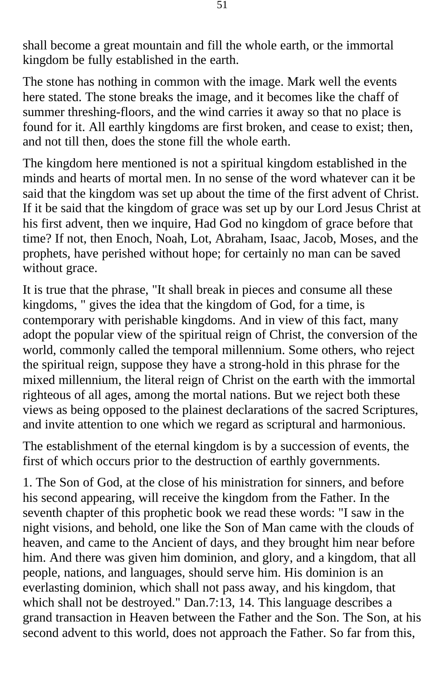shall become a great mountain and fill the whole earth, or the immortal kingdom be fully established in the earth.

The stone has nothing in common with the image. Mark well the events here stated. The stone breaks the image, and it becomes like the chaff of summer threshing-floors, and the wind carries it away so that no place is found for it. All earthly kingdoms are first broken, and cease to exist; then, and not till then, does the stone fill the whole earth.

The kingdom here mentioned is not a spiritual kingdom established in the minds and hearts of mortal men. In no sense of the word whatever can it be said that the kingdom was set up about the time of the first advent of Christ. If it be said that the kingdom of grace was set up by our Lord Jesus Christ at his first advent, then we inquire, Had God no kingdom of grace before that time? If not, then Enoch, Noah, Lot, Abraham, Isaac, Jacob, Moses, and the prophets, have perished without hope; for certainly no man can be saved without grace.

It is true that the phrase, "It shall break in pieces and consume all these kingdoms, " gives the idea that the kingdom of God, for a time, is contemporary with perishable kingdoms. And in view of this fact, many adopt the popular view of the spiritual reign of Christ, the conversion of the world, commonly called the temporal millennium. Some others, who reject the spiritual reign, suppose they have a strong-hold in this phrase for the mixed millennium, the literal reign of Christ on the earth with the immortal righteous of all ages, among the mortal nations. But we reject both these views as being opposed to the plainest declarations of the sacred Scriptures, and invite attention to one which we regard as scriptural and harmonious.

The establishment of the eternal kingdom is by a succession of events, the first of which occurs prior to the destruction of earthly governments.

1. The Son of God, at the close of his ministration for sinners, and before his second appearing, will receive the kingdom from the Father. In the seventh chapter of this prophetic book we read these words: "I saw in the night visions, and behold, one like the Son of Man came with the clouds of heaven, and came to the Ancient of days, and they brought him near before him. And there was given him dominion, and glory, and a kingdom, that all people, nations, and languages, should serve him. His dominion is an everlasting dominion, which shall not pass away, and his kingdom, that which shall not be destroyed." Dan.7:13, 14. This language describes a grand transaction in Heaven between the Father and the Son. The Son, at his second advent to this world, does not approach the Father. So far from this,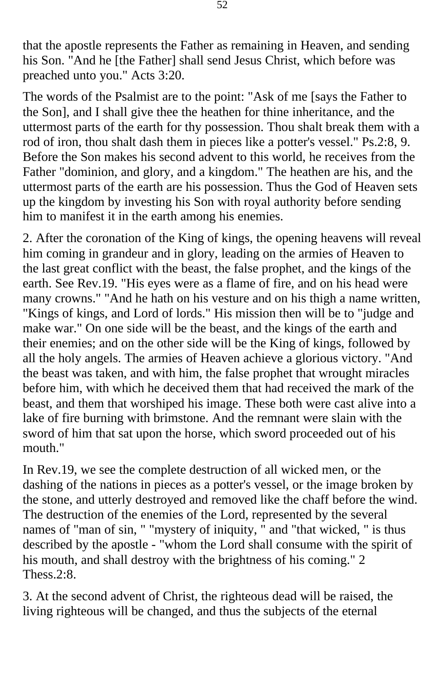that the apostle represents the Father as remaining in Heaven, and sending his Son. "And he [the Father] shall send Jesus Christ, which before was preached unto you." Acts 3:20.

The words of the Psalmist are to the point: "Ask of me [says the Father to the Son], and I shall give thee the heathen for thine inheritance, and the uttermost parts of the earth for thy possession. Thou shalt break them with a rod of iron, thou shalt dash them in pieces like a potter's vessel." Ps.2:8, 9. Before the Son makes his second advent to this world, he receives from the Father "dominion, and glory, and a kingdom." The heathen are his, and the uttermost parts of the earth are his possession. Thus the God of Heaven sets up the kingdom by investing his Son with royal authority before sending him to manifest it in the earth among his enemies.

2. After the coronation of the King of kings, the opening heavens will reveal him coming in grandeur and in glory, leading on the armies of Heaven to the last great conflict with the beast, the false prophet, and the kings of the earth. See Rev.19. "His eyes were as a flame of fire, and on his head were many crowns." "And he hath on his vesture and on his thigh a name written, "Kings of kings, and Lord of lords." His mission then will be to "judge and make war." On one side will be the beast, and the kings of the earth and their enemies; and on the other side will be the King of kings, followed by all the holy angels. The armies of Heaven achieve a glorious victory. "And the beast was taken, and with him, the false prophet that wrought miracles before him, with which he deceived them that had received the mark of the beast, and them that worshiped his image. These both were cast alive into a lake of fire burning with brimstone. And the remnant were slain with the sword of him that sat upon the horse, which sword proceeded out of his mouth."

In Rev.19, we see the complete destruction of all wicked men, or the dashing of the nations in pieces as a potter's vessel, or the image broken by the stone, and utterly destroyed and removed like the chaff before the wind. The destruction of the enemies of the Lord, represented by the several names of "man of sin, " "mystery of iniquity, " and "that wicked, " is thus described by the apostle - "whom the Lord shall consume with the spirit of his mouth, and shall destroy with the brightness of his coming." 2 Thess. 2:8.

3. At the second advent of Christ, the righteous dead will be raised, the living righteous will be changed, and thus the subjects of the eternal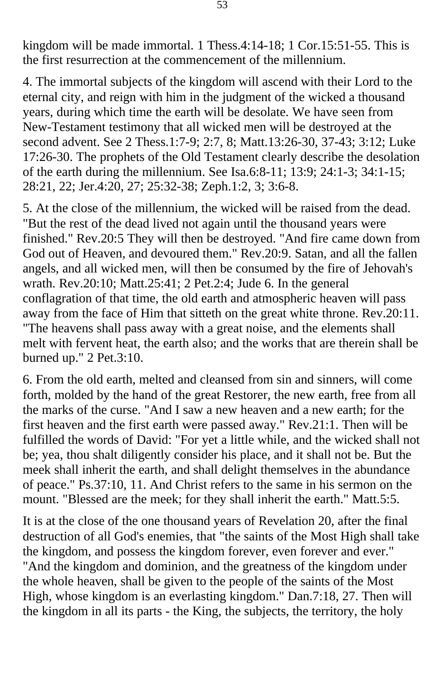kingdom will be made immortal. 1 Thess.4:14-18; 1 Cor.15:51-55. This is the first resurrection at the commencement of the millennium.

4. The immortal subjects of the kingdom will ascend with their Lord to the eternal city, and reign with him in the judgment of the wicked a thousand years, during which time the earth will be desolate. We have seen from New-Testament testimony that all wicked men will be destroyed at the second advent. See 2 Thess.1:7-9; 2:7, 8; Matt.13:26-30, 37-43; 3:12; Luke 17:26-30. The prophets of the Old Testament clearly describe the desolation of the earth during the millennium. See Isa.6:8-11; 13:9; 24:1-3; 34:1-15; 28:21, 22; Jer.4:20, 27; 25:32-38; Zeph.1:2, 3; 3:6-8.

5. At the close of the millennium, the wicked will be raised from the dead. "But the rest of the dead lived not again until the thousand years were finished." Rev.20:5 They will then be destroyed. "And fire came down from God out of Heaven, and devoured them." Rev.20:9. Satan, and all the fallen angels, and all wicked men, will then be consumed by the fire of Jehovah's wrath. Rev.20:10; Matt.25:41; 2 Pet.2:4; Jude 6. In the general conflagration of that time, the old earth and atmospheric heaven will pass away from the face of Him that sitteth on the great white throne. Rev.20:11. "The heavens shall pass away with a great noise, and the elements shall melt with fervent heat, the earth also; and the works that are therein shall be burned up." 2 Pet.3:10.

6. From the old earth, melted and cleansed from sin and sinners, will come forth, molded by the hand of the great Restorer, the new earth, free from all the marks of the curse. "And I saw a new heaven and a new earth; for the first heaven and the first earth were passed away." Rev.21:1. Then will be fulfilled the words of David: "For yet a little while, and the wicked shall not be; yea, thou shalt diligently consider his place, and it shall not be. But the meek shall inherit the earth, and shall delight themselves in the abundance of peace." Ps.37:10, 11. And Christ refers to the same in his sermon on the mount. "Blessed are the meek; for they shall inherit the earth." Matt.5:5.

It is at the close of the one thousand years of Revelation 20, after the final destruction of all God's enemies, that "the saints of the Most High shall take the kingdom, and possess the kingdom forever, even forever and ever." "And the kingdom and dominion, and the greatness of the kingdom under the whole heaven, shall be given to the people of the saints of the Most High, whose kingdom is an everlasting kingdom." Dan.7:18, 27. Then will the kingdom in all its parts - the King, the subjects, the territory, the holy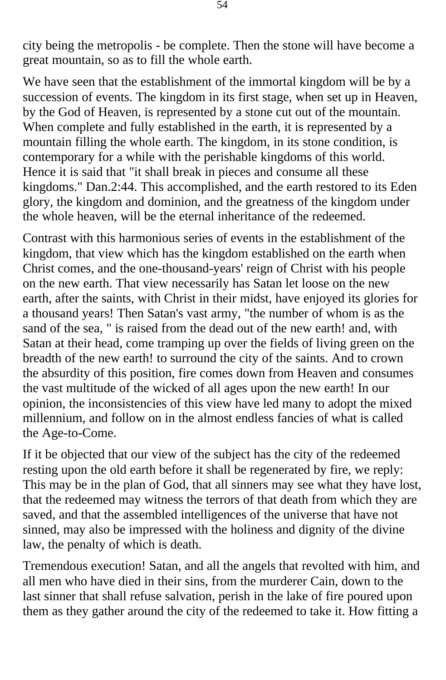city being the metropolis - be complete. Then the stone will have become a great mountain, so as to fill the whole earth.

We have seen that the establishment of the immortal kingdom will be by a succession of events. The kingdom in its first stage, when set up in Heaven, by the God of Heaven, is represented by a stone cut out of the mountain. When complete and fully established in the earth, it is represented by a mountain filling the whole earth. The kingdom, in its stone condition, is contemporary for a while with the perishable kingdoms of this world. Hence it is said that "it shall break in pieces and consume all these kingdoms." Dan.2:44. This accomplished, and the earth restored to its Eden glory, the kingdom and dominion, and the greatness of the kingdom under the whole heaven, will be the eternal inheritance of the redeemed.

Contrast with this harmonious series of events in the establishment of the kingdom, that view which has the kingdom established on the earth when Christ comes, and the one-thousand-years' reign of Christ with his people on the new earth. That view necessarily has Satan let loose on the new earth, after the saints, with Christ in their midst, have enjoyed its glories for a thousand years! Then Satan's vast army, "the number of whom is as the sand of the sea, " is raised from the dead out of the new earth! and, with Satan at their head, come tramping up over the fields of living green on the breadth of the new earth! to surround the city of the saints. And to crown the absurdity of this position, fire comes down from Heaven and consumes the vast multitude of the wicked of all ages upon the new earth! In our opinion, the inconsistencies of this view have led many to adopt the mixed millennium, and follow on in the almost endless fancies of what is called the Age-to-Come.

If it be objected that our view of the subject has the city of the redeemed resting upon the old earth before it shall be regenerated by fire, we reply: This may be in the plan of God, that all sinners may see what they have lost, that the redeemed may witness the terrors of that death from which they are saved, and that the assembled intelligences of the universe that have not sinned, may also be impressed with the holiness and dignity of the divine law, the penalty of which is death.

Tremendous execution! Satan, and all the angels that revolted with him, and all men who have died in their sins, from the murderer Cain, down to the last sinner that shall refuse salvation, perish in the lake of fire poured upon them as they gather around the city of the redeemed to take it. How fitting a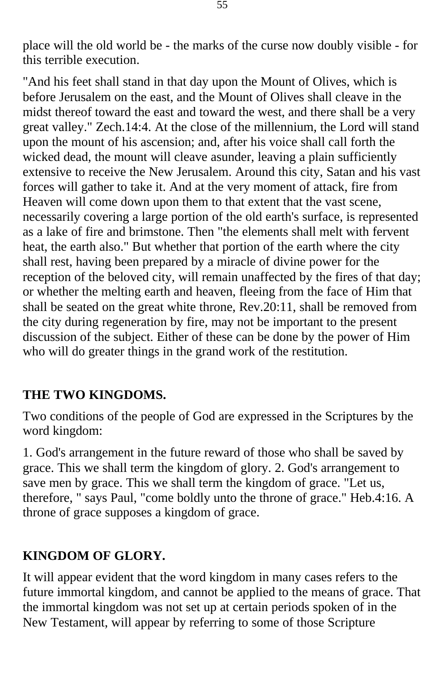place will the old world be - the marks of the curse now doubly visible - for this terrible execution.

"And his feet shall stand in that day upon the Mount of Olives, which is before Jerusalem on the east, and the Mount of Olives shall cleave in the midst thereof toward the east and toward the west, and there shall be a very great valley." Zech.14:4. At the close of the millennium, the Lord will stand upon the mount of his ascension; and, after his voice shall call forth the wicked dead, the mount will cleave asunder, leaving a plain sufficiently extensive to receive the New Jerusalem. Around this city, Satan and his vast forces will gather to take it. And at the very moment of attack, fire from Heaven will come down upon them to that extent that the vast scene, necessarily covering a large portion of the old earth's surface, is represented as a lake of fire and brimstone. Then "the elements shall melt with fervent heat, the earth also." But whether that portion of the earth where the city shall rest, having been prepared by a miracle of divine power for the reception of the beloved city, will remain unaffected by the fires of that day; or whether the melting earth and heaven, fleeing from the face of Him that shall be seated on the great white throne, Rev.20:11, shall be removed from the city during regeneration by fire, may not be important to the present discussion of the subject. Either of these can be done by the power of Him who will do greater things in the grand work of the restitution.

### **THE TWO KINGDOMS.**

Two conditions of the people of God are expressed in the Scriptures by the word kingdom:

1. God's arrangement in the future reward of those who shall be saved by grace. This we shall term the kingdom of glory. 2. God's arrangement to save men by grace. This we shall term the kingdom of grace. "Let us, therefore, " says Paul, "come boldly unto the throne of grace." Heb.4:16. A throne of grace supposes a kingdom of grace.

### **KINGDOM OF GLORY.**

It will appear evident that the word kingdom in many cases refers to the future immortal kingdom, and cannot be applied to the means of grace. That the immortal kingdom was not set up at certain periods spoken of in the New Testament, will appear by referring to some of those Scripture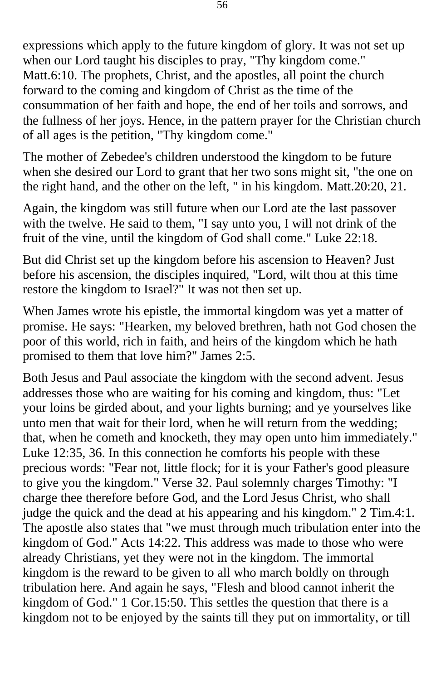expressions which apply to the future kingdom of glory. It was not set up when our Lord taught his disciples to pray, "Thy kingdom come." Matt.6:10. The prophets, Christ, and the apostles, all point the church forward to the coming and kingdom of Christ as the time of the consummation of her faith and hope, the end of her toils and sorrows, and the fullness of her joys. Hence, in the pattern prayer for the Christian church of all ages is the petition, "Thy kingdom come."

The mother of Zebedee's children understood the kingdom to be future when she desired our Lord to grant that her two sons might sit, "the one on the right hand, and the other on the left, " in his kingdom. Matt.20:20, 21.

Again, the kingdom was still future when our Lord ate the last passover with the twelve. He said to them, "I say unto you, I will not drink of the fruit of the vine, until the kingdom of God shall come." Luke 22:18.

But did Christ set up the kingdom before his ascension to Heaven? Just before his ascension, the disciples inquired, "Lord, wilt thou at this time restore the kingdom to Israel?" It was not then set up.

When James wrote his epistle, the immortal kingdom was yet a matter of promise. He says: "Hearken, my beloved brethren, hath not God chosen the poor of this world, rich in faith, and heirs of the kingdom which he hath promised to them that love him?" James 2:5.

Both Jesus and Paul associate the kingdom with the second advent. Jesus addresses those who are waiting for his coming and kingdom, thus: "Let your loins be girded about, and your lights burning; and ye yourselves like unto men that wait for their lord, when he will return from the wedding; that, when he cometh and knocketh, they may open unto him immediately." Luke 12:35, 36. In this connection he comforts his people with these precious words: "Fear not, little flock; for it is your Father's good pleasure to give you the kingdom." Verse 32. Paul solemnly charges Timothy: "I charge thee therefore before God, and the Lord Jesus Christ, who shall judge the quick and the dead at his appearing and his kingdom." 2 Tim.4:1. The apostle also states that "we must through much tribulation enter into the kingdom of God." Acts 14:22. This address was made to those who were already Christians, yet they were not in the kingdom. The immortal kingdom is the reward to be given to all who march boldly on through tribulation here. And again he says, "Flesh and blood cannot inherit the kingdom of God." 1 Cor.15:50. This settles the question that there is a kingdom not to be enjoyed by the saints till they put on immortality, or till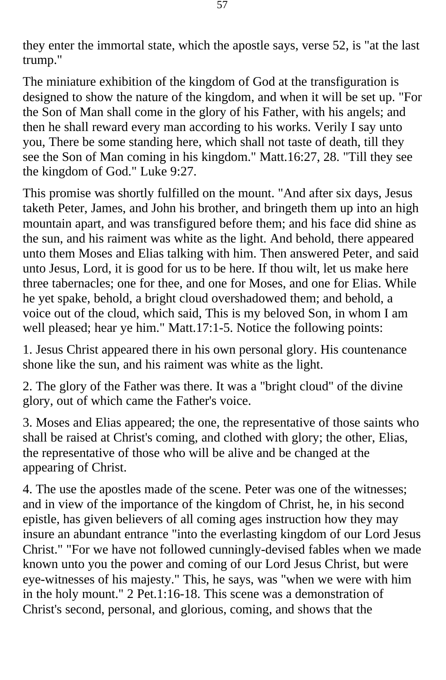they enter the immortal state, which the apostle says, verse 52, is "at the last trump."

The miniature exhibition of the kingdom of God at the transfiguration is designed to show the nature of the kingdom, and when it will be set up. "For the Son of Man shall come in the glory of his Father, with his angels; and then he shall reward every man according to his works. Verily I say unto you, There be some standing here, which shall not taste of death, till they see the Son of Man coming in his kingdom." Matt.16:27, 28. "Till they see the kingdom of God." Luke 9:27.

This promise was shortly fulfilled on the mount. "And after six days, Jesus taketh Peter, James, and John his brother, and bringeth them up into an high mountain apart, and was transfigured before them; and his face did shine as the sun, and his raiment was white as the light. And behold, there appeared unto them Moses and Elias talking with him. Then answered Peter, and said unto Jesus, Lord, it is good for us to be here. If thou wilt, let us make here three tabernacles; one for thee, and one for Moses, and one for Elias. While he yet spake, behold, a bright cloud overshadowed them; and behold, a voice out of the cloud, which said, This is my beloved Son, in whom I am well pleased; hear ye him." Matt.17:1-5. Notice the following points:

1. Jesus Christ appeared there in his own personal glory. His countenance shone like the sun, and his raiment was white as the light.

2. The glory of the Father was there. It was a "bright cloud" of the divine glory, out of which came the Father's voice.

3. Moses and Elias appeared; the one, the representative of those saints who shall be raised at Christ's coming, and clothed with glory; the other, Elias, the representative of those who will be alive and be changed at the appearing of Christ.

4. The use the apostles made of the scene. Peter was one of the witnesses; and in view of the importance of the kingdom of Christ, he, in his second epistle, has given believers of all coming ages instruction how they may insure an abundant entrance "into the everlasting kingdom of our Lord Jesus Christ." "For we have not followed cunningly-devised fables when we made known unto you the power and coming of our Lord Jesus Christ, but were eye-witnesses of his majesty." This, he says, was "when we were with him in the holy mount." 2 Pet.1:16-18. This scene was a demonstration of Christ's second, personal, and glorious, coming, and shows that the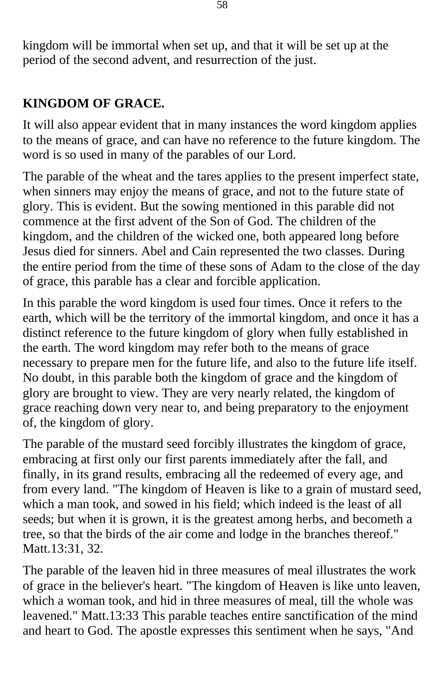kingdom will be immortal when set up, and that it will be set up at the period of the second advent, and resurrection of the just.

### **KINGDOM OF GRACE.**

It will also appear evident that in many instances the word kingdom applies to the means of grace, and can have no reference to the future kingdom. The word is so used in many of the parables of our Lord.

The parable of the wheat and the tares applies to the present imperfect state, when sinners may enjoy the means of grace, and not to the future state of glory. This is evident. But the sowing mentioned in this parable did not commence at the first advent of the Son of God. The children of the kingdom, and the children of the wicked one, both appeared long before Jesus died for sinners. Abel and Cain represented the two classes. During the entire period from the time of these sons of Adam to the close of the day of grace, this parable has a clear and forcible application.

In this parable the word kingdom is used four times. Once it refers to the earth, which will be the territory of the immortal kingdom, and once it has a distinct reference to the future kingdom of glory when fully established in the earth. The word kingdom may refer both to the means of grace necessary to prepare men for the future life, and also to the future life itself. No doubt, in this parable both the kingdom of grace and the kingdom of glory are brought to view. They are very nearly related, the kingdom of grace reaching down very near to, and being preparatory to the enjoyment of, the kingdom of glory.

The parable of the mustard seed forcibly illustrates the kingdom of grace, embracing at first only our first parents immediately after the fall, and finally, in its grand results, embracing all the redeemed of every age, and from every land. "The kingdom of Heaven is like to a grain of mustard seed, which a man took, and sowed in his field; which indeed is the least of all seeds; but when it is grown, it is the greatest among herbs, and becometh a tree, so that the birds of the air come and lodge in the branches thereof." Matt.13:31, 32.

The parable of the leaven hid in three measures of meal illustrates the work of grace in the believer's heart. "The kingdom of Heaven is like unto leaven, which a woman took, and hid in three measures of meal, till the whole was leavened." Matt.13:33 This parable teaches entire sanctification of the mind and heart to God. The apostle expresses this sentiment when he says, "And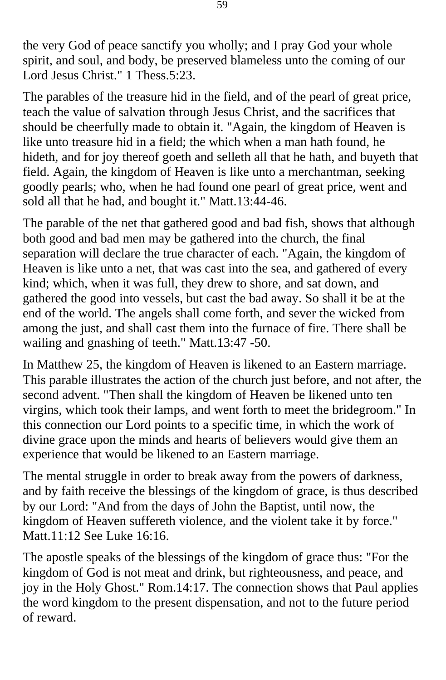the very God of peace sanctify you wholly; and I pray God your whole spirit, and soul, and body, be preserved blameless unto the coming of our Lord Jesus Christ." 1 Thess.5:23.

The parables of the treasure hid in the field, and of the pearl of great price, teach the value of salvation through Jesus Christ, and the sacrifices that should be cheerfully made to obtain it. "Again, the kingdom of Heaven is like unto treasure hid in a field; the which when a man hath found, he hideth, and for joy thereof goeth and selleth all that he hath, and buyeth that field. Again, the kingdom of Heaven is like unto a merchantman, seeking goodly pearls; who, when he had found one pearl of great price, went and sold all that he had, and bought it." Matt.13:44-46.

The parable of the net that gathered good and bad fish, shows that although both good and bad men may be gathered into the church, the final separation will declare the true character of each. "Again, the kingdom of Heaven is like unto a net, that was cast into the sea, and gathered of every kind; which, when it was full, they drew to shore, and sat down, and gathered the good into vessels, but cast the bad away. So shall it be at the end of the world. The angels shall come forth, and sever the wicked from among the just, and shall cast them into the furnace of fire. There shall be wailing and gnashing of teeth." Matt.13:47 -50.

In Matthew 25, the kingdom of Heaven is likened to an Eastern marriage. This parable illustrates the action of the church just before, and not after, the second advent. "Then shall the kingdom of Heaven be likened unto ten virgins, which took their lamps, and went forth to meet the bridegroom." In this connection our Lord points to a specific time, in which the work of divine grace upon the minds and hearts of believers would give them an experience that would be likened to an Eastern marriage.

The mental struggle in order to break away from the powers of darkness, and by faith receive the blessings of the kingdom of grace, is thus described by our Lord: "And from the days of John the Baptist, until now, the kingdom of Heaven suffereth violence, and the violent take it by force." Matt.11:12 See Luke 16:16.

The apostle speaks of the blessings of the kingdom of grace thus: "For the kingdom of God is not meat and drink, but righteousness, and peace, and joy in the Holy Ghost." Rom.14:17. The connection shows that Paul applies the word kingdom to the present dispensation, and not to the future period of reward.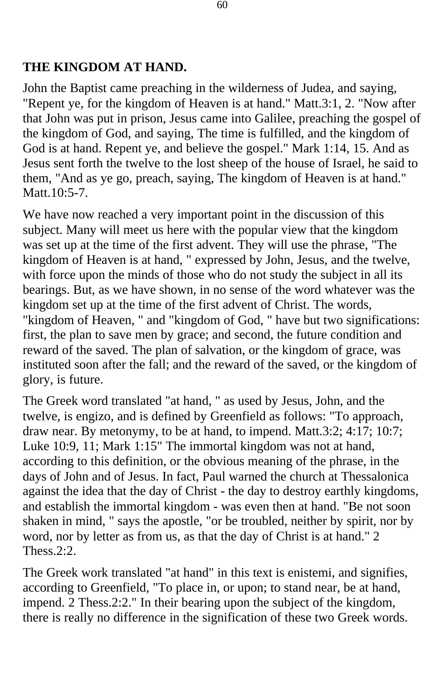#### **THE KINGDOM AT HAND.**

John the Baptist came preaching in the wilderness of Judea, and saying, "Repent ye, for the kingdom of Heaven is at hand." Matt.3:1, 2. "Now after that John was put in prison, Jesus came into Galilee, preaching the gospel of the kingdom of God, and saying, The time is fulfilled, and the kingdom of God is at hand. Repent ye, and believe the gospel." Mark 1:14, 15. And as Jesus sent forth the twelve to the lost sheep of the house of Israel, he said to them, "And as ye go, preach, saying, The kingdom of Heaven is at hand." Matt.10:5-7.

We have now reached a very important point in the discussion of this subject. Many will meet us here with the popular view that the kingdom was set up at the time of the first advent. They will use the phrase, "The kingdom of Heaven is at hand, " expressed by John, Jesus, and the twelve, with force upon the minds of those who do not study the subject in all its bearings. But, as we have shown, in no sense of the word whatever was the kingdom set up at the time of the first advent of Christ. The words, "kingdom of Heaven, " and "kingdom of God, " have but two significations: first, the plan to save men by grace; and second, the future condition and reward of the saved. The plan of salvation, or the kingdom of grace, was instituted soon after the fall; and the reward of the saved, or the kingdom of glory, is future.

The Greek word translated "at hand, " as used by Jesus, John, and the twelve, is engizo, and is defined by Greenfield as follows: "To approach, draw near. By metonymy, to be at hand, to impend. Matt.3:2; 4:17; 10:7; Luke 10:9, 11; Mark 1:15" The immortal kingdom was not at hand, according to this definition, or the obvious meaning of the phrase, in the days of John and of Jesus. In fact, Paul warned the church at Thessalonica against the idea that the day of Christ - the day to destroy earthly kingdoms, and establish the immortal kingdom - was even then at hand. "Be not soon shaken in mind, " says the apostle, "or be troubled, neither by spirit, nor by word, nor by letter as from us, as that the day of Christ is at hand." 2 Thess.2:2.

The Greek work translated "at hand" in this text is enistemi, and signifies, according to Greenfield, "To place in, or upon; to stand near, be at hand, impend. 2 Thess.2:2." In their bearing upon the subject of the kingdom, there is really no difference in the signification of these two Greek words.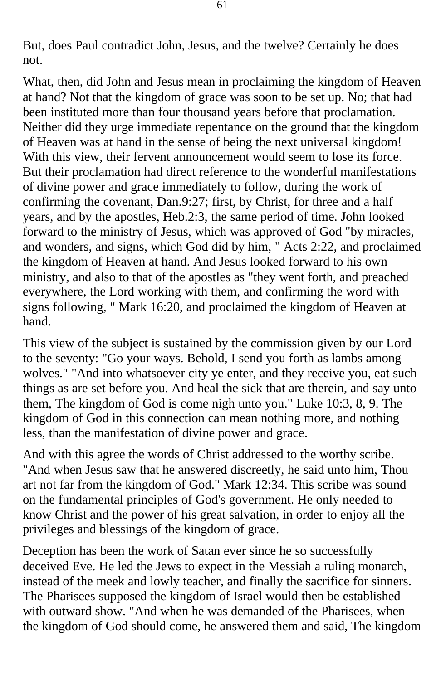But, does Paul contradict John, Jesus, and the twelve? Certainly he does not.

What, then, did John and Jesus mean in proclaiming the kingdom of Heaven at hand? Not that the kingdom of grace was soon to be set up. No; that had been instituted more than four thousand years before that proclamation. Neither did they urge immediate repentance on the ground that the kingdom of Heaven was at hand in the sense of being the next universal kingdom! With this view, their fervent announcement would seem to lose its force. But their proclamation had direct reference to the wonderful manifestations of divine power and grace immediately to follow, during the work of confirming the covenant, Dan.9:27; first, by Christ, for three and a half years, and by the apostles, Heb.2:3, the same period of time. John looked forward to the ministry of Jesus, which was approved of God "by miracles, and wonders, and signs, which God did by him, " Acts 2:22, and proclaimed the kingdom of Heaven at hand. And Jesus looked forward to his own ministry, and also to that of the apostles as "they went forth, and preached everywhere, the Lord working with them, and confirming the word with signs following, " Mark 16:20, and proclaimed the kingdom of Heaven at hand.

This view of the subject is sustained by the commission given by our Lord to the seventy: "Go your ways. Behold, I send you forth as lambs among wolves." "And into whatsoever city ye enter, and they receive you, eat such things as are set before you. And heal the sick that are therein, and say unto them, The kingdom of God is come nigh unto you." Luke 10:3, 8, 9. The kingdom of God in this connection can mean nothing more, and nothing less, than the manifestation of divine power and grace.

And with this agree the words of Christ addressed to the worthy scribe. "And when Jesus saw that he answered discreetly, he said unto him, Thou art not far from the kingdom of God." Mark 12:34. This scribe was sound on the fundamental principles of God's government. He only needed to know Christ and the power of his great salvation, in order to enjoy all the privileges and blessings of the kingdom of grace.

Deception has been the work of Satan ever since he so successfully deceived Eve. He led the Jews to expect in the Messiah a ruling monarch, instead of the meek and lowly teacher, and finally the sacrifice for sinners. The Pharisees supposed the kingdom of Israel would then be established with outward show. "And when he was demanded of the Pharisees, when the kingdom of God should come, he answered them and said, The kingdom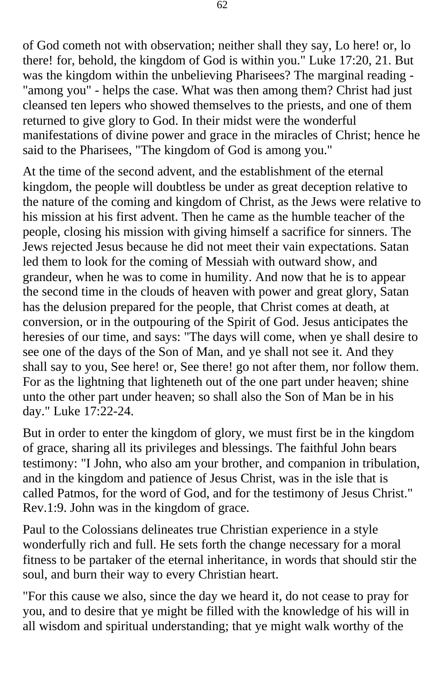of God cometh not with observation; neither shall they say, Lo here! or, lo there! for, behold, the kingdom of God is within you." Luke 17:20, 21. But was the kingdom within the unbelieving Pharisees? The marginal reading - "among you" - helps the case. What was then among them? Christ had just cleansed ten lepers who showed themselves to the priests, and one of them returned to give glory to God. In their midst were the wonderful manifestations of divine power and grace in the miracles of Christ; hence he said to the Pharisees, "The kingdom of God is among you."

At the time of the second advent, and the establishment of the eternal kingdom, the people will doubtless be under as great deception relative to the nature of the coming and kingdom of Christ, as the Jews were relative to his mission at his first advent. Then he came as the humble teacher of the people, closing his mission with giving himself a sacrifice for sinners. The Jews rejected Jesus because he did not meet their vain expectations. Satan led them to look for the coming of Messiah with outward show, and grandeur, when he was to come in humility. And now that he is to appear the second time in the clouds of heaven with power and great glory, Satan has the delusion prepared for the people, that Christ comes at death, at conversion, or in the outpouring of the Spirit of God. Jesus anticipates the heresies of our time, and says: "The days will come, when ye shall desire to see one of the days of the Son of Man, and ye shall not see it. And they shall say to you, See here! or, See there! go not after them, nor follow them. For as the lightning that lighteneth out of the one part under heaven; shine unto the other part under heaven; so shall also the Son of Man be in his day." Luke 17:22-24.

But in order to enter the kingdom of glory, we must first be in the kingdom of grace, sharing all its privileges and blessings. The faithful John bears testimony: "I John, who also am your brother, and companion in tribulation, and in the kingdom and patience of Jesus Christ, was in the isle that is called Patmos, for the word of God, and for the testimony of Jesus Christ." Rev.1:9. John was in the kingdom of grace.

Paul to the Colossians delineates true Christian experience in a style wonderfully rich and full. He sets forth the change necessary for a moral fitness to be partaker of the eternal inheritance, in words that should stir the soul, and burn their way to every Christian heart.

"For this cause we also, since the day we heard it, do not cease to pray for you, and to desire that ye might be filled with the knowledge of his will in all wisdom and spiritual understanding; that ye might walk worthy of the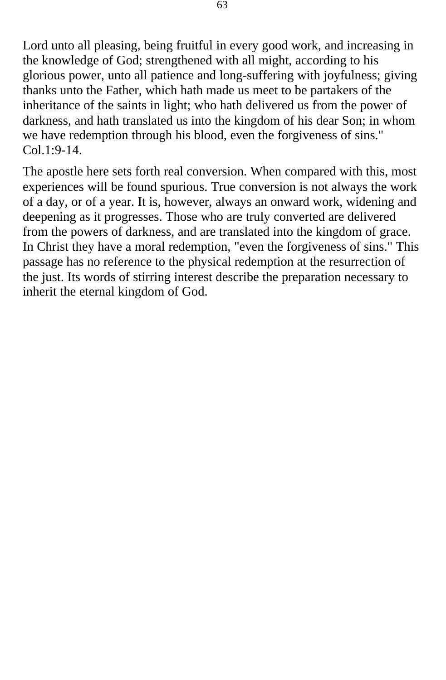Lord unto all pleasing, being fruitful in every good work, and increasing in the knowledge of God; strengthened with all might, according to his glorious power, unto all patience and long-suffering with joyfulness; giving thanks unto the Father, which hath made us meet to be partakers of the inheritance of the saints in light; who hath delivered us from the power of darkness, and hath translated us into the kingdom of his dear Son; in whom we have redemption through his blood, even the forgiveness of sins."  $Col.1:9-14.$ 

The apostle here sets forth real conversion. When compared with this, most experiences will be found spurious. True conversion is not always the work of a day, or of a year. It is, however, always an onward work, widening and deepening as it progresses. Those who are truly converted are delivered from the powers of darkness, and are translated into the kingdom of grace. In Christ they have a moral redemption, "even the forgiveness of sins." This passage has no reference to the physical redemption at the resurrection of the just. Its words of stirring interest describe the preparation necessary to inherit the eternal kingdom of God.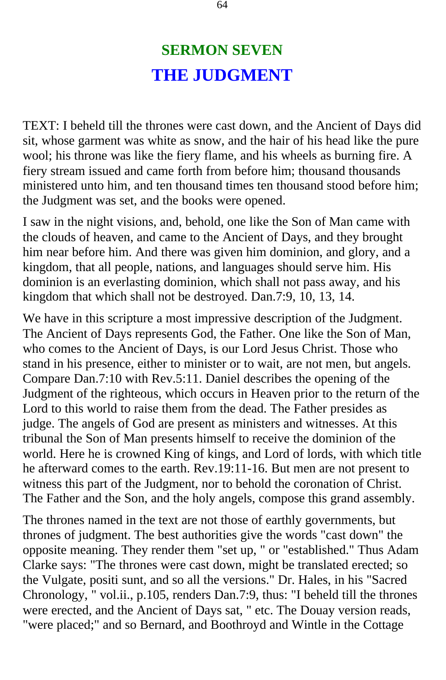## **SERMON SEVEN THE JUDGMENT**

TEXT: I beheld till the thrones were cast down, and the Ancient of Days did sit, whose garment was white as snow, and the hair of his head like the pure wool; his throne was like the fiery flame, and his wheels as burning fire. A fiery stream issued and came forth from before him; thousand thousands ministered unto him, and ten thousand times ten thousand stood before him; the Judgment was set, and the books were opened.

I saw in the night visions, and, behold, one like the Son of Man came with the clouds of heaven, and came to the Ancient of Days, and they brought him near before him. And there was given him dominion, and glory, and a kingdom, that all people, nations, and languages should serve him. His dominion is an everlasting dominion, which shall not pass away, and his kingdom that which shall not be destroyed. Dan.7:9, 10, 13, 14.

We have in this scripture a most impressive description of the Judgment. The Ancient of Days represents God, the Father. One like the Son of Man, who comes to the Ancient of Days, is our Lord Jesus Christ. Those who stand in his presence, either to minister or to wait, are not men, but angels. Compare Dan.7:10 with Rev.5:11. Daniel describes the opening of the Judgment of the righteous, which occurs in Heaven prior to the return of the Lord to this world to raise them from the dead. The Father presides as judge. The angels of God are present as ministers and witnesses. At this tribunal the Son of Man presents himself to receive the dominion of the world. Here he is crowned King of kings, and Lord of lords, with which title he afterward comes to the earth. Rev.19:11-16. But men are not present to witness this part of the Judgment, nor to behold the coronation of Christ. The Father and the Son, and the holy angels, compose this grand assembly.

The thrones named in the text are not those of earthly governments, but thrones of judgment. The best authorities give the words "cast down" the opposite meaning. They render them "set up, " or "established." Thus Adam Clarke says: "The thrones were cast down, might be translated erected; so the Vulgate, positi sunt, and so all the versions." Dr. Hales, in his "Sacred Chronology, " vol.ii., p.105, renders Dan.7:9, thus: "I beheld till the thrones were erected, and the Ancient of Days sat, " etc. The Douay version reads, "were placed;" and so Bernard, and Boothroyd and Wintle in the Cottage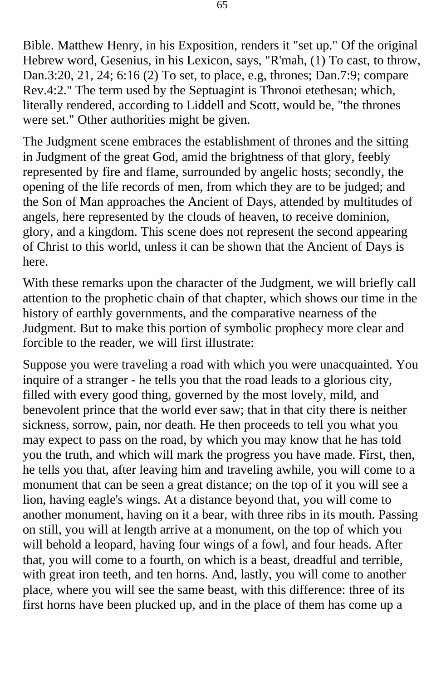Bible. Matthew Henry, in his Exposition, renders it "set up." Of the original Hebrew word, Gesenius, in his Lexicon, says, "R'mah, (1) To cast, to throw, Dan.3:20, 21, 24; 6:16 (2) To set, to place, e.g, thrones; Dan.7:9; compare Rev.4:2." The term used by the Septuagint is Thronoi etethesan; which, literally rendered, according to Liddell and Scott, would be, "the thrones were set." Other authorities might be given.

The Judgment scene embraces the establishment of thrones and the sitting in Judgment of the great God, amid the brightness of that glory, feebly represented by fire and flame, surrounded by angelic hosts; secondly, the opening of the life records of men, from which they are to be judged; and the Son of Man approaches the Ancient of Days, attended by multitudes of angels, here represented by the clouds of heaven, to receive dominion, glory, and a kingdom. This scene does not represent the second appearing of Christ to this world, unless it can be shown that the Ancient of Days is here.

With these remarks upon the character of the Judgment, we will briefly call attention to the prophetic chain of that chapter, which shows our time in the history of earthly governments, and the comparative nearness of the Judgment. But to make this portion of symbolic prophecy more clear and forcible to the reader, we will first illustrate:

Suppose you were traveling a road with which you were unacquainted. You inquire of a stranger - he tells you that the road leads to a glorious city, filled with every good thing, governed by the most lovely, mild, and benevolent prince that the world ever saw; that in that city there is neither sickness, sorrow, pain, nor death. He then proceeds to tell you what you may expect to pass on the road, by which you may know that he has told you the truth, and which will mark the progress you have made. First, then, he tells you that, after leaving him and traveling awhile, you will come to a monument that can be seen a great distance; on the top of it you will see a lion, having eagle's wings. At a distance beyond that, you will come to another monument, having on it a bear, with three ribs in its mouth. Passing on still, you will at length arrive at a monument, on the top of which you will behold a leopard, having four wings of a fowl, and four heads. After that, you will come to a fourth, on which is a beast, dreadful and terrible, with great iron teeth, and ten horns. And, lastly, you will come to another place, where you will see the same beast, with this difference: three of its first horns have been plucked up, and in the place of them has come up a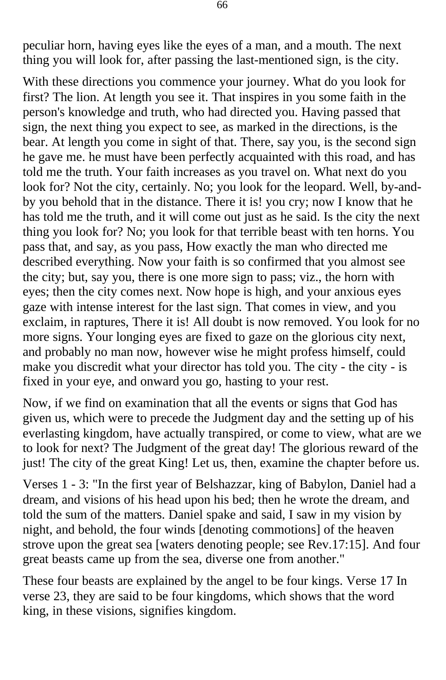peculiar horn, having eyes like the eyes of a man, and a mouth. The next thing you will look for, after passing the last-mentioned sign, is the city.

With these directions you commence your journey. What do you look for first? The lion. At length you see it. That inspires in you some faith in the person's knowledge and truth, who had directed you. Having passed that sign, the next thing you expect to see, as marked in the directions, is the bear. At length you come in sight of that. There, say you, is the second sign he gave me. he must have been perfectly acquainted with this road, and has told me the truth. Your faith increases as you travel on. What next do you look for? Not the city, certainly. No; you look for the leopard. Well, by-andby you behold that in the distance. There it is! you cry; now I know that he has told me the truth, and it will come out just as he said. Is the city the next thing you look for? No; you look for that terrible beast with ten horns. You pass that, and say, as you pass, How exactly the man who directed me described everything. Now your faith is so confirmed that you almost see the city; but, say you, there is one more sign to pass; viz., the horn with eyes; then the city comes next. Now hope is high, and your anxious eyes gaze with intense interest for the last sign. That comes in view, and you exclaim, in raptures, There it is! All doubt is now removed. You look for no more signs. Your longing eyes are fixed to gaze on the glorious city next, and probably no man now, however wise he might profess himself, could make you discredit what your director has told you. The city - the city - is fixed in your eye, and onward you go, hasting to your rest.

Now, if we find on examination that all the events or signs that God has given us, which were to precede the Judgment day and the setting up of his everlasting kingdom, have actually transpired, or come to view, what are we to look for next? The Judgment of the great day! The glorious reward of the just! The city of the great King! Let us, then, examine the chapter before us.

Verses 1 - 3: "In the first year of Belshazzar, king of Babylon, Daniel had a dream, and visions of his head upon his bed; then he wrote the dream, and told the sum of the matters. Daniel spake and said, I saw in my vision by night, and behold, the four winds [denoting commotions] of the heaven strove upon the great sea [waters denoting people; see Rev.17:15]. And four great beasts came up from the sea, diverse one from another."

These four beasts are explained by the angel to be four kings. Verse 17 In verse 23, they are said to be four kingdoms, which shows that the word king, in these visions, signifies kingdom.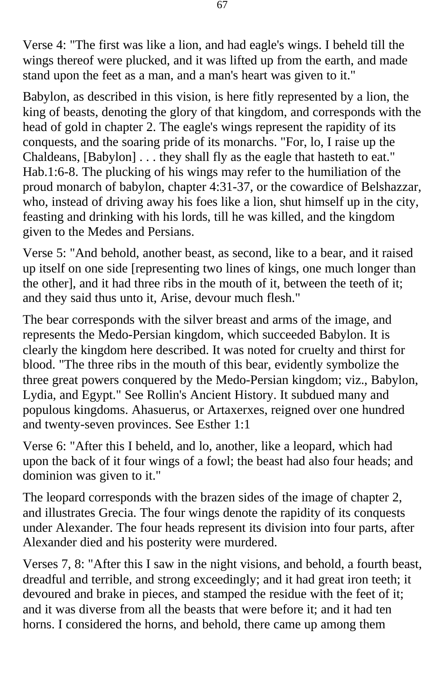Verse 4: "The first was like a lion, and had eagle's wings. I beheld till the wings thereof were plucked, and it was lifted up from the earth, and made stand upon the feet as a man, and a man's heart was given to it."

Babylon, as described in this vision, is here fitly represented by a lion, the king of beasts, denoting the glory of that kingdom, and corresponds with the head of gold in chapter 2. The eagle's wings represent the rapidity of its conquests, and the soaring pride of its monarchs. "For, lo, I raise up the Chaldeans, [Babylon] . . . they shall fly as the eagle that hasteth to eat." Hab.1:6-8. The plucking of his wings may refer to the humiliation of the proud monarch of babylon, chapter 4:31-37, or the cowardice of Belshazzar, who, instead of driving away his foes like a lion, shut himself up in the city, feasting and drinking with his lords, till he was killed, and the kingdom given to the Medes and Persians.

Verse 5: "And behold, another beast, as second, like to a bear, and it raised up itself on one side [representing two lines of kings, one much longer than the other], and it had three ribs in the mouth of it, between the teeth of it; and they said thus unto it, Arise, devour much flesh."

The bear corresponds with the silver breast and arms of the image, and represents the Medo-Persian kingdom, which succeeded Babylon. It is clearly the kingdom here described. It was noted for cruelty and thirst for blood. "The three ribs in the mouth of this bear, evidently symbolize the three great powers conquered by the Medo-Persian kingdom; viz., Babylon, Lydia, and Egypt." See Rollin's Ancient History. It subdued many and populous kingdoms. Ahasuerus, or Artaxerxes, reigned over one hundred and twenty-seven provinces. See Esther 1:1

Verse 6: "After this I beheld, and lo, another, like a leopard, which had upon the back of it four wings of a fowl; the beast had also four heads; and dominion was given to it."

The leopard corresponds with the brazen sides of the image of chapter 2, and illustrates Grecia. The four wings denote the rapidity of its conquests under Alexander. The four heads represent its division into four parts, after Alexander died and his posterity were murdered.

Verses 7, 8: "After this I saw in the night visions, and behold, a fourth beast, dreadful and terrible, and strong exceedingly; and it had great iron teeth; it devoured and brake in pieces, and stamped the residue with the feet of it; and it was diverse from all the beasts that were before it; and it had ten horns. I considered the horns, and behold, there came up among them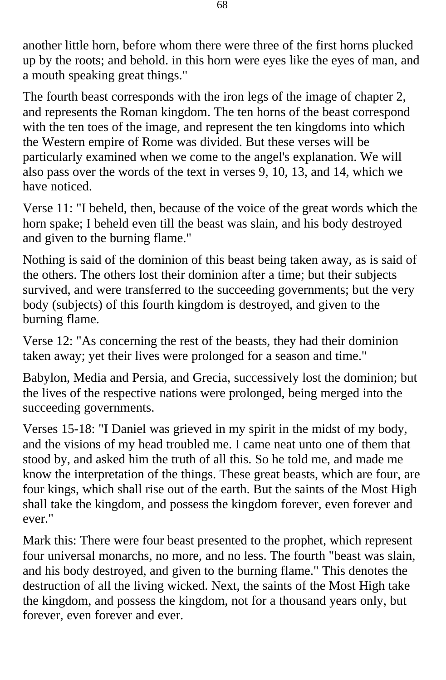another little horn, before whom there were three of the first horns plucked up by the roots; and behold. in this horn were eyes like the eyes of man, and a mouth speaking great things."

The fourth beast corresponds with the iron legs of the image of chapter 2, and represents the Roman kingdom. The ten horns of the beast correspond with the ten toes of the image, and represent the ten kingdoms into which the Western empire of Rome was divided. But these verses will be particularly examined when we come to the angel's explanation. We will also pass over the words of the text in verses 9, 10, 13, and 14, which we have noticed.

Verse 11: "I beheld, then, because of the voice of the great words which the horn spake; I beheld even till the beast was slain, and his body destroyed and given to the burning flame."

Nothing is said of the dominion of this beast being taken away, as is said of the others. The others lost their dominion after a time; but their subjects survived, and were transferred to the succeeding governments; but the very body (subjects) of this fourth kingdom is destroyed, and given to the burning flame.

Verse 12: "As concerning the rest of the beasts, they had their dominion taken away; yet their lives were prolonged for a season and time."

Babylon, Media and Persia, and Grecia, successively lost the dominion; but the lives of the respective nations were prolonged, being merged into the succeeding governments.

Verses 15-18: "I Daniel was grieved in my spirit in the midst of my body, and the visions of my head troubled me. I came neat unto one of them that stood by, and asked him the truth of all this. So he told me, and made me know the interpretation of the things. These great beasts, which are four, are four kings, which shall rise out of the earth. But the saints of the Most High shall take the kingdom, and possess the kingdom forever, even forever and ever."

Mark this: There were four beast presented to the prophet, which represent four universal monarchs, no more, and no less. The fourth "beast was slain, and his body destroyed, and given to the burning flame." This denotes the destruction of all the living wicked. Next, the saints of the Most High take the kingdom, and possess the kingdom, not for a thousand years only, but forever, even forever and ever.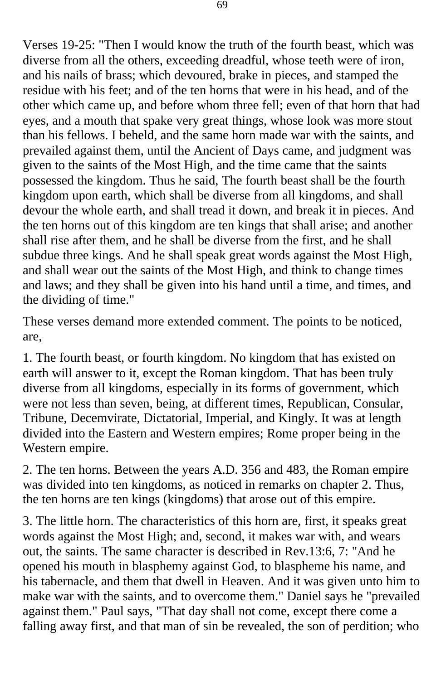Verses 19-25: "Then I would know the truth of the fourth beast, which was diverse from all the others, exceeding dreadful, whose teeth were of iron, and his nails of brass; which devoured, brake in pieces, and stamped the residue with his feet; and of the ten horns that were in his head, and of the other which came up, and before whom three fell; even of that horn that had eyes, and a mouth that spake very great things, whose look was more stout than his fellows. I beheld, and the same horn made war with the saints, and prevailed against them, until the Ancient of Days came, and judgment was given to the saints of the Most High, and the time came that the saints possessed the kingdom. Thus he said, The fourth beast shall be the fourth kingdom upon earth, which shall be diverse from all kingdoms, and shall devour the whole earth, and shall tread it down, and break it in pieces. And the ten horns out of this kingdom are ten kings that shall arise; and another shall rise after them, and he shall be diverse from the first, and he shall subdue three kings. And he shall speak great words against the Most High, and shall wear out the saints of the Most High, and think to change times and laws; and they shall be given into his hand until a time, and times, and the dividing of time."

These verses demand more extended comment. The points to be noticed, are,

1. The fourth beast, or fourth kingdom. No kingdom that has existed on earth will answer to it, except the Roman kingdom. That has been truly diverse from all kingdoms, especially in its forms of government, which were not less than seven, being, at different times, Republican, Consular, Tribune, Decemvirate, Dictatorial, Imperial, and Kingly. It was at length divided into the Eastern and Western empires; Rome proper being in the Western empire.

2. The ten horns. Between the years A.D. 356 and 483, the Roman empire was divided into ten kingdoms, as noticed in remarks on chapter 2. Thus, the ten horns are ten kings (kingdoms) that arose out of this empire.

3. The little horn. The characteristics of this horn are, first, it speaks great words against the Most High; and, second, it makes war with, and wears out, the saints. The same character is described in Rev.13:6, 7: "And he opened his mouth in blasphemy against God, to blaspheme his name, and his tabernacle, and them that dwell in Heaven. And it was given unto him to make war with the saints, and to overcome them." Daniel says he "prevailed against them." Paul says, "That day shall not come, except there come a falling away first, and that man of sin be revealed, the son of perdition; who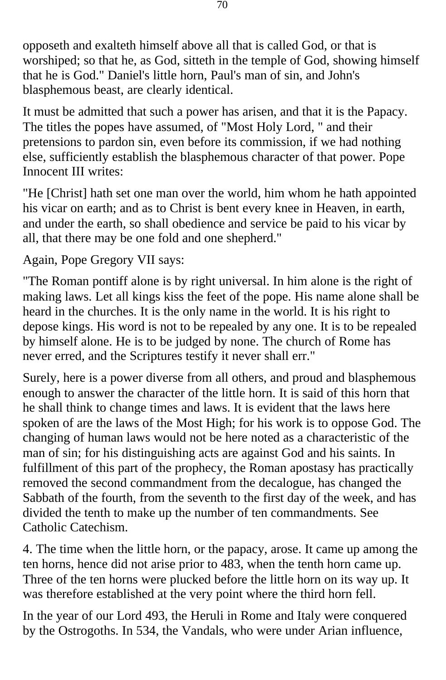opposeth and exalteth himself above all that is called God, or that is worshiped; so that he, as God, sitteth in the temple of God, showing himself that he is God." Daniel's little horn, Paul's man of sin, and John's blasphemous beast, are clearly identical.

It must be admitted that such a power has arisen, and that it is the Papacy. The titles the popes have assumed, of "Most Holy Lord, " and their pretensions to pardon sin, even before its commission, if we had nothing else, sufficiently establish the blasphemous character of that power. Pope Innocent III writes:

"He [Christ] hath set one man over the world, him whom he hath appointed his vicar on earth; and as to Christ is bent every knee in Heaven, in earth, and under the earth, so shall obedience and service be paid to his vicar by all, that there may be one fold and one shepherd."

Again, Pope Gregory VII says:

"The Roman pontiff alone is by right universal. In him alone is the right of making laws. Let all kings kiss the feet of the pope. His name alone shall be heard in the churches. It is the only name in the world. It is his right to depose kings. His word is not to be repealed by any one. It is to be repealed by himself alone. He is to be judged by none. The church of Rome has never erred, and the Scriptures testify it never shall err."

Surely, here is a power diverse from all others, and proud and blasphemous enough to answer the character of the little horn. It is said of this horn that he shall think to change times and laws. It is evident that the laws here spoken of are the laws of the Most High; for his work is to oppose God. The changing of human laws would not be here noted as a characteristic of the man of sin; for his distinguishing acts are against God and his saints. In fulfillment of this part of the prophecy, the Roman apostasy has practically removed the second commandment from the decalogue, has changed the Sabbath of the fourth, from the seventh to the first day of the week, and has divided the tenth to make up the number of ten commandments. See Catholic Catechism.

4. The time when the little horn, or the papacy, arose. It came up among the ten horns, hence did not arise prior to 483, when the tenth horn came up. Three of the ten horns were plucked before the little horn on its way up. It was therefore established at the very point where the third horn fell.

In the year of our Lord 493, the Heruli in Rome and Italy were conquered by the Ostrogoths. In 534, the Vandals, who were under Arian influence,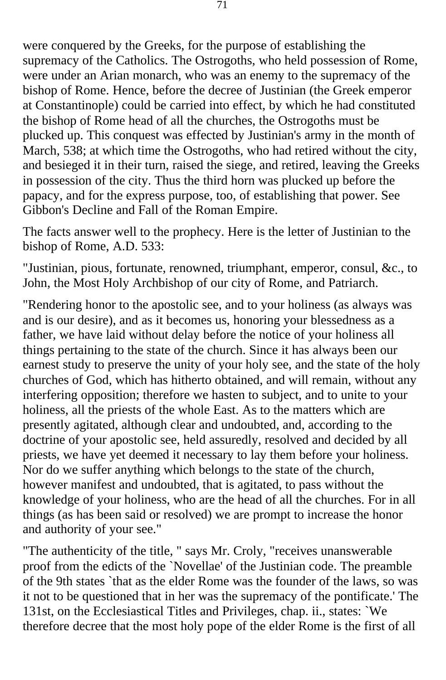were conquered by the Greeks, for the purpose of establishing the supremacy of the Catholics. The Ostrogoths, who held possession of Rome, were under an Arian monarch, who was an enemy to the supremacy of the bishop of Rome. Hence, before the decree of Justinian (the Greek emperor at Constantinople) could be carried into effect, by which he had constituted the bishop of Rome head of all the churches, the Ostrogoths must be plucked up. This conquest was effected by Justinian's army in the month of March, 538; at which time the Ostrogoths, who had retired without the city, and besieged it in their turn, raised the siege, and retired, leaving the Greeks in possession of the city. Thus the third horn was plucked up before the papacy, and for the express purpose, too, of establishing that power. See Gibbon's Decline and Fall of the Roman Empire.

The facts answer well to the prophecy. Here is the letter of Justinian to the bishop of Rome, A.D. 533:

"Justinian, pious, fortunate, renowned, triumphant, emperor, consul, &c., to John, the Most Holy Archbishop of our city of Rome, and Patriarch.

"Rendering honor to the apostolic see, and to your holiness (as always was and is our desire), and as it becomes us, honoring your blessedness as a father, we have laid without delay before the notice of your holiness all things pertaining to the state of the church. Since it has always been our earnest study to preserve the unity of your holy see, and the state of the holy churches of God, which has hitherto obtained, and will remain, without any interfering opposition; therefore we hasten to subject, and to unite to your holiness, all the priests of the whole East. As to the matters which are presently agitated, although clear and undoubted, and, according to the doctrine of your apostolic see, held assuredly, resolved and decided by all priests, we have yet deemed it necessary to lay them before your holiness. Nor do we suffer anything which belongs to the state of the church, however manifest and undoubted, that is agitated, to pass without the knowledge of your holiness, who are the head of all the churches. For in all things (as has been said or resolved) we are prompt to increase the honor and authority of your see."

"The authenticity of the title, " says Mr. Croly, "receives unanswerable proof from the edicts of the `Novellae' of the Justinian code. The preamble of the 9th states `that as the elder Rome was the founder of the laws, so was it not to be questioned that in her was the supremacy of the pontificate.' The 131st, on the Ecclesiastical Titles and Privileges, chap. ii., states: `We therefore decree that the most holy pope of the elder Rome is the first of all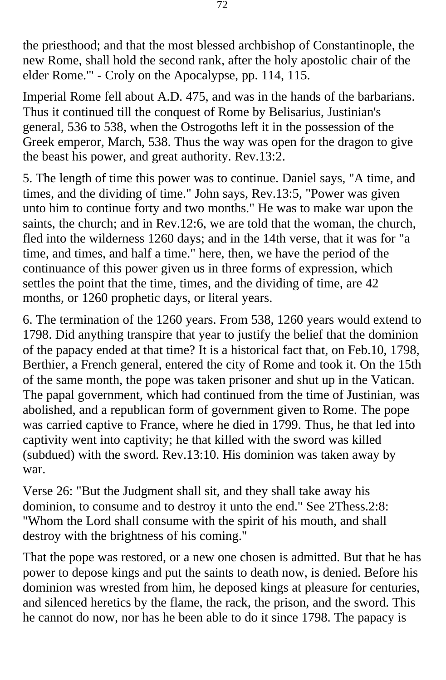the priesthood; and that the most blessed archbishop of Constantinople, the new Rome, shall hold the second rank, after the holy apostolic chair of the elder Rome.'" - Croly on the Apocalypse, pp. 114, 115.

Imperial Rome fell about A.D. 475, and was in the hands of the barbarians. Thus it continued till the conquest of Rome by Belisarius, Justinian's general, 536 to 538, when the Ostrogoths left it in the possession of the Greek emperor, March, 538. Thus the way was open for the dragon to give the beast his power, and great authority. Rev.13:2.

5. The length of time this power was to continue. Daniel says, "A time, and times, and the dividing of time." John says, Rev.13:5, "Power was given unto him to continue forty and two months." He was to make war upon the saints, the church; and in Rev.12:6, we are told that the woman, the church, fled into the wilderness 1260 days; and in the 14th verse, that it was for "a time, and times, and half a time." here, then, we have the period of the continuance of this power given us in three forms of expression, which settles the point that the time, times, and the dividing of time, are 42 months, or 1260 prophetic days, or literal years.

6. The termination of the 1260 years. From 538, 1260 years would extend to 1798. Did anything transpire that year to justify the belief that the dominion of the papacy ended at that time? It is a historical fact that, on Feb.10, 1798, Berthier, a French general, entered the city of Rome and took it. On the 15th of the same month, the pope was taken prisoner and shut up in the Vatican. The papal government, which had continued from the time of Justinian, was abolished, and a republican form of government given to Rome. The pope was carried captive to France, where he died in 1799. Thus, he that led into captivity went into captivity; he that killed with the sword was killed (subdued) with the sword. Rev.13:10. His dominion was taken away by war.

Verse 26: "But the Judgment shall sit, and they shall take away his dominion, to consume and to destroy it unto the end." See 2Thess.2:8: "Whom the Lord shall consume with the spirit of his mouth, and shall destroy with the brightness of his coming."

That the pope was restored, or a new one chosen is admitted. But that he has power to depose kings and put the saints to death now, is denied. Before his dominion was wrested from him, he deposed kings at pleasure for centuries, and silenced heretics by the flame, the rack, the prison, and the sword. This he cannot do now, nor has he been able to do it since 1798. The papacy is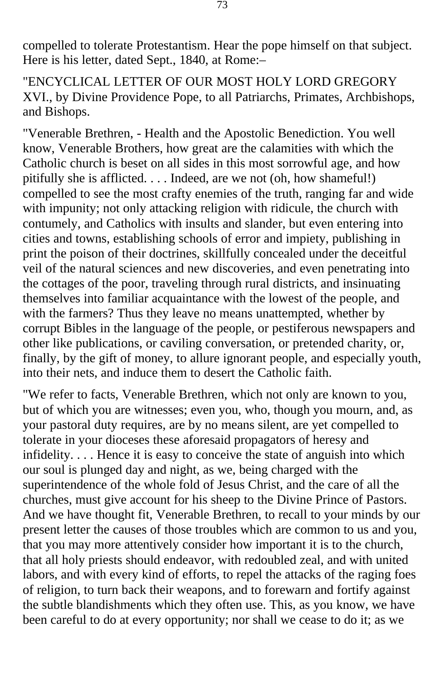compelled to tolerate Protestantism. Hear the pope himself on that subject. Here is his letter, dated Sept., 1840, at Rome:–

"ENCYCLICAL LETTER OF OUR MOST HOLY LORD GREGORY XVI., by Divine Providence Pope, to all Patriarchs, Primates, Archbishops, and Bishops.

"Venerable Brethren, - Health and the Apostolic Benediction. You well know, Venerable Brothers, how great are the calamities with which the Catholic church is beset on all sides in this most sorrowful age, and how pitifully she is afflicted. . . . Indeed, are we not (oh, how shameful!) compelled to see the most crafty enemies of the truth, ranging far and wide with impunity; not only attacking religion with ridicule, the church with contumely, and Catholics with insults and slander, but even entering into cities and towns, establishing schools of error and impiety, publishing in print the poison of their doctrines, skillfully concealed under the deceitful veil of the natural sciences and new discoveries, and even penetrating into the cottages of the poor, traveling through rural districts, and insinuating themselves into familiar acquaintance with the lowest of the people, and with the farmers? Thus they leave no means unattempted, whether by corrupt Bibles in the language of the people, or pestiferous newspapers and other like publications, or caviling conversation, or pretended charity, or, finally, by the gift of money, to allure ignorant people, and especially youth, into their nets, and induce them to desert the Catholic faith.

"We refer to facts, Venerable Brethren, which not only are known to you, but of which you are witnesses; even you, who, though you mourn, and, as your pastoral duty requires, are by no means silent, are yet compelled to tolerate in your dioceses these aforesaid propagators of heresy and infidelity. . . . Hence it is easy to conceive the state of anguish into which our soul is plunged day and night, as we, being charged with the superintendence of the whole fold of Jesus Christ, and the care of all the churches, must give account for his sheep to the Divine Prince of Pastors. And we have thought fit, Venerable Brethren, to recall to your minds by our present letter the causes of those troubles which are common to us and you, that you may more attentively consider how important it is to the church, that all holy priests should endeavor, with redoubled zeal, and with united labors, and with every kind of efforts, to repel the attacks of the raging foes of religion, to turn back their weapons, and to forewarn and fortify against the subtle blandishments which they often use. This, as you know, we have been careful to do at every opportunity; nor shall we cease to do it; as we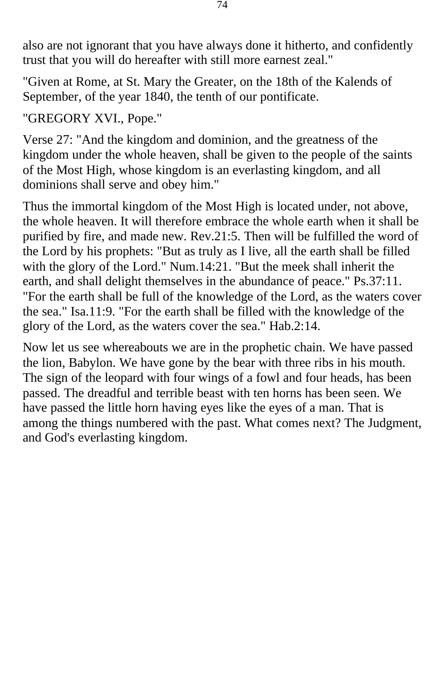also are not ignorant that you have always done it hitherto, and confidently trust that you will do hereafter with still more earnest zeal."

"Given at Rome, at St. Mary the Greater, on the 18th of the Kalends of September, of the year 1840, the tenth of our pontificate.

"GREGORY XVI., Pope."

Verse 27: "And the kingdom and dominion, and the greatness of the kingdom under the whole heaven, shall be given to the people of the saints of the Most High, whose kingdom is an everlasting kingdom, and all dominions shall serve and obey him."

Thus the immortal kingdom of the Most High is located under, not above, the whole heaven. It will therefore embrace the whole earth when it shall be purified by fire, and made new. Rev.21:5. Then will be fulfilled the word of the Lord by his prophets: "But as truly as I live, all the earth shall be filled with the glory of the Lord." Num.14:21. "But the meek shall inherit the earth, and shall delight themselves in the abundance of peace." Ps.37:11. "For the earth shall be full of the knowledge of the Lord, as the waters cover the sea." Isa.11:9. "For the earth shall be filled with the knowledge of the glory of the Lord, as the waters cover the sea." Hab.2:14.

Now let us see whereabouts we are in the prophetic chain. We have passed the lion, Babylon. We have gone by the bear with three ribs in his mouth. The sign of the leopard with four wings of a fowl and four heads, has been passed. The dreadful and terrible beast with ten horns has been seen. We have passed the little horn having eyes like the eyes of a man. That is among the things numbered with the past. What comes next? The Judgment, and God's everlasting kingdom.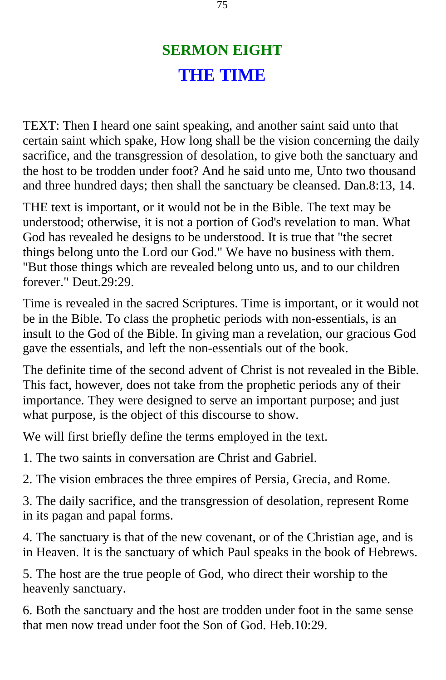## **SERMON EIGHT THE TIME**

TEXT: Then I heard one saint speaking, and another saint said unto that certain saint which spake, How long shall be the vision concerning the daily sacrifice, and the transgression of desolation, to give both the sanctuary and the host to be trodden under foot? And he said unto me, Unto two thousand and three hundred days; then shall the sanctuary be cleansed. Dan.8:13, 14.

THE text is important, or it would not be in the Bible. The text may be understood; otherwise, it is not a portion of God's revelation to man. What God has revealed he designs to be understood. It is true that "the secret things belong unto the Lord our God." We have no business with them. "But those things which are revealed belong unto us, and to our children forever." Deut.29:29.

Time is revealed in the sacred Scriptures. Time is important, or it would not be in the Bible. To class the prophetic periods with non-essentials, is an insult to the God of the Bible. In giving man a revelation, our gracious God gave the essentials, and left the non-essentials out of the book.

The definite time of the second advent of Christ is not revealed in the Bible. This fact, however, does not take from the prophetic periods any of their importance. They were designed to serve an important purpose; and just what purpose, is the object of this discourse to show.

We will first briefly define the terms employed in the text.

1. The two saints in conversation are Christ and Gabriel.

2. The vision embraces the three empires of Persia, Grecia, and Rome.

3. The daily sacrifice, and the transgression of desolation, represent Rome in its pagan and papal forms.

4. The sanctuary is that of the new covenant, or of the Christian age, and is in Heaven. It is the sanctuary of which Paul speaks in the book of Hebrews.

5. The host are the true people of God, who direct their worship to the heavenly sanctuary.

6. Both the sanctuary and the host are trodden under foot in the same sense that men now tread under foot the Son of God. Heb.10:29.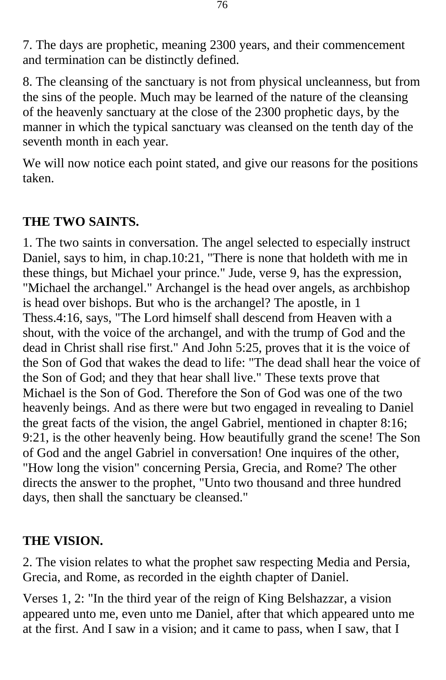7. The days are prophetic, meaning 2300 years, and their commencement and termination can be distinctly defined.

8. The cleansing of the sanctuary is not from physical uncleanness, but from the sins of the people. Much may be learned of the nature of the cleansing of the heavenly sanctuary at the close of the 2300 prophetic days, by the manner in which the typical sanctuary was cleansed on the tenth day of the seventh month in each year.

We will now notice each point stated, and give our reasons for the positions taken.

## **THE TWO SAINTS.**

1. The two saints in conversation. The angel selected to especially instruct Daniel, says to him, in chap.10:21, "There is none that holdeth with me in these things, but Michael your prince." Jude, verse 9, has the expression, "Michael the archangel." Archangel is the head over angels, as archbishop is head over bishops. But who is the archangel? The apostle, in 1 Thess.4:16, says, "The Lord himself shall descend from Heaven with a shout, with the voice of the archangel, and with the trump of God and the dead in Christ shall rise first." And John 5:25, proves that it is the voice of the Son of God that wakes the dead to life: "The dead shall hear the voice of the Son of God; and they that hear shall live." These texts prove that Michael is the Son of God. Therefore the Son of God was one of the two heavenly beings. And as there were but two engaged in revealing to Daniel the great facts of the vision, the angel Gabriel, mentioned in chapter 8:16; 9:21, is the other heavenly being. How beautifully grand the scene! The Son of God and the angel Gabriel in conversation! One inquires of the other, "How long the vision" concerning Persia, Grecia, and Rome? The other directs the answer to the prophet, "Unto two thousand and three hundred days, then shall the sanctuary be cleansed."

## **THE VISION.**

2. The vision relates to what the prophet saw respecting Media and Persia, Grecia, and Rome, as recorded in the eighth chapter of Daniel.

Verses 1, 2: "In the third year of the reign of King Belshazzar, a vision appeared unto me, even unto me Daniel, after that which appeared unto me at the first. And I saw in a vision; and it came to pass, when I saw, that I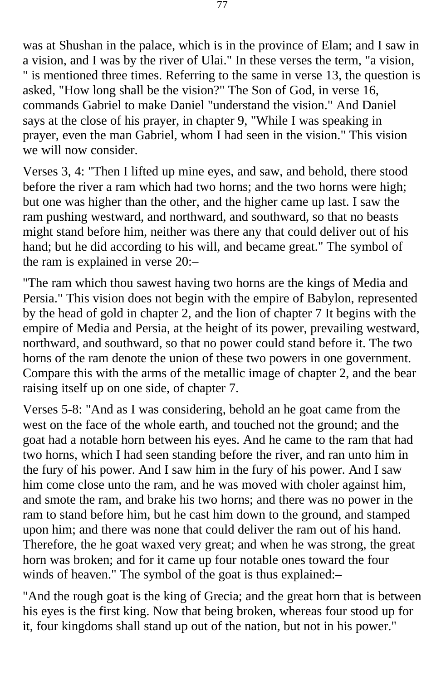was at Shushan in the palace, which is in the province of Elam; and I saw in a vision, and I was by the river of Ulai." In these verses the term, "a vision, " is mentioned three times. Referring to the same in verse 13, the question is asked, "How long shall be the vision?" The Son of God, in verse 16, commands Gabriel to make Daniel "understand the vision." And Daniel says at the close of his prayer, in chapter 9, "While I was speaking in prayer, even the man Gabriel, whom I had seen in the vision." This vision we will now consider.

Verses 3, 4: "Then I lifted up mine eyes, and saw, and behold, there stood before the river a ram which had two horns; and the two horns were high; but one was higher than the other, and the higher came up last. I saw the ram pushing westward, and northward, and southward, so that no beasts might stand before him, neither was there any that could deliver out of his hand; but he did according to his will, and became great." The symbol of the ram is explained in verse 20:–

"The ram which thou sawest having two horns are the kings of Media and Persia." This vision does not begin with the empire of Babylon, represented by the head of gold in chapter 2, and the lion of chapter 7 It begins with the empire of Media and Persia, at the height of its power, prevailing westward, northward, and southward, so that no power could stand before it. The two horns of the ram denote the union of these two powers in one government. Compare this with the arms of the metallic image of chapter 2, and the bear raising itself up on one side, of chapter 7.

Verses 5-8: "And as I was considering, behold an he goat came from the west on the face of the whole earth, and touched not the ground; and the goat had a notable horn between his eyes. And he came to the ram that had two horns, which I had seen standing before the river, and ran unto him in the fury of his power. And I saw him in the fury of his power. And I saw him come close unto the ram, and he was moved with choler against him, and smote the ram, and brake his two horns; and there was no power in the ram to stand before him, but he cast him down to the ground, and stamped upon him; and there was none that could deliver the ram out of his hand. Therefore, the he goat waxed very great; and when he was strong, the great horn was broken; and for it came up four notable ones toward the four winds of heaven." The symbol of the goat is thus explained:–

"And the rough goat is the king of Grecia; and the great horn that is between his eyes is the first king. Now that being broken, whereas four stood up for it, four kingdoms shall stand up out of the nation, but not in his power."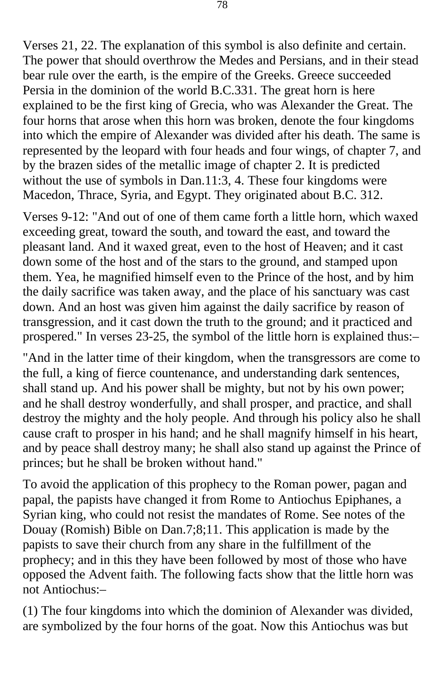Verses 21, 22. The explanation of this symbol is also definite and certain. The power that should overthrow the Medes and Persians, and in their stead bear rule over the earth, is the empire of the Greeks. Greece succeeded Persia in the dominion of the world B.C.331. The great horn is here explained to be the first king of Grecia, who was Alexander the Great. The four horns that arose when this horn was broken, denote the four kingdoms into which the empire of Alexander was divided after his death. The same is represented by the leopard with four heads and four wings, of chapter 7, and by the brazen sides of the metallic image of chapter 2. It is predicted without the use of symbols in Dan.11:3, 4. These four kingdoms were Macedon, Thrace, Syria, and Egypt. They originated about B.C. 312.

Verses 9-12: "And out of one of them came forth a little horn, which waxed exceeding great, toward the south, and toward the east, and toward the pleasant land. And it waxed great, even to the host of Heaven; and it cast down some of the host and of the stars to the ground, and stamped upon them. Yea, he magnified himself even to the Prince of the host, and by him the daily sacrifice was taken away, and the place of his sanctuary was cast down. And an host was given him against the daily sacrifice by reason of transgression, and it cast down the truth to the ground; and it practiced and prospered." In verses 23-25, the symbol of the little horn is explained thus:–

"And in the latter time of their kingdom, when the transgressors are come to the full, a king of fierce countenance, and understanding dark sentences, shall stand up. And his power shall be mighty, but not by his own power; and he shall destroy wonderfully, and shall prosper, and practice, and shall destroy the mighty and the holy people. And through his policy also he shall cause craft to prosper in his hand; and he shall magnify himself in his heart, and by peace shall destroy many; he shall also stand up against the Prince of princes; but he shall be broken without hand."

To avoid the application of this prophecy to the Roman power, pagan and papal, the papists have changed it from Rome to Antiochus Epiphanes, a Syrian king, who could not resist the mandates of Rome. See notes of the Douay (Romish) Bible on Dan.7;8;11. This application is made by the papists to save their church from any share in the fulfillment of the prophecy; and in this they have been followed by most of those who have opposed the Advent faith. The following facts show that the little horn was not Antiochus:–

(1) The four kingdoms into which the dominion of Alexander was divided, are symbolized by the four horns of the goat. Now this Antiochus was but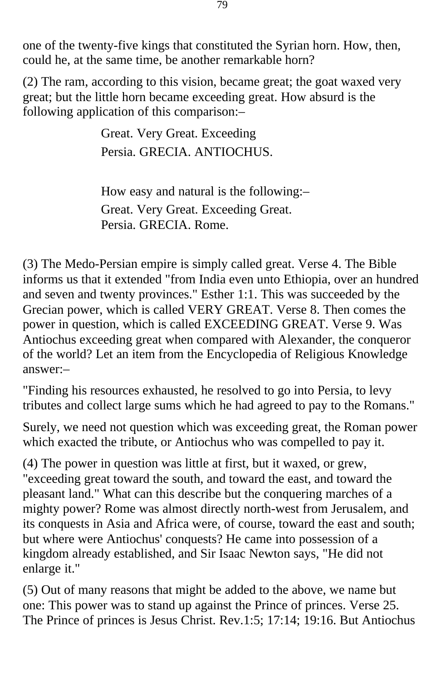one of the twenty-five kings that constituted the Syrian horn. How, then, could he, at the same time, be another remarkable horn?

(2) The ram, according to this vision, became great; the goat waxed very great; but the little horn became exceeding great. How absurd is the following application of this comparison:–

> Great. Very Great. Exceeding Persia. GRECIA. ANTIOCHUS.

How easy and natural is the following:– Great. Very Great. Exceeding Great. Persia. GRECIA. Rome.

(3) The Medo-Persian empire is simply called great. Verse 4. The Bible informs us that it extended "from India even unto Ethiopia, over an hundred and seven and twenty provinces." Esther 1:1. This was succeeded by the Grecian power, which is called VERY GREAT. Verse 8. Then comes the power in question, which is called EXCEEDING GREAT. Verse 9. Was Antiochus exceeding great when compared with Alexander, the conqueror of the world? Let an item from the Encyclopedia of Religious Knowledge answer:–

"Finding his resources exhausted, he resolved to go into Persia, to levy tributes and collect large sums which he had agreed to pay to the Romans."

Surely, we need not question which was exceeding great, the Roman power which exacted the tribute, or Antiochus who was compelled to pay it.

(4) The power in question was little at first, but it waxed, or grew, "exceeding great toward the south, and toward the east, and toward the pleasant land." What can this describe but the conquering marches of a mighty power? Rome was almost directly north-west from Jerusalem, and its conquests in Asia and Africa were, of course, toward the east and south; but where were Antiochus' conquests? He came into possession of a kingdom already established, and Sir Isaac Newton says, "He did not enlarge it."

(5) Out of many reasons that might be added to the above, we name but one: This power was to stand up against the Prince of princes. Verse 25. The Prince of princes is Jesus Christ. Rev.1:5; 17:14; 19:16. But Antiochus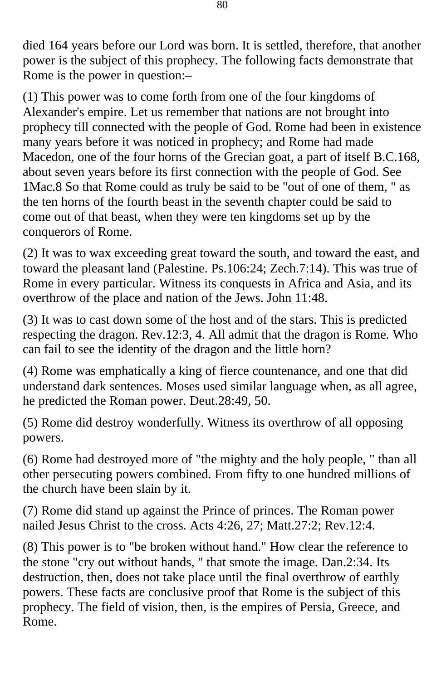died 164 years before our Lord was born. It is settled, therefore, that another power is the subject of this prophecy. The following facts demonstrate that Rome is the power in question:–

(1) This power was to come forth from one of the four kingdoms of Alexander's empire. Let us remember that nations are not brought into prophecy till connected with the people of God. Rome had been in existence many years before it was noticed in prophecy; and Rome had made Macedon, one of the four horns of the Grecian goat, a part of itself B.C.168, about seven years before its first connection with the people of God. See 1Mac.8 So that Rome could as truly be said to be "out of one of them, " as the ten horns of the fourth beast in the seventh chapter could be said to come out of that beast, when they were ten kingdoms set up by the conquerors of Rome.

(2) It was to wax exceeding great toward the south, and toward the east, and toward the pleasant land (Palestine. Ps.106:24; Zech.7:14). This was true of Rome in every particular. Witness its conquests in Africa and Asia, and its overthrow of the place and nation of the Jews. John 11:48.

(3) It was to cast down some of the host and of the stars. This is predicted respecting the dragon. Rev.12:3, 4. All admit that the dragon is Rome. Who can fail to see the identity of the dragon and the little horn?

(4) Rome was emphatically a king of fierce countenance, and one that did understand dark sentences. Moses used similar language when, as all agree, he predicted the Roman power. Deut.28:49, 50.

(5) Rome did destroy wonderfully. Witness its overthrow of all opposing powers.

(6) Rome had destroyed more of "the mighty and the holy people, " than all other persecuting powers combined. From fifty to one hundred millions of the church have been slain by it.

(7) Rome did stand up against the Prince of princes. The Roman power nailed Jesus Christ to the cross. Acts 4:26, 27; Matt.27:2; Rev.12:4.

(8) This power is to "be broken without hand." How clear the reference to the stone "cry out without hands, " that smote the image. Dan.2:34. Its destruction, then, does not take place until the final overthrow of earthly powers. These facts are conclusive proof that Rome is the subject of this prophecy. The field of vision, then, is the empires of Persia, Greece, and Rome.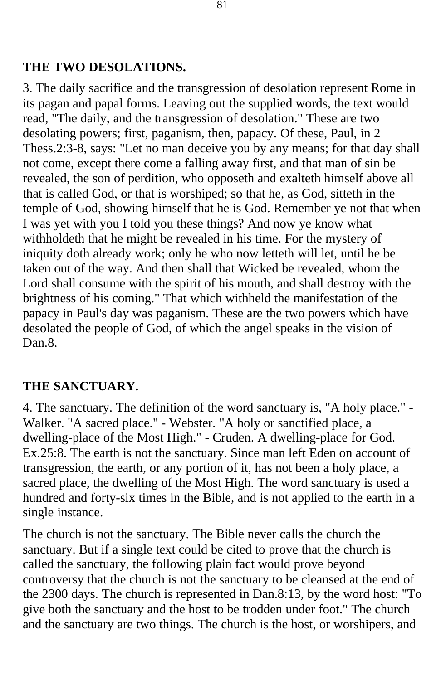## **THE TWO DESOLATIONS.**

3. The daily sacrifice and the transgression of desolation represent Rome in its pagan and papal forms. Leaving out the supplied words, the text would read, "The daily, and the transgression of desolation." These are two desolating powers; first, paganism, then, papacy. Of these, Paul, in 2 Thess.2:3-8, says: "Let no man deceive you by any means; for that day shall not come, except there come a falling away first, and that man of sin be revealed, the son of perdition, who opposeth and exalteth himself above all that is called God, or that is worshiped; so that he, as God, sitteth in the temple of God, showing himself that he is God. Remember ye not that when I was yet with you I told you these things? And now ye know what withholdeth that he might be revealed in his time. For the mystery of iniquity doth already work; only he who now letteth will let, until he be taken out of the way. And then shall that Wicked be revealed, whom the Lord shall consume with the spirit of his mouth, and shall destroy with the brightness of his coming." That which withheld the manifestation of the papacy in Paul's day was paganism. These are the two powers which have desolated the people of God, of which the angel speaks in the vision of Dan.8.

## **THE SANCTUARY.**

4. The sanctuary. The definition of the word sanctuary is, "A holy place." - Walker. "A sacred place." - Webster. "A holy or sanctified place, a dwelling-place of the Most High." - Cruden. A dwelling-place for God. Ex.25:8. The earth is not the sanctuary. Since man left Eden on account of transgression, the earth, or any portion of it, has not been a holy place, a sacred place, the dwelling of the Most High. The word sanctuary is used a hundred and forty-six times in the Bible, and is not applied to the earth in a single instance.

The church is not the sanctuary. The Bible never calls the church the sanctuary. But if a single text could be cited to prove that the church is called the sanctuary, the following plain fact would prove beyond controversy that the church is not the sanctuary to be cleansed at the end of the 2300 days. The church is represented in Dan.8:13, by the word host: "To give both the sanctuary and the host to be trodden under foot." The church and the sanctuary are two things. The church is the host, or worshipers, and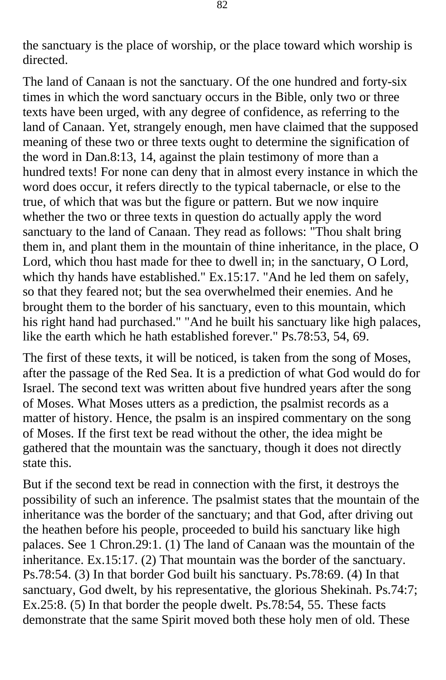the sanctuary is the place of worship, or the place toward which worship is directed.

The land of Canaan is not the sanctuary. Of the one hundred and forty-six times in which the word sanctuary occurs in the Bible, only two or three texts have been urged, with any degree of confidence, as referring to the land of Canaan. Yet, strangely enough, men have claimed that the supposed meaning of these two or three texts ought to determine the signification of the word in Dan.8:13, 14, against the plain testimony of more than a hundred texts! For none can deny that in almost every instance in which the word does occur, it refers directly to the typical tabernacle, or else to the true, of which that was but the figure or pattern. But we now inquire whether the two or three texts in question do actually apply the word sanctuary to the land of Canaan. They read as follows: "Thou shalt bring them in, and plant them in the mountain of thine inheritance, in the place, O Lord, which thou hast made for thee to dwell in; in the sanctuary, O Lord, which thy hands have established." Ex.15:17. "And he led them on safely, so that they feared not; but the sea overwhelmed their enemies. And he brought them to the border of his sanctuary, even to this mountain, which his right hand had purchased." "And he built his sanctuary like high palaces, like the earth which he hath established forever." Ps.78:53, 54, 69.

The first of these texts, it will be noticed, is taken from the song of Moses, after the passage of the Red Sea. It is a prediction of what God would do for Israel. The second text was written about five hundred years after the song of Moses. What Moses utters as a prediction, the psalmist records as a matter of history. Hence, the psalm is an inspired commentary on the song of Moses. If the first text be read without the other, the idea might be gathered that the mountain was the sanctuary, though it does not directly state this.

But if the second text be read in connection with the first, it destroys the possibility of such an inference. The psalmist states that the mountain of the inheritance was the border of the sanctuary; and that God, after driving out the heathen before his people, proceeded to build his sanctuary like high palaces. See 1 Chron.29:1. (1) The land of Canaan was the mountain of the inheritance. Ex.15:17. (2) That mountain was the border of the sanctuary. Ps.78:54. (3) In that border God built his sanctuary. Ps.78:69. (4) In that sanctuary, God dwelt, by his representative, the glorious Shekinah. Ps.74:7; Ex.25:8. (5) In that border the people dwelt. Ps.78:54, 55. These facts demonstrate that the same Spirit moved both these holy men of old. These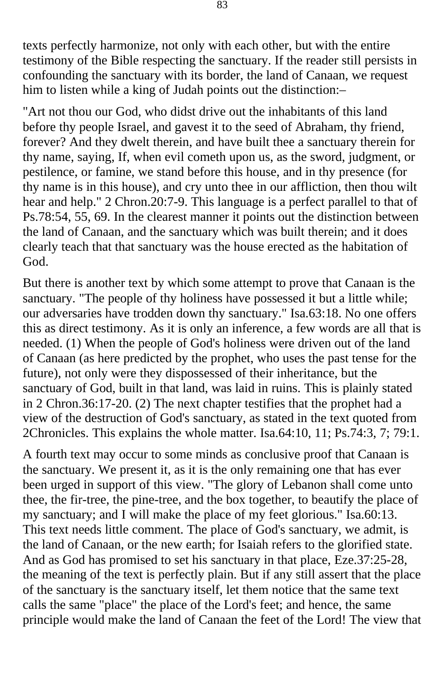texts perfectly harmonize, not only with each other, but with the entire testimony of the Bible respecting the sanctuary. If the reader still persists in confounding the sanctuary with its border, the land of Canaan, we request him to listen while a king of Judah points out the distinction:–

"Art not thou our God, who didst drive out the inhabitants of this land before thy people Israel, and gavest it to the seed of Abraham, thy friend, forever? And they dwelt therein, and have built thee a sanctuary therein for thy name, saying, If, when evil cometh upon us, as the sword, judgment, or pestilence, or famine, we stand before this house, and in thy presence (for thy name is in this house), and cry unto thee in our affliction, then thou wilt hear and help." 2 Chron.20:7-9. This language is a perfect parallel to that of Ps.78:54, 55, 69. In the clearest manner it points out the distinction between the land of Canaan, and the sanctuary which was built therein; and it does clearly teach that that sanctuary was the house erected as the habitation of God.

But there is another text by which some attempt to prove that Canaan is the sanctuary. "The people of thy holiness have possessed it but a little while; our adversaries have trodden down thy sanctuary." Isa.63:18. No one offers this as direct testimony. As it is only an inference, a few words are all that is needed. (1) When the people of God's holiness were driven out of the land of Canaan (as here predicted by the prophet, who uses the past tense for the future), not only were they dispossessed of their inheritance, but the sanctuary of God, built in that land, was laid in ruins. This is plainly stated in 2 Chron.36:17-20. (2) The next chapter testifies that the prophet had a view of the destruction of God's sanctuary, as stated in the text quoted from 2Chronicles. This explains the whole matter. Isa.64:10, 11; Ps.74:3, 7; 79:1.

A fourth text may occur to some minds as conclusive proof that Canaan is the sanctuary. We present it, as it is the only remaining one that has ever been urged in support of this view. "The glory of Lebanon shall come unto thee, the fir-tree, the pine-tree, and the box together, to beautify the place of my sanctuary; and I will make the place of my feet glorious." Isa.60:13. This text needs little comment. The place of God's sanctuary, we admit, is the land of Canaan, or the new earth; for Isaiah refers to the glorified state. And as God has promised to set his sanctuary in that place, Eze.37:25-28, the meaning of the text is perfectly plain. But if any still assert that the place of the sanctuary is the sanctuary itself, let them notice that the same text calls the same "place" the place of the Lord's feet; and hence, the same principle would make the land of Canaan the feet of the Lord! The view that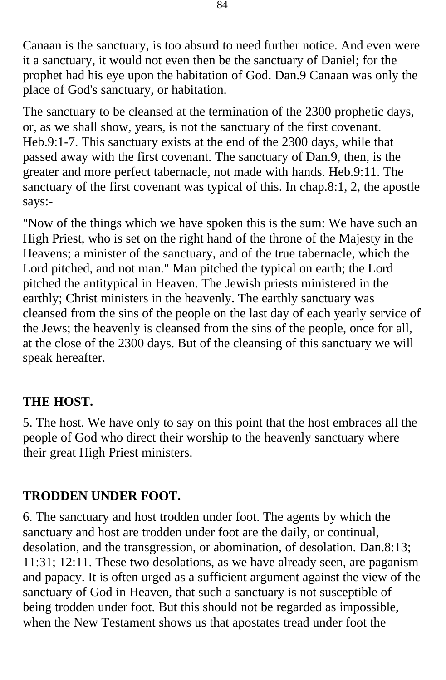Canaan is the sanctuary, is too absurd to need further notice. And even were it a sanctuary, it would not even then be the sanctuary of Daniel; for the prophet had his eye upon the habitation of God. Dan.9 Canaan was only the place of God's sanctuary, or habitation.

The sanctuary to be cleansed at the termination of the 2300 prophetic days, or, as we shall show, years, is not the sanctuary of the first covenant. Heb.9:1-7. This sanctuary exists at the end of the 2300 days, while that passed away with the first covenant. The sanctuary of Dan.9, then, is the greater and more perfect tabernacle, not made with hands. Heb.9:11. The sanctuary of the first covenant was typical of this. In chap.8:1, 2, the apostle says:-

"Now of the things which we have spoken this is the sum: We have such an High Priest, who is set on the right hand of the throne of the Majesty in the Heavens; a minister of the sanctuary, and of the true tabernacle, which the Lord pitched, and not man." Man pitched the typical on earth; the Lord pitched the antitypical in Heaven. The Jewish priests ministered in the earthly; Christ ministers in the heavenly. The earthly sanctuary was cleansed from the sins of the people on the last day of each yearly service of the Jews; the heavenly is cleansed from the sins of the people, once for all, at the close of the 2300 days. But of the cleansing of this sanctuary we will speak hereafter.

## **THE HOST.**

5. The host. We have only to say on this point that the host embraces all the people of God who direct their worship to the heavenly sanctuary where their great High Priest ministers.

## **TRODDEN UNDER FOOT.**

6. The sanctuary and host trodden under foot. The agents by which the sanctuary and host are trodden under foot are the daily, or continual, desolation, and the transgression, or abomination, of desolation. Dan.8:13; 11:31; 12:11. These two desolations, as we have already seen, are paganism and papacy. It is often urged as a sufficient argument against the view of the sanctuary of God in Heaven, that such a sanctuary is not susceptible of being trodden under foot. But this should not be regarded as impossible, when the New Testament shows us that apostates tread under foot the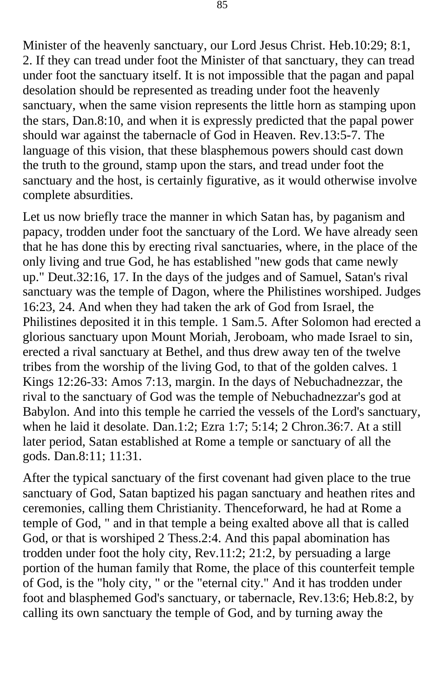Minister of the heavenly sanctuary, our Lord Jesus Christ. Heb.10:29; 8:1, 2. If they can tread under foot the Minister of that sanctuary, they can tread under foot the sanctuary itself. It is not impossible that the pagan and papal desolation should be represented as treading under foot the heavenly sanctuary, when the same vision represents the little horn as stamping upon the stars, Dan.8:10, and when it is expressly predicted that the papal power should war against the tabernacle of God in Heaven. Rev.13:5-7. The language of this vision, that these blasphemous powers should cast down the truth to the ground, stamp upon the stars, and tread under foot the sanctuary and the host, is certainly figurative, as it would otherwise involve complete absurdities.

Let us now briefly trace the manner in which Satan has, by paganism and papacy, trodden under foot the sanctuary of the Lord. We have already seen that he has done this by erecting rival sanctuaries, where, in the place of the only living and true God, he has established "new gods that came newly up." Deut.32:16, 17. In the days of the judges and of Samuel, Satan's rival sanctuary was the temple of Dagon, where the Philistines worshiped. Judges 16:23, 24. And when they had taken the ark of God from Israel, the Philistines deposited it in this temple. 1 Sam.5. After Solomon had erected a glorious sanctuary upon Mount Moriah, Jeroboam, who made Israel to sin, erected a rival sanctuary at Bethel, and thus drew away ten of the twelve tribes from the worship of the living God, to that of the golden calves. 1 Kings 12:26-33: Amos 7:13, margin. In the days of Nebuchadnezzar, the rival to the sanctuary of God was the temple of Nebuchadnezzar's god at Babylon. And into this temple he carried the vessels of the Lord's sanctuary, when he laid it desolate. Dan.1:2; Ezra 1:7; 5:14; 2 Chron.36:7. At a still later period, Satan established at Rome a temple or sanctuary of all the gods. Dan.8:11; 11:31.

After the typical sanctuary of the first covenant had given place to the true sanctuary of God, Satan baptized his pagan sanctuary and heathen rites and ceremonies, calling them Christianity. Thenceforward, he had at Rome a temple of God, " and in that temple a being exalted above all that is called God, or that is worshiped 2 Thess.2:4. And this papal abomination has trodden under foot the holy city, Rev.11:2; 21:2, by persuading a large portion of the human family that Rome, the place of this counterfeit temple of God, is the "holy city, " or the "eternal city." And it has trodden under foot and blasphemed God's sanctuary, or tabernacle, Rev.13:6; Heb.8:2, by calling its own sanctuary the temple of God, and by turning away the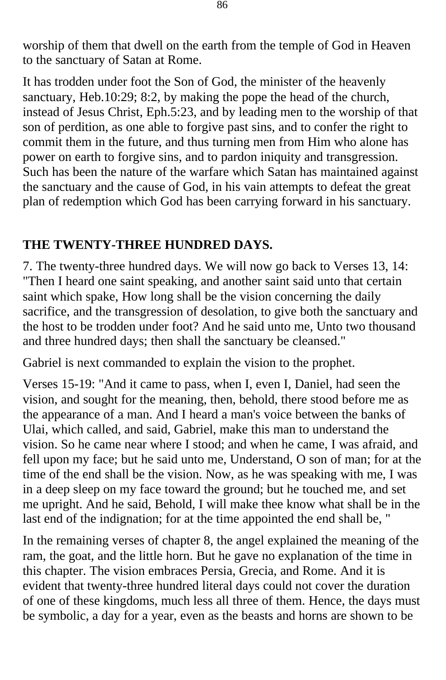worship of them that dwell on the earth from the temple of God in Heaven to the sanctuary of Satan at Rome.

It has trodden under foot the Son of God, the minister of the heavenly sanctuary, Heb.10:29; 8:2, by making the pope the head of the church, instead of Jesus Christ, Eph.5:23, and by leading men to the worship of that son of perdition, as one able to forgive past sins, and to confer the right to commit them in the future, and thus turning men from Him who alone has power on earth to forgive sins, and to pardon iniquity and transgression. Such has been the nature of the warfare which Satan has maintained against the sanctuary and the cause of God, in his vain attempts to defeat the great plan of redemption which God has been carrying forward in his sanctuary.

#### **THE TWENTY-THREE HUNDRED DAYS.**

7. The twenty-three hundred days. We will now go back to Verses 13, 14: "Then I heard one saint speaking, and another saint said unto that certain saint which spake, How long shall be the vision concerning the daily sacrifice, and the transgression of desolation, to give both the sanctuary and the host to be trodden under foot? And he said unto me, Unto two thousand and three hundred days; then shall the sanctuary be cleansed."

Gabriel is next commanded to explain the vision to the prophet.

Verses 15-19: "And it came to pass, when I, even I, Daniel, had seen the vision, and sought for the meaning, then, behold, there stood before me as the appearance of a man. And I heard a man's voice between the banks of Ulai, which called, and said, Gabriel, make this man to understand the vision. So he came near where I stood; and when he came, I was afraid, and fell upon my face; but he said unto me, Understand, O son of man; for at the time of the end shall be the vision. Now, as he was speaking with me, I was in a deep sleep on my face toward the ground; but he touched me, and set me upright. And he said, Behold, I will make thee know what shall be in the last end of the indignation; for at the time appointed the end shall be, "

In the remaining verses of chapter 8, the angel explained the meaning of the ram, the goat, and the little horn. But he gave no explanation of the time in this chapter. The vision embraces Persia, Grecia, and Rome. And it is evident that twenty-three hundred literal days could not cover the duration of one of these kingdoms, much less all three of them. Hence, the days must be symbolic, a day for a year, even as the beasts and horns are shown to be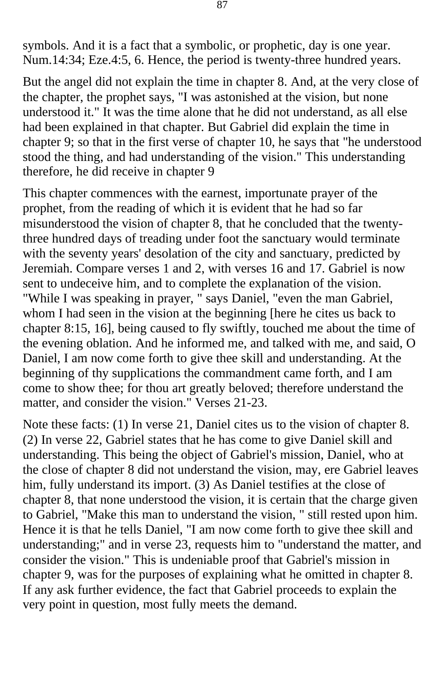symbols. And it is a fact that a symbolic, or prophetic, day is one year. Num.14:34; Eze.4:5, 6. Hence, the period is twenty-three hundred years.

But the angel did not explain the time in chapter 8. And, at the very close of the chapter, the prophet says, "I was astonished at the vision, but none understood it." It was the time alone that he did not understand, as all else had been explained in that chapter. But Gabriel did explain the time in chapter 9; so that in the first verse of chapter 10, he says that "he understood stood the thing, and had understanding of the vision." This understanding therefore, he did receive in chapter 9

This chapter commences with the earnest, importunate prayer of the prophet, from the reading of which it is evident that he had so far misunderstood the vision of chapter 8, that he concluded that the twentythree hundred days of treading under foot the sanctuary would terminate with the seventy years' desolation of the city and sanctuary, predicted by Jeremiah. Compare verses 1 and 2, with verses 16 and 17. Gabriel is now sent to undeceive him, and to complete the explanation of the vision. "While I was speaking in prayer, " says Daniel, "even the man Gabriel, whom I had seen in the vision at the beginning [here he cites us back to chapter 8:15, 16], being caused to fly swiftly, touched me about the time of the evening oblation. And he informed me, and talked with me, and said, O Daniel, I am now come forth to give thee skill and understanding. At the beginning of thy supplications the commandment came forth, and I am come to show thee; for thou art greatly beloved; therefore understand the matter, and consider the vision." Verses 21-23.

Note these facts: (1) In verse 21, Daniel cites us to the vision of chapter 8. (2) In verse 22, Gabriel states that he has come to give Daniel skill and understanding. This being the object of Gabriel's mission, Daniel, who at the close of chapter 8 did not understand the vision, may, ere Gabriel leaves him, fully understand its import. (3) As Daniel testifies at the close of chapter 8, that none understood the vision, it is certain that the charge given to Gabriel, "Make this man to understand the vision, " still rested upon him. Hence it is that he tells Daniel, "I am now come forth to give thee skill and understanding;" and in verse 23, requests him to "understand the matter, and consider the vision." This is undeniable proof that Gabriel's mission in chapter 9, was for the purposes of explaining what he omitted in chapter 8. If any ask further evidence, the fact that Gabriel proceeds to explain the very point in question, most fully meets the demand.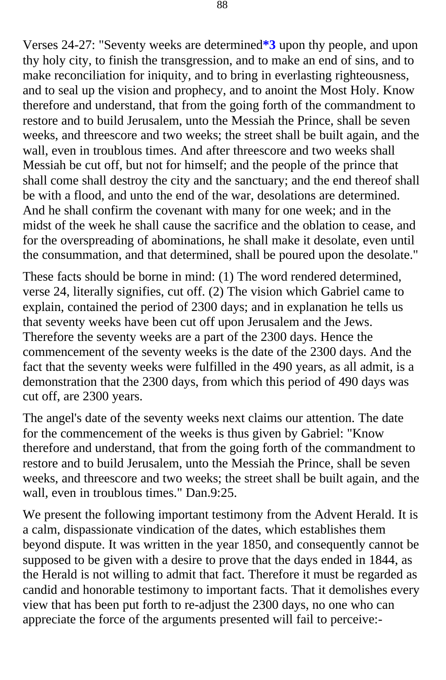Verses 24-27: "Seventy weeks are determined**[\\*3](#page-125-0)** upon thy people, and upon thy holy city, to finish the transgression, and to make an end of sins, and to make reconciliation for iniquity, and to bring in everlasting righteousness, and to seal up the vision and prophecy, and to anoint the Most Holy. Know therefore and understand, that from the going forth of the commandment to restore and to build Jerusalem, unto the Messiah the Prince, shall be seven weeks, and threescore and two weeks; the street shall be built again, and the wall, even in troublous times. And after threescore and two weeks shall Messiah be cut off, but not for himself; and the people of the prince that shall come shall destroy the city and the sanctuary; and the end thereof shall be with a flood, and unto the end of the war, desolations are determined. And he shall confirm the covenant with many for one week; and in the midst of the week he shall cause the sacrifice and the oblation to cease, and for the overspreading of abominations, he shall make it desolate, even until the consummation, and that determined, shall be poured upon the desolate."

These facts should be borne in mind: (1) The word rendered determined, verse 24, literally signifies, cut off. (2) The vision which Gabriel came to explain, contained the period of 2300 days; and in explanation he tells us that seventy weeks have been cut off upon Jerusalem and the Jews. Therefore the seventy weeks are a part of the 2300 days. Hence the commencement of the seventy weeks is the date of the 2300 days. And the fact that the seventy weeks were fulfilled in the 490 years, as all admit, is a demonstration that the 2300 days, from which this period of 490 days was cut off, are 2300 years.

The angel's date of the seventy weeks next claims our attention. The date for the commencement of the weeks is thus given by Gabriel: "Know therefore and understand, that from the going forth of the commandment to restore and to build Jerusalem, unto the Messiah the Prince, shall be seven weeks, and threescore and two weeks; the street shall be built again, and the wall, even in troublous times." Dan.9:25.

We present the following important testimony from the Advent Herald. It is a calm, dispassionate vindication of the dates, which establishes them beyond dispute. It was written in the year 1850, and consequently cannot be supposed to be given with a desire to prove that the days ended in 1844, as the Herald is not willing to admit that fact. Therefore it must be regarded as candid and honorable testimony to important facts. That it demolishes every view that has been put forth to re-adjust the 2300 days, no one who can appreciate the force of the arguments presented will fail to perceive:-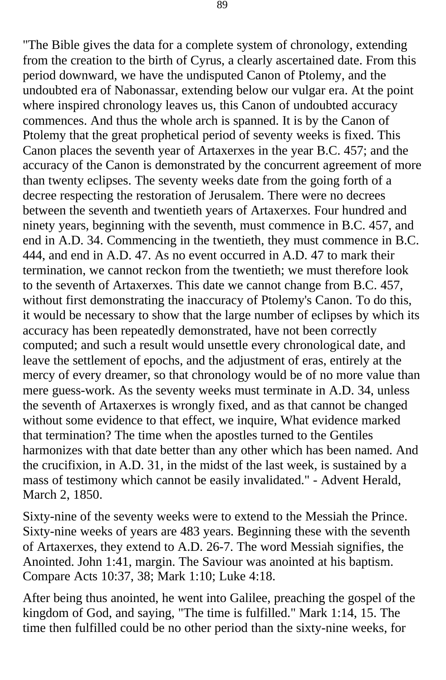"The Bible gives the data for a complete system of chronology, extending from the creation to the birth of Cyrus, a clearly ascertained date. From this period downward, we have the undisputed Canon of Ptolemy, and the undoubted era of Nabonassar, extending below our vulgar era. At the point where inspired chronology leaves us, this Canon of undoubted accuracy commences. And thus the whole arch is spanned. It is by the Canon of Ptolemy that the great prophetical period of seventy weeks is fixed. This Canon places the seventh year of Artaxerxes in the year B.C. 457; and the accuracy of the Canon is demonstrated by the concurrent agreement of more than twenty eclipses. The seventy weeks date from the going forth of a decree respecting the restoration of Jerusalem. There were no decrees between the seventh and twentieth years of Artaxerxes. Four hundred and ninety years, beginning with the seventh, must commence in B.C. 457, and end in A.D. 34. Commencing in the twentieth, they must commence in B.C. 444, and end in A.D. 47. As no event occurred in A.D. 47 to mark their termination, we cannot reckon from the twentieth; we must therefore look to the seventh of Artaxerxes. This date we cannot change from B.C. 457, without first demonstrating the inaccuracy of Ptolemy's Canon. To do this, it would be necessary to show that the large number of eclipses by which its accuracy has been repeatedly demonstrated, have not been correctly computed; and such a result would unsettle every chronological date, and leave the settlement of epochs, and the adjustment of eras, entirely at the mercy of every dreamer, so that chronology would be of no more value than mere guess-work. As the seventy weeks must terminate in A.D. 34, unless the seventh of Artaxerxes is wrongly fixed, and as that cannot be changed without some evidence to that effect, we inquire, What evidence marked that termination? The time when the apostles turned to the Gentiles harmonizes with that date better than any other which has been named. And the crucifixion, in A.D. 31, in the midst of the last week, is sustained by a mass of testimony which cannot be easily invalidated." - Advent Herald, March 2, 1850.

Sixty-nine of the seventy weeks were to extend to the Messiah the Prince. Sixty-nine weeks of years are 483 years. Beginning these with the seventh of Artaxerxes, they extend to A.D. 26-7. The word Messiah signifies, the Anointed. John 1:41, margin. The Saviour was anointed at his baptism. Compare Acts 10:37, 38; Mark 1:10; Luke 4:18.

After being thus anointed, he went into Galilee, preaching the gospel of the kingdom of God, and saying, "The time is fulfilled." Mark 1:14, 15. The time then fulfilled could be no other period than the sixty-nine weeks, for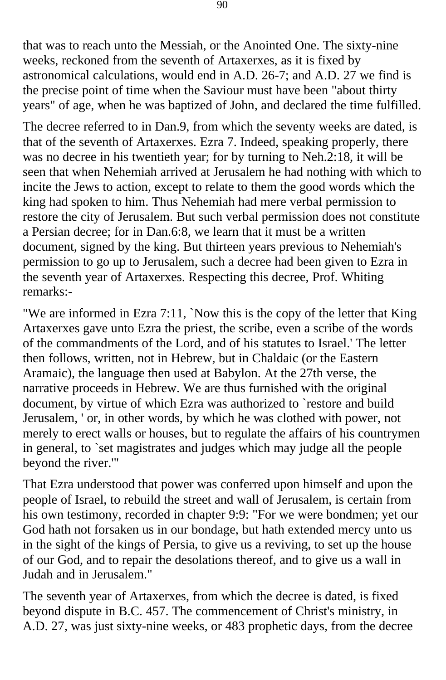that was to reach unto the Messiah, or the Anointed One. The sixty-nine weeks, reckoned from the seventh of Artaxerxes, as it is fixed by astronomical calculations, would end in A.D. 26-7; and A.D. 27 we find is the precise point of time when the Saviour must have been "about thirty years" of age, when he was baptized of John, and declared the time fulfilled.

The decree referred to in Dan.9, from which the seventy weeks are dated, is that of the seventh of Artaxerxes. Ezra 7. Indeed, speaking properly, there was no decree in his twentieth year; for by turning to Neh.2:18, it will be seen that when Nehemiah arrived at Jerusalem he had nothing with which to incite the Jews to action, except to relate to them the good words which the king had spoken to him. Thus Nehemiah had mere verbal permission to restore the city of Jerusalem. But such verbal permission does not constitute a Persian decree; for in Dan.6:8, we learn that it must be a written document, signed by the king. But thirteen years previous to Nehemiah's permission to go up to Jerusalem, such a decree had been given to Ezra in the seventh year of Artaxerxes. Respecting this decree, Prof. Whiting remarks:-

"We are informed in Ezra 7:11, `Now this is the copy of the letter that King Artaxerxes gave unto Ezra the priest, the scribe, even a scribe of the words of the commandments of the Lord, and of his statutes to Israel.' The letter then follows, written, not in Hebrew, but in Chaldaic (or the Eastern Aramaic), the language then used at Babylon. At the 27th verse, the narrative proceeds in Hebrew. We are thus furnished with the original document, by virtue of which Ezra was authorized to `restore and build Jerusalem, ' or, in other words, by which he was clothed with power, not merely to erect walls or houses, but to regulate the affairs of his countrymen in general, to `set magistrates and judges which may judge all the people beyond the river.'"

That Ezra understood that power was conferred upon himself and upon the people of Israel, to rebuild the street and wall of Jerusalem, is certain from his own testimony, recorded in chapter 9:9: "For we were bondmen; yet our God hath not forsaken us in our bondage, but hath extended mercy unto us in the sight of the kings of Persia, to give us a reviving, to set up the house of our God, and to repair the desolations thereof, and to give us a wall in Judah and in Jerusalem."

The seventh year of Artaxerxes, from which the decree is dated, is fixed beyond dispute in B.C. 457. The commencement of Christ's ministry, in A.D. 27, was just sixty-nine weeks, or 483 prophetic days, from the decree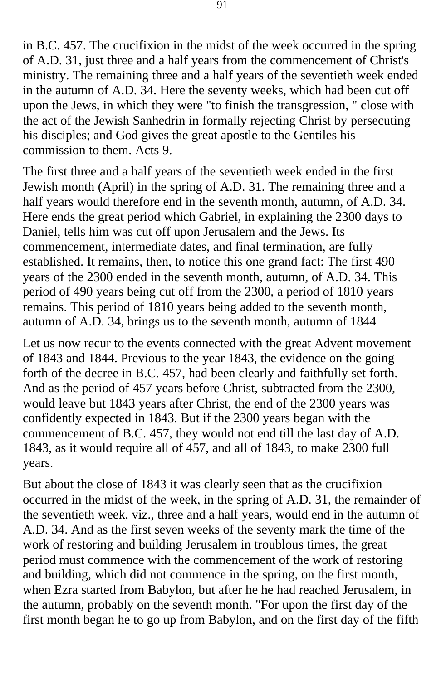in B.C. 457. The crucifixion in the midst of the week occurred in the spring of A.D. 31, just three and a half years from the commencement of Christ's ministry. The remaining three and a half years of the seventieth week ended in the autumn of A.D. 34. Here the seventy weeks, which had been cut off upon the Jews, in which they were "to finish the transgression, " close with the act of the Jewish Sanhedrin in formally rejecting Christ by persecuting his disciples; and God gives the great apostle to the Gentiles his commission to them. Acts 9.

The first three and a half years of the seventieth week ended in the first Jewish month (April) in the spring of A.D. 31. The remaining three and a half years would therefore end in the seventh month, autumn, of A.D. 34. Here ends the great period which Gabriel, in explaining the 2300 days to Daniel, tells him was cut off upon Jerusalem and the Jews. Its commencement, intermediate dates, and final termination, are fully established. It remains, then, to notice this one grand fact: The first 490 years of the 2300 ended in the seventh month, autumn, of A.D. 34. This period of 490 years being cut off from the 2300, a period of 1810 years remains. This period of 1810 years being added to the seventh month, autumn of A.D. 34, brings us to the seventh month, autumn of 1844

Let us now recur to the events connected with the great Advent movement of 1843 and 1844. Previous to the year 1843, the evidence on the going forth of the decree in B.C. 457, had been clearly and faithfully set forth. And as the period of 457 years before Christ, subtracted from the 2300, would leave but 1843 years after Christ, the end of the 2300 years was confidently expected in 1843. But if the 2300 years began with the commencement of B.C. 457, they would not end till the last day of A.D. 1843, as it would require all of 457, and all of 1843, to make 2300 full years.

But about the close of 1843 it was clearly seen that as the crucifixion occurred in the midst of the week, in the spring of A.D. 31, the remainder of the seventieth week, viz., three and a half years, would end in the autumn of A.D. 34. And as the first seven weeks of the seventy mark the time of the work of restoring and building Jerusalem in troublous times, the great period must commence with the commencement of the work of restoring and building, which did not commence in the spring, on the first month, when Ezra started from Babylon, but after he he had reached Jerusalem, in the autumn, probably on the seventh month. "For upon the first day of the first month began he to go up from Babylon, and on the first day of the fifth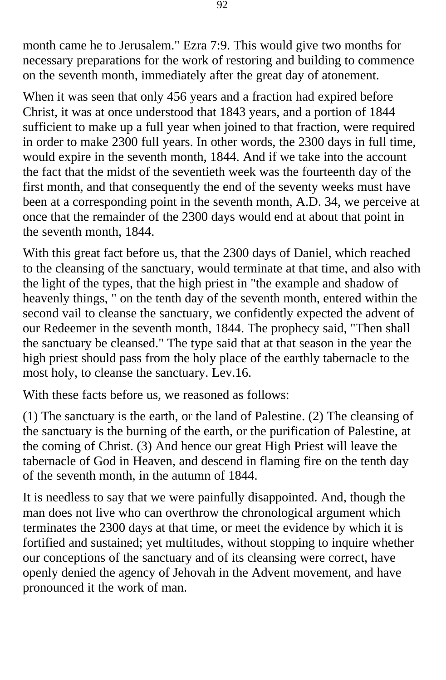month came he to Jerusalem." Ezra 7:9. This would give two months for necessary preparations for the work of restoring and building to commence on the seventh month, immediately after the great day of atonement.

When it was seen that only 456 years and a fraction had expired before Christ, it was at once understood that 1843 years, and a portion of 1844 sufficient to make up a full year when joined to that fraction, were required in order to make 2300 full years. In other words, the 2300 days in full time, would expire in the seventh month, 1844. And if we take into the account the fact that the midst of the seventieth week was the fourteenth day of the first month, and that consequently the end of the seventy weeks must have been at a corresponding point in the seventh month, A.D. 34, we perceive at once that the remainder of the 2300 days would end at about that point in the seventh month, 1844.

With this great fact before us, that the 2300 days of Daniel, which reached to the cleansing of the sanctuary, would terminate at that time, and also with the light of the types, that the high priest in "the example and shadow of heavenly things, " on the tenth day of the seventh month, entered within the second vail to cleanse the sanctuary, we confidently expected the advent of our Redeemer in the seventh month, 1844. The prophecy said, "Then shall the sanctuary be cleansed." The type said that at that season in the year the high priest should pass from the holy place of the earthly tabernacle to the most holy, to cleanse the sanctuary. Lev.16.

With these facts before us, we reasoned as follows:

(1) The sanctuary is the earth, or the land of Palestine. (2) The cleansing of the sanctuary is the burning of the earth, or the purification of Palestine, at the coming of Christ. (3) And hence our great High Priest will leave the tabernacle of God in Heaven, and descend in flaming fire on the tenth day of the seventh month, in the autumn of 1844.

It is needless to say that we were painfully disappointed. And, though the man does not live who can overthrow the chronological argument which terminates the 2300 days at that time, or meet the evidence by which it is fortified and sustained; yet multitudes, without stopping to inquire whether our conceptions of the sanctuary and of its cleansing were correct, have openly denied the agency of Jehovah in the Advent movement, and have pronounced it the work of man.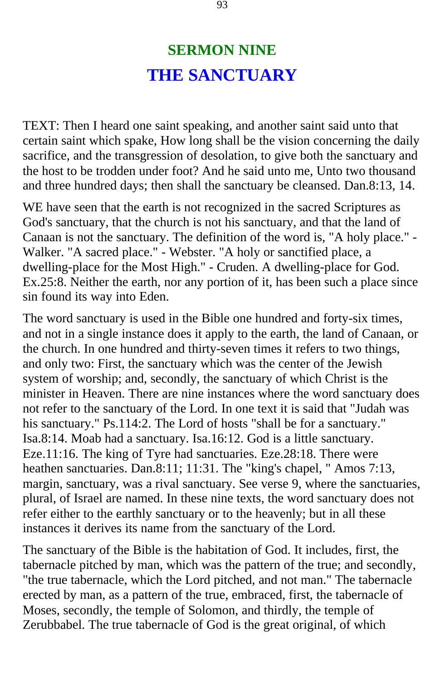# **SERMON NINE THE SANCTUARY**

TEXT: Then I heard one saint speaking, and another saint said unto that certain saint which spake, How long shall be the vision concerning the daily sacrifice, and the transgression of desolation, to give both the sanctuary and the host to be trodden under foot? And he said unto me, Unto two thousand and three hundred days; then shall the sanctuary be cleansed. Dan.8:13, 14.

WE have seen that the earth is not recognized in the sacred Scriptures as God's sanctuary, that the church is not his sanctuary, and that the land of Canaan is not the sanctuary. The definition of the word is, "A holy place." - Walker. "A sacred place." - Webster. "A holy or sanctified place, a dwelling-place for the Most High." - Cruden. A dwelling-place for God. Ex.25:8. Neither the earth, nor any portion of it, has been such a place since sin found its way into Eden.

The word sanctuary is used in the Bible one hundred and forty-six times, and not in a single instance does it apply to the earth, the land of Canaan, or the church. In one hundred and thirty-seven times it refers to two things, and only two: First, the sanctuary which was the center of the Jewish system of worship; and, secondly, the sanctuary of which Christ is the minister in Heaven. There are nine instances where the word sanctuary does not refer to the sanctuary of the Lord. In one text it is said that "Judah was his sanctuary." Ps.114:2. The Lord of hosts "shall be for a sanctuary." Isa.8:14. Moab had a sanctuary. Isa.16:12. God is a little sanctuary. Eze.11:16. The king of Tyre had sanctuaries. Eze.28:18. There were heathen sanctuaries. Dan.8:11; 11:31. The "king's chapel, " Amos 7:13, margin, sanctuary, was a rival sanctuary. See verse 9, where the sanctuaries, plural, of Israel are named. In these nine texts, the word sanctuary does not refer either to the earthly sanctuary or to the heavenly; but in all these instances it derives its name from the sanctuary of the Lord.

The sanctuary of the Bible is the habitation of God. It includes, first, the tabernacle pitched by man, which was the pattern of the true; and secondly, "the true tabernacle, which the Lord pitched, and not man." The tabernacle erected by man, as a pattern of the true, embraced, first, the tabernacle of Moses, secondly, the temple of Solomon, and thirdly, the temple of Zerubbabel. The true tabernacle of God is the great original, of which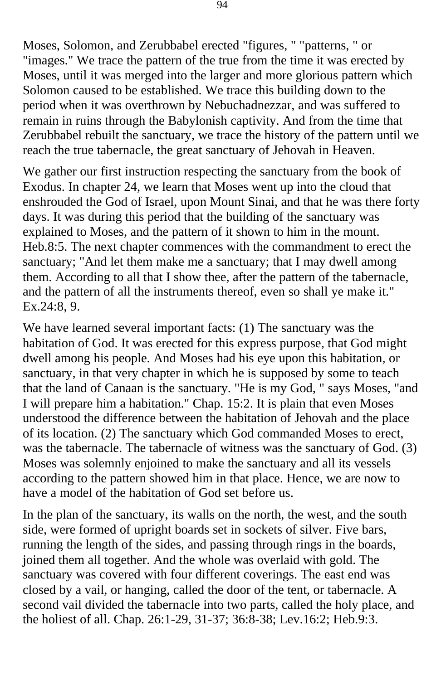Moses, Solomon, and Zerubbabel erected "figures, " "patterns, " or "images." We trace the pattern of the true from the time it was erected by Moses, until it was merged into the larger and more glorious pattern which Solomon caused to be established. We trace this building down to the period when it was overthrown by Nebuchadnezzar, and was suffered to remain in ruins through the Babylonish captivity. And from the time that Zerubbabel rebuilt the sanctuary, we trace the history of the pattern until we reach the true tabernacle, the great sanctuary of Jehovah in Heaven.

We gather our first instruction respecting the sanctuary from the book of Exodus. In chapter 24, we learn that Moses went up into the cloud that enshrouded the God of Israel, upon Mount Sinai, and that he was there forty days. It was during this period that the building of the sanctuary was explained to Moses, and the pattern of it shown to him in the mount. Heb.8:5. The next chapter commences with the commandment to erect the sanctuary; "And let them make me a sanctuary; that I may dwell among them. According to all that I show thee, after the pattern of the tabernacle, and the pattern of all the instruments thereof, even so shall ye make it." Ex.24:8, 9.

We have learned several important facts: (1) The sanctuary was the habitation of God. It was erected for this express purpose, that God might dwell among his people. And Moses had his eye upon this habitation, or sanctuary, in that very chapter in which he is supposed by some to teach that the land of Canaan is the sanctuary. "He is my God, " says Moses, "and I will prepare him a habitation." Chap. 15:2. It is plain that even Moses understood the difference between the habitation of Jehovah and the place of its location. (2) The sanctuary which God commanded Moses to erect, was the tabernacle. The tabernacle of witness was the sanctuary of God. (3) Moses was solemnly enjoined to make the sanctuary and all its vessels according to the pattern showed him in that place. Hence, we are now to have a model of the habitation of God set before us.

In the plan of the sanctuary, its walls on the north, the west, and the south side, were formed of upright boards set in sockets of silver. Five bars, running the length of the sides, and passing through rings in the boards, joined them all together. And the whole was overlaid with gold. The sanctuary was covered with four different coverings. The east end was closed by a vail, or hanging, called the door of the tent, or tabernacle. A second vail divided the tabernacle into two parts, called the holy place, and the holiest of all. Chap. 26:1-29, 31-37; 36:8-38; Lev.16:2; Heb.9:3.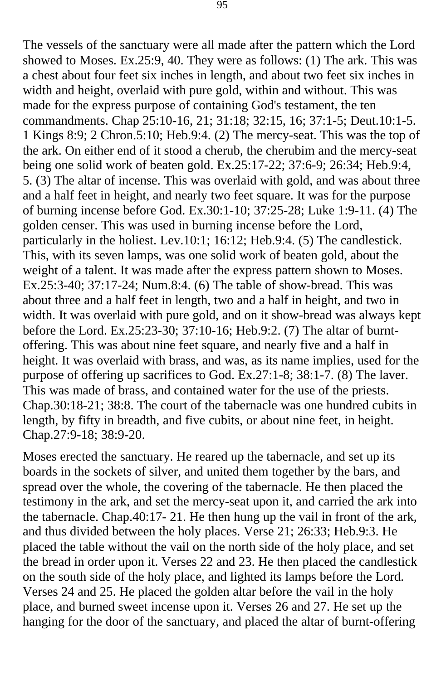The vessels of the sanctuary were all made after the pattern which the Lord showed to Moses. Ex.25:9, 40. They were as follows: (1) The ark. This was a chest about four feet six inches in length, and about two feet six inches in width and height, overlaid with pure gold, within and without. This was made for the express purpose of containing God's testament, the ten commandments. Chap 25:10-16, 21; 31:18; 32:15, 16; 37:1-5; Deut.10:1-5. 1 Kings 8:9; 2 Chron.5:10; Heb.9:4. (2) The mercy-seat. This was the top of the ark. On either end of it stood a cherub, the cherubim and the mercy-seat being one solid work of beaten gold. Ex.25:17-22; 37:6-9; 26:34; Heb.9:4, 5. (3) The altar of incense. This was overlaid with gold, and was about three and a half feet in height, and nearly two feet square. It was for the purpose of burning incense before God. Ex.30:1-10; 37:25-28; Luke 1:9-11. (4) The golden censer. This was used in burning incense before the Lord, particularly in the holiest. Lev.10:1; 16:12; Heb.9:4. (5) The candlestick. This, with its seven lamps, was one solid work of beaten gold, about the weight of a talent. It was made after the express pattern shown to Moses. Ex.25:3-40; 37:17-24; Num.8:4. (6) The table of show-bread. This was about three and a half feet in length, two and a half in height, and two in width. It was overlaid with pure gold, and on it show-bread was always kept before the Lord. Ex.25:23-30; 37:10-16; Heb.9:2. (7) The altar of burntoffering. This was about nine feet square, and nearly five and a half in height. It was overlaid with brass, and was, as its name implies, used for the purpose of offering up sacrifices to God. Ex.27:1-8; 38:1-7. (8) The laver. This was made of brass, and contained water for the use of the priests. Chap.30:18-21; 38:8. The court of the tabernacle was one hundred cubits in length, by fifty in breadth, and five cubits, or about nine feet, in height. Chap.27:9-18; 38:9-20.

Moses erected the sanctuary. He reared up the tabernacle, and set up its boards in the sockets of silver, and united them together by the bars, and spread over the whole, the covering of the tabernacle. He then placed the testimony in the ark, and set the mercy-seat upon it, and carried the ark into the tabernacle. Chap.40:17- 21. He then hung up the vail in front of the ark, and thus divided between the holy places. Verse 21; 26:33; Heb.9:3. He placed the table without the vail on the north side of the holy place, and set the bread in order upon it. Verses 22 and 23. He then placed the candlestick on the south side of the holy place, and lighted its lamps before the Lord. Verses 24 and 25. He placed the golden altar before the vail in the holy place, and burned sweet incense upon it. Verses 26 and 27. He set up the hanging for the door of the sanctuary, and placed the altar of burnt-offering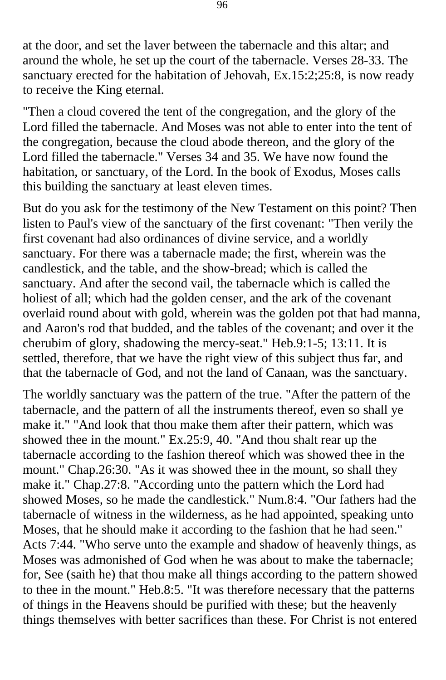at the door, and set the laver between the tabernacle and this altar; and around the whole, he set up the court of the tabernacle. Verses 28-33. The sanctuary erected for the habitation of Jehovah, Ex.15:2;25:8, is now ready to receive the King eternal.

"Then a cloud covered the tent of the congregation, and the glory of the Lord filled the tabernacle. And Moses was not able to enter into the tent of the congregation, because the cloud abode thereon, and the glory of the Lord filled the tabernacle." Verses 34 and 35. We have now found the habitation, or sanctuary, of the Lord. In the book of Exodus, Moses calls this building the sanctuary at least eleven times.

But do you ask for the testimony of the New Testament on this point? Then listen to Paul's view of the sanctuary of the first covenant: "Then verily the first covenant had also ordinances of divine service, and a worldly sanctuary. For there was a tabernacle made; the first, wherein was the candlestick, and the table, and the show-bread; which is called the sanctuary. And after the second vail, the tabernacle which is called the holiest of all; which had the golden censer, and the ark of the covenant overlaid round about with gold, wherein was the golden pot that had manna, and Aaron's rod that budded, and the tables of the covenant; and over it the cherubim of glory, shadowing the mercy-seat." Heb.9:1-5; 13:11. It is settled, therefore, that we have the right view of this subject thus far, and that the tabernacle of God, and not the land of Canaan, was the sanctuary.

The worldly sanctuary was the pattern of the true. "After the pattern of the tabernacle, and the pattern of all the instruments thereof, even so shall ye make it." "And look that thou make them after their pattern, which was showed thee in the mount." Ex.25:9, 40. "And thou shalt rear up the tabernacle according to the fashion thereof which was showed thee in the mount." Chap.26:30. "As it was showed thee in the mount, so shall they make it." Chap.27:8. "According unto the pattern which the Lord had showed Moses, so he made the candlestick." Num.8:4. "Our fathers had the tabernacle of witness in the wilderness, as he had appointed, speaking unto Moses, that he should make it according to the fashion that he had seen." Acts 7:44. "Who serve unto the example and shadow of heavenly things, as Moses was admonished of God when he was about to make the tabernacle; for, See (saith he) that thou make all things according to the pattern showed to thee in the mount." Heb.8:5. "It was therefore necessary that the patterns of things in the Heavens should be purified with these; but the heavenly things themselves with better sacrifices than these. For Christ is not entered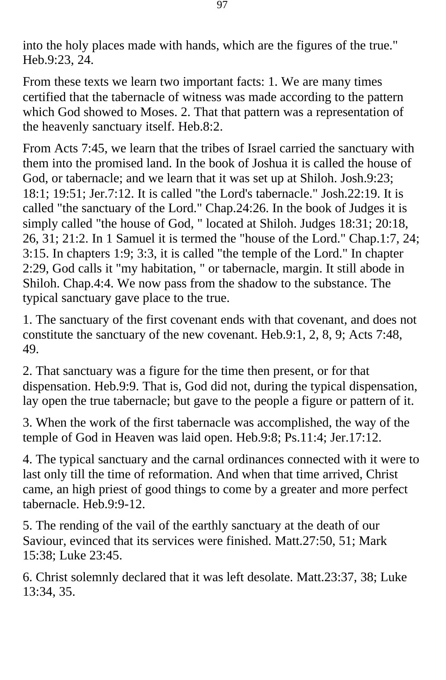into the holy places made with hands, which are the figures of the true." Heb.9:23, 24.

From these texts we learn two important facts: 1. We are many times certified that the tabernacle of witness was made according to the pattern which God showed to Moses. 2. That that pattern was a representation of the heavenly sanctuary itself. Heb.8:2.

From Acts 7:45, we learn that the tribes of Israel carried the sanctuary with them into the promised land. In the book of Joshua it is called the house of God, or tabernacle; and we learn that it was set up at Shiloh. Josh.9:23; 18:1; 19:51; Jer.7:12. It is called "the Lord's tabernacle." Josh.22:19. It is called "the sanctuary of the Lord." Chap.24:26. In the book of Judges it is simply called "the house of God, " located at Shiloh. Judges 18:31; 20:18, 26, 31; 21:2. In 1 Samuel it is termed the "house of the Lord." Chap.1:7, 24; 3:15. In chapters 1:9; 3:3, it is called "the temple of the Lord." In chapter 2:29, God calls it "my habitation, " or tabernacle, margin. It still abode in Shiloh. Chap.4:4. We now pass from the shadow to the substance. The typical sanctuary gave place to the true.

1. The sanctuary of the first covenant ends with that covenant, and does not constitute the sanctuary of the new covenant. Heb.9:1, 2, 8, 9; Acts 7:48, 49.

2. That sanctuary was a figure for the time then present, or for that dispensation. Heb.9:9. That is, God did not, during the typical dispensation, lay open the true tabernacle; but gave to the people a figure or pattern of it.

3. When the work of the first tabernacle was accomplished, the way of the temple of God in Heaven was laid open. Heb.9:8; Ps.11:4; Jer.17:12.

4. The typical sanctuary and the carnal ordinances connected with it were to last only till the time of reformation. And when that time arrived, Christ came, an high priest of good things to come by a greater and more perfect tabernacle. Heb.9:9-12.

5. The rending of the vail of the earthly sanctuary at the death of our Saviour, evinced that its services were finished. Matt.27:50, 51; Mark 15:38; Luke 23:45.

6. Christ solemnly declared that it was left desolate. Matt.23:37, 38; Luke 13:34, 35.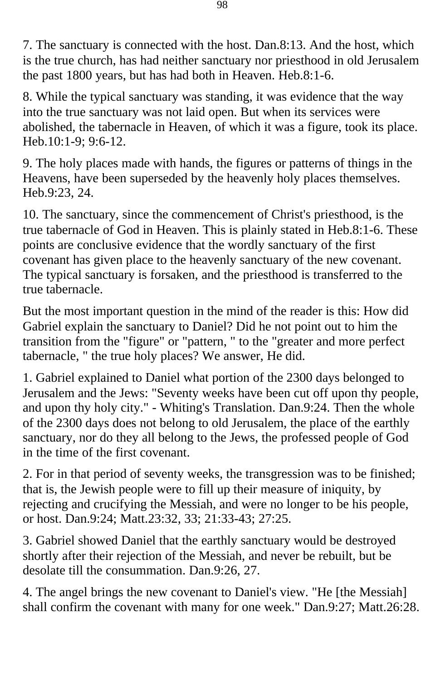7. The sanctuary is connected with the host. Dan.8:13. And the host, which is the true church, has had neither sanctuary nor priesthood in old Jerusalem the past 1800 years, but has had both in Heaven. Heb.8:1-6.

8. While the typical sanctuary was standing, it was evidence that the way into the true sanctuary was not laid open. But when its services were abolished, the tabernacle in Heaven, of which it was a figure, took its place. Heb.10:1-9; 9:6-12.

9. The holy places made with hands, the figures or patterns of things in the Heavens, have been superseded by the heavenly holy places themselves. Heb.9:23, 24.

10. The sanctuary, since the commencement of Christ's priesthood, is the true tabernacle of God in Heaven. This is plainly stated in Heb.8:1-6. These points are conclusive evidence that the wordly sanctuary of the first covenant has given place to the heavenly sanctuary of the new covenant. The typical sanctuary is forsaken, and the priesthood is transferred to the true tabernacle.

But the most important question in the mind of the reader is this: How did Gabriel explain the sanctuary to Daniel? Did he not point out to him the transition from the "figure" or "pattern, " to the "greater and more perfect tabernacle, " the true holy places? We answer, He did.

1. Gabriel explained to Daniel what portion of the 2300 days belonged to Jerusalem and the Jews: "Seventy weeks have been cut off upon thy people, and upon thy holy city." - Whiting's Translation. Dan.9:24. Then the whole of the 2300 days does not belong to old Jerusalem, the place of the earthly sanctuary, nor do they all belong to the Jews, the professed people of God in the time of the first covenant.

2. For in that period of seventy weeks, the transgression was to be finished; that is, the Jewish people were to fill up their measure of iniquity, by rejecting and crucifying the Messiah, and were no longer to be his people, or host. Dan.9:24; Matt.23:32, 33; 21:33-43; 27:25.

3. Gabriel showed Daniel that the earthly sanctuary would be destroyed shortly after their rejection of the Messiah, and never be rebuilt, but be desolate till the consummation. Dan.9:26, 27.

4. The angel brings the new covenant to Daniel's view. "He [the Messiah] shall confirm the covenant with many for one week." Dan.9:27; Matt.26:28.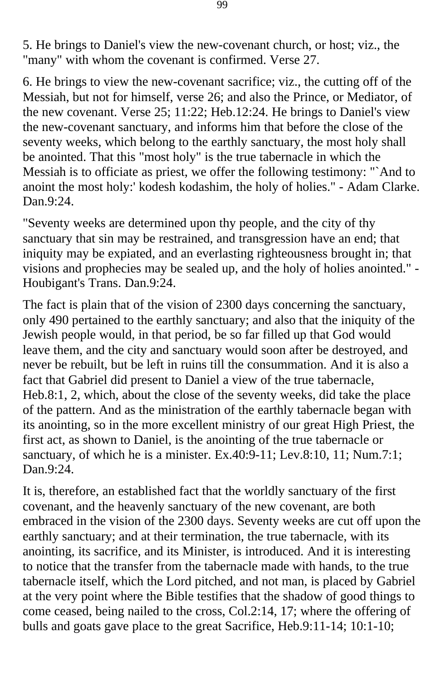5. He brings to Daniel's view the new-covenant church, or host; viz., the "many" with whom the covenant is confirmed. Verse 27.

6. He brings to view the new-covenant sacrifice; viz., the cutting off of the Messiah, but not for himself, verse 26; and also the Prince, or Mediator, of the new covenant. Verse 25; 11:22; Heb.12:24. He brings to Daniel's view the new-covenant sanctuary, and informs him that before the close of the seventy weeks, which belong to the earthly sanctuary, the most holy shall be anointed. That this "most holy" is the true tabernacle in which the Messiah is to officiate as priest, we offer the following testimony: "`And to anoint the most holy:' kodesh kodashim, the holy of holies." - Adam Clarke. Dan.9:24.

"Seventy weeks are determined upon thy people, and the city of thy sanctuary that sin may be restrained, and transgression have an end; that iniquity may be expiated, and an everlasting righteousness brought in; that visions and prophecies may be sealed up, and the holy of holies anointed." - Houbigant's Trans. Dan.9:24.

The fact is plain that of the vision of 2300 days concerning the sanctuary, only 490 pertained to the earthly sanctuary; and also that the iniquity of the Jewish people would, in that period, be so far filled up that God would leave them, and the city and sanctuary would soon after be destroyed, and never be rebuilt, but be left in ruins till the consummation. And it is also a fact that Gabriel did present to Daniel a view of the true tabernacle, Heb.8:1, 2, which, about the close of the seventy weeks, did take the place of the pattern. And as the ministration of the earthly tabernacle began with its anointing, so in the more excellent ministry of our great High Priest, the first act, as shown to Daniel, is the anointing of the true tabernacle or sanctuary, of which he is a minister. Ex.40:9-11; Lev.8:10, 11; Num.7:1; Dan.9:24.

It is, therefore, an established fact that the worldly sanctuary of the first covenant, and the heavenly sanctuary of the new covenant, are both embraced in the vision of the 2300 days. Seventy weeks are cut off upon the earthly sanctuary; and at their termination, the true tabernacle, with its anointing, its sacrifice, and its Minister, is introduced. And it is interesting to notice that the transfer from the tabernacle made with hands, to the true tabernacle itself, which the Lord pitched, and not man, is placed by Gabriel at the very point where the Bible testifies that the shadow of good things to come ceased, being nailed to the cross, Col.2:14, 17; where the offering of bulls and goats gave place to the great Sacrifice, Heb.9:11-14; 10:1-10;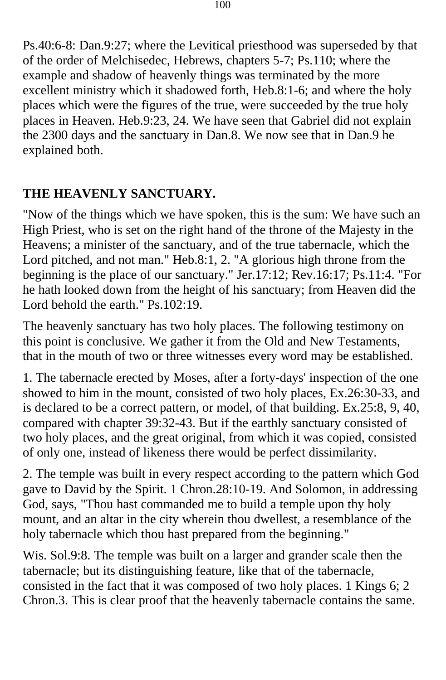Ps.40:6-8: Dan.9:27; where the Levitical priesthood was superseded by that of the order of Melchisedec, Hebrews, chapters 5-7; Ps.110; where the example and shadow of heavenly things was terminated by the more excellent ministry which it shadowed forth, Heb.8:1-6; and where the holy places which were the figures of the true, were succeeded by the true holy places in Heaven. Heb.9:23, 24. We have seen that Gabriel did not explain the 2300 days and the sanctuary in Dan.8. We now see that in Dan.9 he explained both.

## **THE HEAVENLY SANCTUARY.**

"Now of the things which we have spoken, this is the sum: We have such an High Priest, who is set on the right hand of the throne of the Majesty in the Heavens; a minister of the sanctuary, and of the true tabernacle, which the Lord pitched, and not man." Heb.8:1, 2. "A glorious high throne from the beginning is the place of our sanctuary." Jer.17:12; Rev.16:17; Ps.11:4. "For he hath looked down from the height of his sanctuary; from Heaven did the Lord behold the earth." Ps.102:19.

The heavenly sanctuary has two holy places. The following testimony on this point is conclusive. We gather it from the Old and New Testaments, that in the mouth of two or three witnesses every word may be established.

1. The tabernacle erected by Moses, after a forty-days' inspection of the one showed to him in the mount, consisted of two holy places, Ex.26:30-33, and is declared to be a correct pattern, or model, of that building. Ex.25:8, 9, 40, compared with chapter 39:32-43. But if the earthly sanctuary consisted of two holy places, and the great original, from which it was copied, consisted of only one, instead of likeness there would be perfect dissimilarity.

2. The temple was built in every respect according to the pattern which God gave to David by the Spirit. 1 Chron.28:10-19. And Solomon, in addressing God, says, "Thou hast commanded me to build a temple upon thy holy mount, and an altar in the city wherein thou dwellest, a resemblance of the holy tabernacle which thou hast prepared from the beginning."

Wis. Sol.9:8. The temple was built on a larger and grander scale then the tabernacle; but its distinguishing feature, like that of the tabernacle, consisted in the fact that it was composed of two holy places. 1 Kings 6; 2 Chron.3. This is clear proof that the heavenly tabernacle contains the same.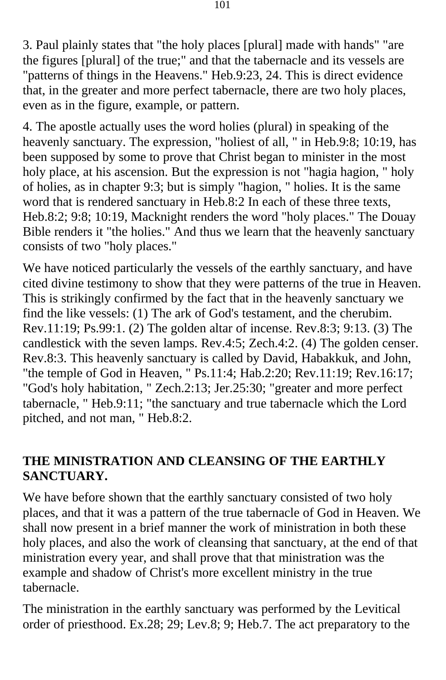3. Paul plainly states that "the holy places [plural] made with hands" "are the figures [plural] of the true;" and that the tabernacle and its vessels are "patterns of things in the Heavens." Heb.9:23, 24. This is direct evidence that, in the greater and more perfect tabernacle, there are two holy places, even as in the figure, example, or pattern.

4. The apostle actually uses the word holies (plural) in speaking of the heavenly sanctuary. The expression, "holiest of all, " in Heb.9:8; 10:19, has been supposed by some to prove that Christ began to minister in the most holy place, at his ascension. But the expression is not "hagia hagion, " holy of holies, as in chapter 9:3; but is simply "hagion, " holies. It is the same word that is rendered sanctuary in Heb.8:2 In each of these three texts, Heb.8:2; 9:8; 10:19, Macknight renders the word "holy places." The Douay Bible renders it "the holies." And thus we learn that the heavenly sanctuary consists of two "holy places."

We have noticed particularly the vessels of the earthly sanctuary, and have cited divine testimony to show that they were patterns of the true in Heaven. This is strikingly confirmed by the fact that in the heavenly sanctuary we find the like vessels: (1) The ark of God's testament, and the cherubim. Rev.11:19; Ps.99:1. (2) The golden altar of incense. Rev.8:3; 9:13. (3) The candlestick with the seven lamps. Rev.4:5; Zech.4:2. (4) The golden censer. Rev.8:3. This heavenly sanctuary is called by David, Habakkuk, and John, "the temple of God in Heaven, " Ps.11:4; Hab.2:20; Rev.11:19; Rev.16:17; "God's holy habitation, " Zech.2:13; Jer.25:30; "greater and more perfect tabernacle, " Heb.9:11; "the sanctuary and true tabernacle which the Lord pitched, and not man, " Heb.8:2.

#### **THE MINISTRATION AND CLEANSING OF THE EARTHLY SANCTUARY.**

We have before shown that the earthly sanctuary consisted of two holy places, and that it was a pattern of the true tabernacle of God in Heaven. We shall now present in a brief manner the work of ministration in both these holy places, and also the work of cleansing that sanctuary, at the end of that ministration every year, and shall prove that that ministration was the example and shadow of Christ's more excellent ministry in the true tabernacle.

The ministration in the earthly sanctuary was performed by the Levitical order of priesthood. Ex.28; 29; Lev.8; 9; Heb.7. The act preparatory to the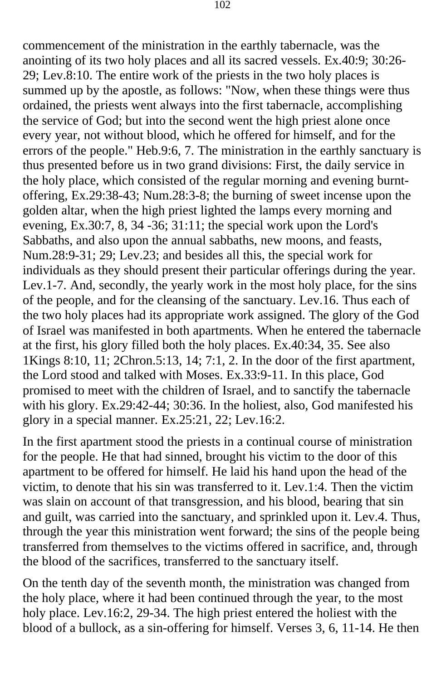commencement of the ministration in the earthly tabernacle, was the anointing of its two holy places and all its sacred vessels. Ex.40:9; 30:26- 29; Lev.8:10. The entire work of the priests in the two holy places is summed up by the apostle, as follows: "Now, when these things were thus ordained, the priests went always into the first tabernacle, accomplishing the service of God; but into the second went the high priest alone once every year, not without blood, which he offered for himself, and for the errors of the people." Heb.9:6, 7. The ministration in the earthly sanctuary is thus presented before us in two grand divisions: First, the daily service in the holy place, which consisted of the regular morning and evening burntoffering, Ex.29:38-43; Num.28:3-8; the burning of sweet incense upon the golden altar, when the high priest lighted the lamps every morning and evening, Ex.30:7, 8, 34 -36; 31:11; the special work upon the Lord's Sabbaths, and also upon the annual sabbaths, new moons, and feasts, Num.28:9-31; 29; Lev.23; and besides all this, the special work for individuals as they should present their particular offerings during the year. Lev.1-7. And, secondly, the yearly work in the most holy place, for the sins of the people, and for the cleansing of the sanctuary. Lev.16. Thus each of the two holy places had its appropriate work assigned. The glory of the God of Israel was manifested in both apartments. When he entered the tabernacle at the first, his glory filled both the holy places. Ex.40:34, 35. See also 1Kings 8:10, 11; 2Chron.5:13, 14; 7:1, 2. In the door of the first apartment, the Lord stood and talked with Moses. Ex.33:9-11. In this place, God promised to meet with the children of Israel, and to sanctify the tabernacle with his glory. Ex.29:42-44; 30:36. In the holiest, also, God manifested his glory in a special manner. Ex.25:21, 22; Lev.16:2.

In the first apartment stood the priests in a continual course of ministration for the people. He that had sinned, brought his victim to the door of this apartment to be offered for himself. He laid his hand upon the head of the victim, to denote that his sin was transferred to it. Lev.1:4. Then the victim was slain on account of that transgression, and his blood, bearing that sin and guilt, was carried into the sanctuary, and sprinkled upon it. Lev.4. Thus, through the year this ministration went forward; the sins of the people being transferred from themselves to the victims offered in sacrifice, and, through the blood of the sacrifices, transferred to the sanctuary itself.

On the tenth day of the seventh month, the ministration was changed from the holy place, where it had been continued through the year, to the most holy place. Lev.16:2, 29-34. The high priest entered the holiest with the blood of a bullock, as a sin-offering for himself. Verses 3, 6, 11-14. He then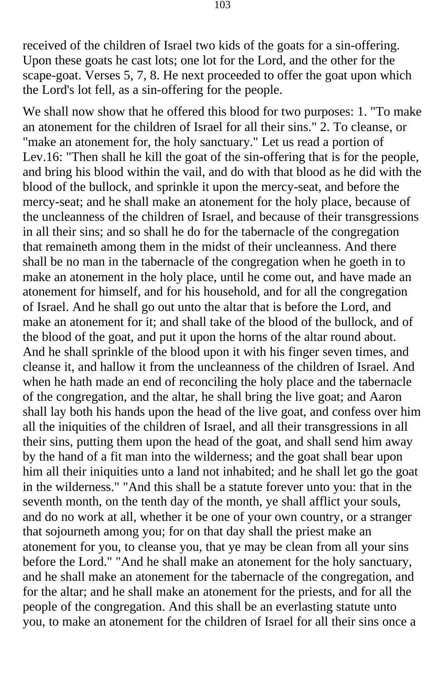received of the children of Israel two kids of the goats for a sin-offering. Upon these goats he cast lots; one lot for the Lord, and the other for the scape-goat. Verses 5, 7, 8. He next proceeded to offer the goat upon which the Lord's lot fell, as a sin-offering for the people.

We shall now show that he offered this blood for two purposes: 1. "To make an atonement for the children of Israel for all their sins." 2. To cleanse, or "make an atonement for, the holy sanctuary." Let us read a portion of Lev.16: "Then shall he kill the goat of the sin-offering that is for the people, and bring his blood within the vail, and do with that blood as he did with the blood of the bullock, and sprinkle it upon the mercy-seat, and before the mercy-seat; and he shall make an atonement for the holy place, because of the uncleanness of the children of Israel, and because of their transgressions in all their sins; and so shall he do for the tabernacle of the congregation that remaineth among them in the midst of their uncleanness. And there shall be no man in the tabernacle of the congregation when he goeth in to make an atonement in the holy place, until he come out, and have made an atonement for himself, and for his household, and for all the congregation of Israel. And he shall go out unto the altar that is before the Lord, and make an atonement for it; and shall take of the blood of the bullock, and of the blood of the goat, and put it upon the horns of the altar round about. And he shall sprinkle of the blood upon it with his finger seven times, and cleanse it, and hallow it from the uncleanness of the children of Israel. And when he hath made an end of reconciling the holy place and the tabernacle of the congregation, and the altar, he shall bring the live goat; and Aaron shall lay both his hands upon the head of the live goat, and confess over him all the iniquities of the children of Israel, and all their transgressions in all their sins, putting them upon the head of the goat, and shall send him away by the hand of a fit man into the wilderness; and the goat shall bear upon him all their iniquities unto a land not inhabited; and he shall let go the goat in the wilderness." "And this shall be a statute forever unto you: that in the seventh month, on the tenth day of the month, ye shall afflict your souls, and do no work at all, whether it be one of your own country, or a stranger that sojourneth among you; for on that day shall the priest make an atonement for you, to cleanse you, that ye may be clean from all your sins before the Lord." "And he shall make an atonement for the holy sanctuary, and he shall make an atonement for the tabernacle of the congregation, and for the altar; and he shall make an atonement for the priests, and for all the people of the congregation. And this shall be an everlasting statute unto you, to make an atonement for the children of Israel for all their sins once a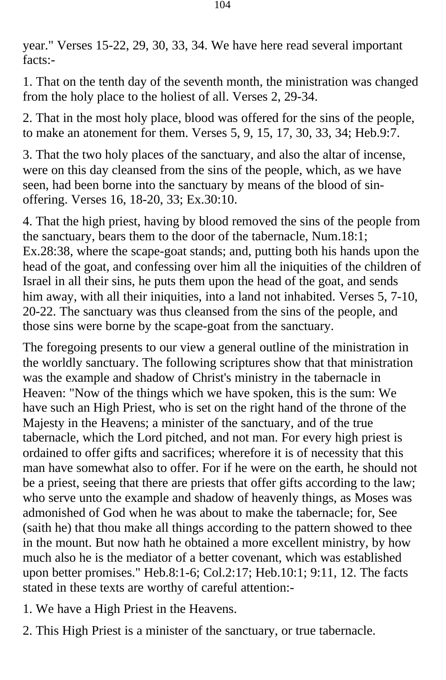year." Verses 15-22, 29, 30, 33, 34. We have here read several important facts:-

1. That on the tenth day of the seventh month, the ministration was changed from the holy place to the holiest of all. Verses 2, 29-34.

2. That in the most holy place, blood was offered for the sins of the people, to make an atonement for them. Verses 5, 9, 15, 17, 30, 33, 34; Heb.9:7.

3. That the two holy places of the sanctuary, and also the altar of incense, were on this day cleansed from the sins of the people, which, as we have seen, had been borne into the sanctuary by means of the blood of sinoffering. Verses 16, 18-20, 33; Ex.30:10.

4. That the high priest, having by blood removed the sins of the people from the sanctuary, bears them to the door of the tabernacle, Num.18:1; Ex.28:38, where the scape-goat stands; and, putting both his hands upon the head of the goat, and confessing over him all the iniquities of the children of Israel in all their sins, he puts them upon the head of the goat, and sends him away, with all their iniquities, into a land not inhabited. Verses 5, 7-10, 20-22. The sanctuary was thus cleansed from the sins of the people, and those sins were borne by the scape-goat from the sanctuary.

The foregoing presents to our view a general outline of the ministration in the worldly sanctuary. The following scriptures show that that ministration was the example and shadow of Christ's ministry in the tabernacle in Heaven: "Now of the things which we have spoken, this is the sum: We have such an High Priest, who is set on the right hand of the throne of the Majesty in the Heavens; a minister of the sanctuary, and of the true tabernacle, which the Lord pitched, and not man. For every high priest is ordained to offer gifts and sacrifices; wherefore it is of necessity that this man have somewhat also to offer. For if he were on the earth, he should not be a priest, seeing that there are priests that offer gifts according to the law; who serve unto the example and shadow of heavenly things, as Moses was admonished of God when he was about to make the tabernacle; for, See (saith he) that thou make all things according to the pattern showed to thee in the mount. But now hath he obtained a more excellent ministry, by how much also he is the mediator of a better covenant, which was established upon better promises." Heb.8:1-6; Col.2:17; Heb.10:1; 9:11, 12. The facts stated in these texts are worthy of careful attention:-

- 1. We have a High Priest in the Heavens.
- 2. This High Priest is a minister of the sanctuary, or true tabernacle.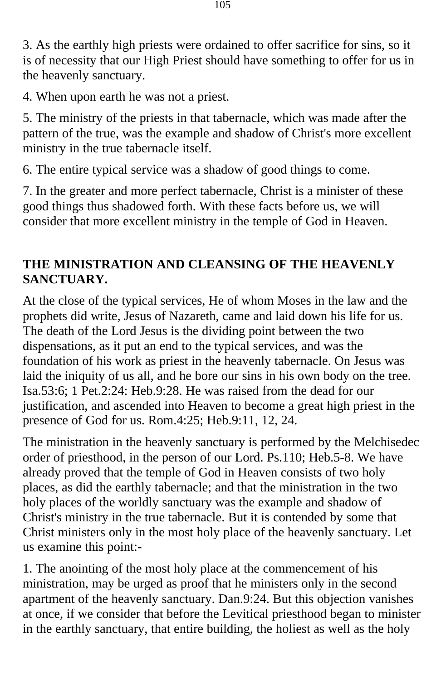3. As the earthly high priests were ordained to offer sacrifice for sins, so it is of necessity that our High Priest should have something to offer for us in the heavenly sanctuary.

4. When upon earth he was not a priest.

5. The ministry of the priests in that tabernacle, which was made after the pattern of the true, was the example and shadow of Christ's more excellent ministry in the true tabernacle itself.

6. The entire typical service was a shadow of good things to come.

7. In the greater and more perfect tabernacle, Christ is a minister of these good things thus shadowed forth. With these facts before us, we will consider that more excellent ministry in the temple of God in Heaven.

## **THE MINISTRATION AND CLEANSING OF THE HEAVENLY SANCTUARY.**

At the close of the typical services, He of whom Moses in the law and the prophets did write, Jesus of Nazareth, came and laid down his life for us. The death of the Lord Jesus is the dividing point between the two dispensations, as it put an end to the typical services, and was the foundation of his work as priest in the heavenly tabernacle. On Jesus was laid the iniquity of us all, and he bore our sins in his own body on the tree. Isa.53:6; 1 Pet.2:24: Heb.9:28. He was raised from the dead for our justification, and ascended into Heaven to become a great high priest in the presence of God for us. Rom.4:25; Heb.9:11, 12, 24.

The ministration in the heavenly sanctuary is performed by the Melchisedec order of priesthood, in the person of our Lord. Ps.110; Heb.5-8. We have already proved that the temple of God in Heaven consists of two holy places, as did the earthly tabernacle; and that the ministration in the two holy places of the worldly sanctuary was the example and shadow of Christ's ministry in the true tabernacle. But it is contended by some that Christ ministers only in the most holy place of the heavenly sanctuary. Let us examine this point:-

1. The anointing of the most holy place at the commencement of his ministration, may be urged as proof that he ministers only in the second apartment of the heavenly sanctuary. Dan.9:24. But this objection vanishes at once, if we consider that before the Levitical priesthood began to minister in the earthly sanctuary, that entire building, the holiest as well as the holy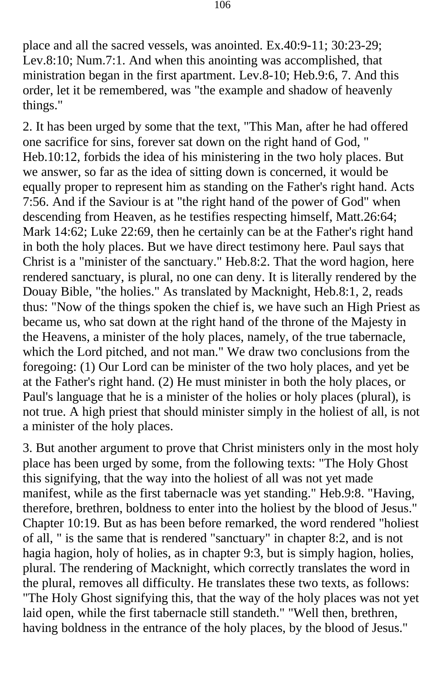place and all the sacred vessels, was anointed. Ex.40:9-11; 30:23-29; Lev.8:10; Num.7:1. And when this anointing was accomplished, that ministration began in the first apartment. Lev.8-10; Heb.9:6, 7. And this order, let it be remembered, was "the example and shadow of heavenly things."

2. It has been urged by some that the text, "This Man, after he had offered one sacrifice for sins, forever sat down on the right hand of God, " Heb.10:12, forbids the idea of his ministering in the two holy places. But we answer, so far as the idea of sitting down is concerned, it would be equally proper to represent him as standing on the Father's right hand. Acts 7:56. And if the Saviour is at "the right hand of the power of God" when descending from Heaven, as he testifies respecting himself, Matt.26:64; Mark 14:62; Luke 22:69, then he certainly can be at the Father's right hand in both the holy places. But we have direct testimony here. Paul says that Christ is a "minister of the sanctuary." Heb.8:2. That the word hagion, here rendered sanctuary, is plural, no one can deny. It is literally rendered by the Douay Bible, "the holies." As translated by Macknight, Heb.8:1, 2, reads thus: "Now of the things spoken the chief is, we have such an High Priest as became us, who sat down at the right hand of the throne of the Majesty in the Heavens, a minister of the holy places, namely, of the true tabernacle, which the Lord pitched, and not man." We draw two conclusions from the foregoing: (1) Our Lord can be minister of the two holy places, and yet be at the Father's right hand. (2) He must minister in both the holy places, or Paul's language that he is a minister of the holies or holy places (plural), is not true. A high priest that should minister simply in the holiest of all, is not a minister of the holy places.

3. But another argument to prove that Christ ministers only in the most holy place has been urged by some, from the following texts: "The Holy Ghost this signifying, that the way into the holiest of all was not yet made manifest, while as the first tabernacle was yet standing." Heb.9:8. "Having, therefore, brethren, boldness to enter into the holiest by the blood of Jesus." Chapter 10:19. But as has been before remarked, the word rendered "holiest of all, " is the same that is rendered "sanctuary" in chapter 8:2, and is not hagia hagion, holy of holies, as in chapter 9:3, but is simply hagion, holies, plural. The rendering of Macknight, which correctly translates the word in the plural, removes all difficulty. He translates these two texts, as follows: "The Holy Ghost signifying this, that the way of the holy places was not yet laid open, while the first tabernacle still standeth." "Well then, brethren, having boldness in the entrance of the holy places, by the blood of Jesus."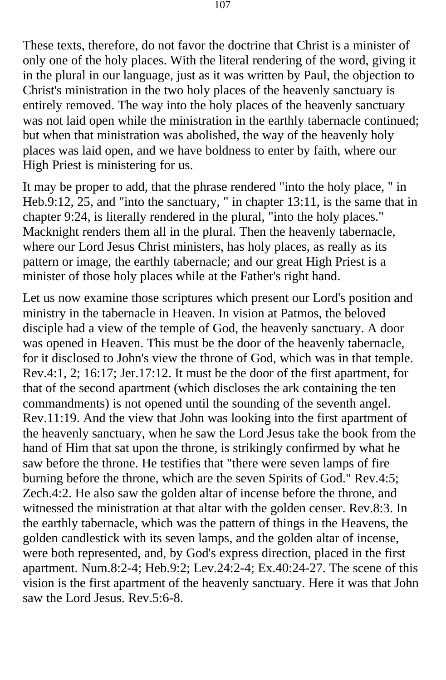These texts, therefore, do not favor the doctrine that Christ is a minister of only one of the holy places. With the literal rendering of the word, giving it in the plural in our language, just as it was written by Paul, the objection to Christ's ministration in the two holy places of the heavenly sanctuary is entirely removed. The way into the holy places of the heavenly sanctuary was not laid open while the ministration in the earthly tabernacle continued; but when that ministration was abolished, the way of the heavenly holy places was laid open, and we have boldness to enter by faith, where our High Priest is ministering for us.

It may be proper to add, that the phrase rendered "into the holy place, " in Heb.9:12, 25, and "into the sanctuary, " in chapter 13:11, is the same that in chapter 9:24, is literally rendered in the plural, "into the holy places." Macknight renders them all in the plural. Then the heavenly tabernacle, where our Lord Jesus Christ ministers, has holy places, as really as its pattern or image, the earthly tabernacle; and our great High Priest is a minister of those holy places while at the Father's right hand.

Let us now examine those scriptures which present our Lord's position and ministry in the tabernacle in Heaven. In vision at Patmos, the beloved disciple had a view of the temple of God, the heavenly sanctuary. A door was opened in Heaven. This must be the door of the heavenly tabernacle, for it disclosed to John's view the throne of God, which was in that temple. Rev.4:1, 2; 16:17; Jer.17:12. It must be the door of the first apartment, for that of the second apartment (which discloses the ark containing the ten commandments) is not opened until the sounding of the seventh angel. Rev.11:19. And the view that John was looking into the first apartment of the heavenly sanctuary, when he saw the Lord Jesus take the book from the hand of Him that sat upon the throne, is strikingly confirmed by what he saw before the throne. He testifies that "there were seven lamps of fire burning before the throne, which are the seven Spirits of God." Rev.4:5; Zech.4:2. He also saw the golden altar of incense before the throne, and witnessed the ministration at that altar with the golden censer. Rev.8:3. In the earthly tabernacle, which was the pattern of things in the Heavens, the golden candlestick with its seven lamps, and the golden altar of incense, were both represented, and, by God's express direction, placed in the first apartment. Num.8:2-4; Heb.9:2; Lev.24:2-4; Ex.40:24-27. The scene of this vision is the first apartment of the heavenly sanctuary. Here it was that John saw the Lord Jesus. Rev.5:6-8.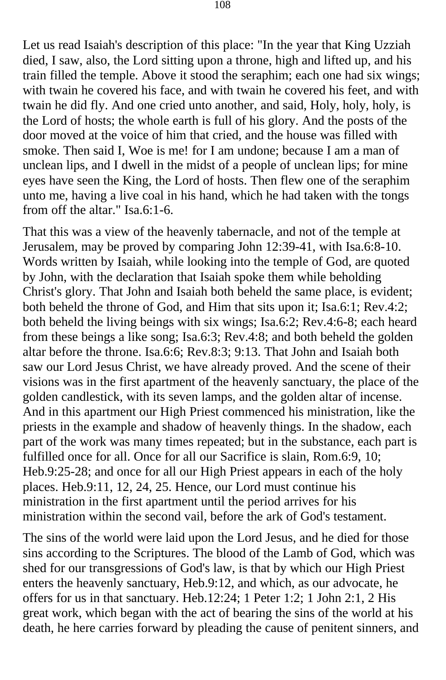Let us read Isaiah's description of this place: "In the year that King Uzziah died, I saw, also, the Lord sitting upon a throne, high and lifted up, and his train filled the temple. Above it stood the seraphim; each one had six wings; with twain he covered his face, and with twain he covered his feet, and with twain he did fly. And one cried unto another, and said, Holy, holy, holy, is the Lord of hosts; the whole earth is full of his glory. And the posts of the door moved at the voice of him that cried, and the house was filled with smoke. Then said I, Woe is me! for I am undone; because I am a man of unclean lips, and I dwell in the midst of a people of unclean lips; for mine eyes have seen the King, the Lord of hosts. Then flew one of the seraphim unto me, having a live coal in his hand, which he had taken with the tongs from off the altar." Isa.6:1-6.

That this was a view of the heavenly tabernacle, and not of the temple at Jerusalem, may be proved by comparing John 12:39-41, with Isa.6:8-10. Words written by Isaiah, while looking into the temple of God, are quoted by John, with the declaration that Isaiah spoke them while beholding Christ's glory. That John and Isaiah both beheld the same place, is evident; both beheld the throne of God, and Him that sits upon it; Isa.6:1; Rev.4:2; both beheld the living beings with six wings; Isa.6:2; Rev.4:6-8; each heard from these beings a like song; Isa.6:3; Rev.4:8; and both beheld the golden altar before the throne. Isa.6:6; Rev.8:3; 9:13. That John and Isaiah both saw our Lord Jesus Christ, we have already proved. And the scene of their visions was in the first apartment of the heavenly sanctuary, the place of the golden candlestick, with its seven lamps, and the golden altar of incense. And in this apartment our High Priest commenced his ministration, like the priests in the example and shadow of heavenly things. In the shadow, each part of the work was many times repeated; but in the substance, each part is fulfilled once for all. Once for all our Sacrifice is slain, Rom.6:9, 10; Heb.9:25-28; and once for all our High Priest appears in each of the holy places. Heb.9:11, 12, 24, 25. Hence, our Lord must continue his ministration in the first apartment until the period arrives for his ministration within the second vail, before the ark of God's testament.

The sins of the world were laid upon the Lord Jesus, and he died for those sins according to the Scriptures. The blood of the Lamb of God, which was shed for our transgressions of God's law, is that by which our High Priest enters the heavenly sanctuary, Heb.9:12, and which, as our advocate, he offers for us in that sanctuary. Heb.12:24; 1 Peter 1:2; 1 John 2:1, 2 His great work, which began with the act of bearing the sins of the world at his death, he here carries forward by pleading the cause of penitent sinners, and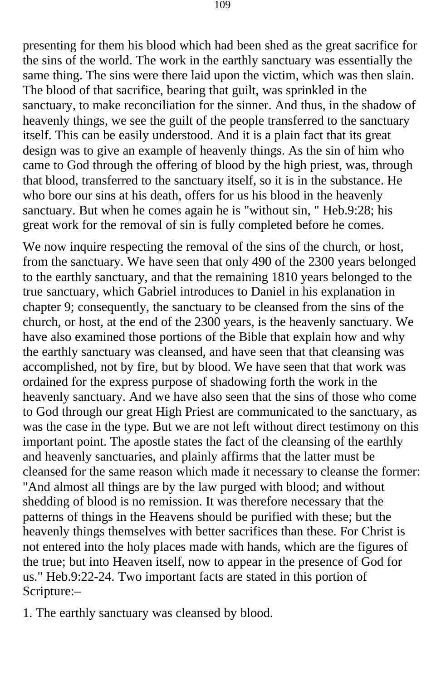presenting for them his blood which had been shed as the great sacrifice for the sins of the world. The work in the earthly sanctuary was essentially the same thing. The sins were there laid upon the victim, which was then slain. The blood of that sacrifice, bearing that guilt, was sprinkled in the sanctuary, to make reconciliation for the sinner. And thus, in the shadow of heavenly things, we see the guilt of the people transferred to the sanctuary itself. This can be easily understood. And it is a plain fact that its great design was to give an example of heavenly things. As the sin of him who came to God through the offering of blood by the high priest, was, through that blood, transferred to the sanctuary itself, so it is in the substance. He who bore our sins at his death, offers for us his blood in the heavenly sanctuary. But when he comes again he is "without sin, " Heb.9:28; his great work for the removal of sin is fully completed before he comes.

We now inquire respecting the removal of the sins of the church, or host, from the sanctuary. We have seen that only 490 of the 2300 years belonged to the earthly sanctuary, and that the remaining 1810 years belonged to the true sanctuary, which Gabriel introduces to Daniel in his explanation in chapter 9; consequently, the sanctuary to be cleansed from the sins of the church, or host, at the end of the 2300 years, is the heavenly sanctuary. We have also examined those portions of the Bible that explain how and why the earthly sanctuary was cleansed, and have seen that that cleansing was accomplished, not by fire, but by blood. We have seen that that work was ordained for the express purpose of shadowing forth the work in the heavenly sanctuary. And we have also seen that the sins of those who come to God through our great High Priest are communicated to the sanctuary, as was the case in the type. But we are not left without direct testimony on this important point. The apostle states the fact of the cleansing of the earthly and heavenly sanctuaries, and plainly affirms that the latter must be cleansed for the same reason which made it necessary to cleanse the former: "And almost all things are by the law purged with blood; and without shedding of blood is no remission. It was therefore necessary that the patterns of things in the Heavens should be purified with these; but the heavenly things themselves with better sacrifices than these. For Christ is not entered into the holy places made with hands, which are the figures of the true; but into Heaven itself, now to appear in the presence of God for us." Heb.9:22-24. Two important facts are stated in this portion of Scripture:–

1. The earthly sanctuary was cleansed by blood.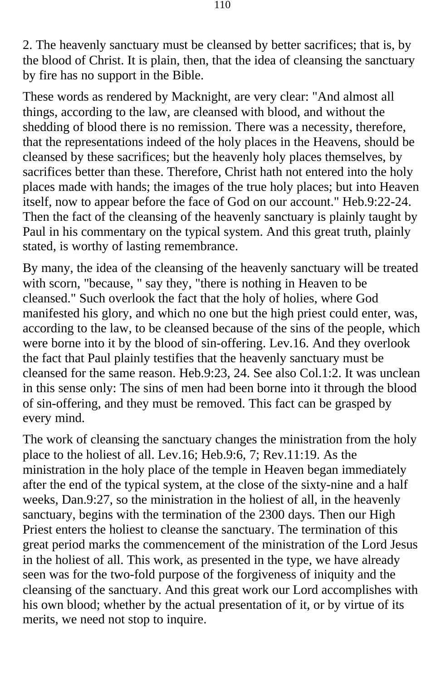2. The heavenly sanctuary must be cleansed by better sacrifices; that is, by the blood of Christ. It is plain, then, that the idea of cleansing the sanctuary by fire has no support in the Bible.

These words as rendered by Macknight, are very clear: "And almost all things, according to the law, are cleansed with blood, and without the shedding of blood there is no remission. There was a necessity, therefore, that the representations indeed of the holy places in the Heavens, should be cleansed by these sacrifices; but the heavenly holy places themselves, by sacrifices better than these. Therefore, Christ hath not entered into the holy places made with hands; the images of the true holy places; but into Heaven itself, now to appear before the face of God on our account." Heb.9:22-24. Then the fact of the cleansing of the heavenly sanctuary is plainly taught by Paul in his commentary on the typical system. And this great truth, plainly stated, is worthy of lasting remembrance.

By many, the idea of the cleansing of the heavenly sanctuary will be treated with scorn, "because, " say they, "there is nothing in Heaven to be cleansed." Such overlook the fact that the holy of holies, where God manifested his glory, and which no one but the high priest could enter, was, according to the law, to be cleansed because of the sins of the people, which were borne into it by the blood of sin-offering. Lev.16. And they overlook the fact that Paul plainly testifies that the heavenly sanctuary must be cleansed for the same reason. Heb.9:23, 24. See also Col.1:2. It was unclean in this sense only: The sins of men had been borne into it through the blood of sin-offering, and they must be removed. This fact can be grasped by every mind.

The work of cleansing the sanctuary changes the ministration from the holy place to the holiest of all. Lev.16; Heb.9:6, 7; Rev.11:19. As the ministration in the holy place of the temple in Heaven began immediately after the end of the typical system, at the close of the sixty-nine and a half weeks, Dan.9:27, so the ministration in the holiest of all, in the heavenly sanctuary, begins with the termination of the 2300 days. Then our High Priest enters the holiest to cleanse the sanctuary. The termination of this great period marks the commencement of the ministration of the Lord Jesus in the holiest of all. This work, as presented in the type, we have already seen was for the two-fold purpose of the forgiveness of iniquity and the cleansing of the sanctuary. And this great work our Lord accomplishes with his own blood; whether by the actual presentation of it, or by virtue of its merits, we need not stop to inquire.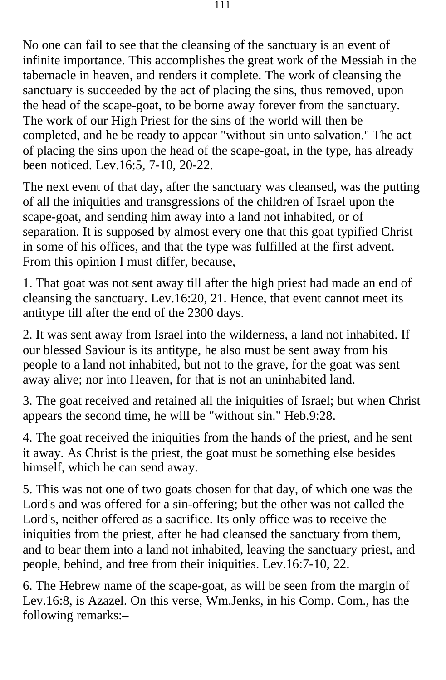No one can fail to see that the cleansing of the sanctuary is an event of infinite importance. This accomplishes the great work of the Messiah in the tabernacle in heaven, and renders it complete. The work of cleansing the sanctuary is succeeded by the act of placing the sins, thus removed, upon the head of the scape-goat, to be borne away forever from the sanctuary. The work of our High Priest for the sins of the world will then be completed, and he be ready to appear "without sin unto salvation." The act of placing the sins upon the head of the scape-goat, in the type, has already been noticed. Lev.16:5, 7-10, 20-22.

The next event of that day, after the sanctuary was cleansed, was the putting of all the iniquities and transgressions of the children of Israel upon the scape-goat, and sending him away into a land not inhabited, or of separation. It is supposed by almost every one that this goat typified Christ in some of his offices, and that the type was fulfilled at the first advent. From this opinion I must differ, because,

1. That goat was not sent away till after the high priest had made an end of cleansing the sanctuary. Lev.16:20, 21. Hence, that event cannot meet its antitype till after the end of the 2300 days.

2. It was sent away from Israel into the wilderness, a land not inhabited. If our blessed Saviour is its antitype, he also must be sent away from his people to a land not inhabited, but not to the grave, for the goat was sent away alive; nor into Heaven, for that is not an uninhabited land.

3. The goat received and retained all the iniquities of Israel; but when Christ appears the second time, he will be "without sin." Heb.9:28.

4. The goat received the iniquities from the hands of the priest, and he sent it away. As Christ is the priest, the goat must be something else besides himself, which he can send away.

5. This was not one of two goats chosen for that day, of which one was the Lord's and was offered for a sin-offering; but the other was not called the Lord's, neither offered as a sacrifice. Its only office was to receive the iniquities from the priest, after he had cleansed the sanctuary from them, and to bear them into a land not inhabited, leaving the sanctuary priest, and people, behind, and free from their iniquities. Lev.16:7-10, 22.

6. The Hebrew name of the scape-goat, as will be seen from the margin of Lev.16:8, is Azazel. On this verse, Wm.Jenks, in his Comp. Com., has the following remarks:–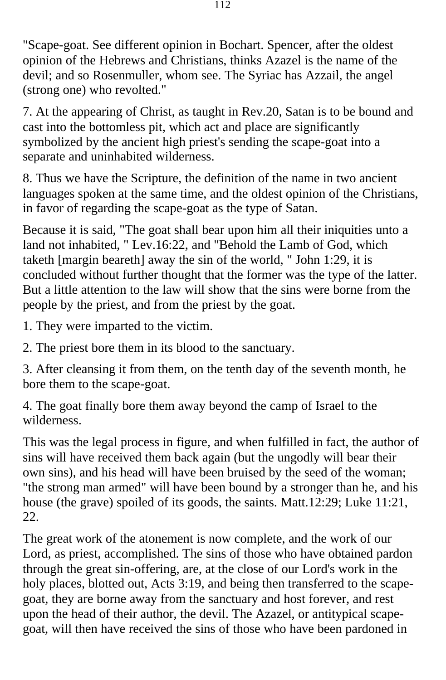"Scape-goat. See different opinion in Bochart. Spencer, after the oldest opinion of the Hebrews and Christians, thinks Azazel is the name of the devil; and so Rosenmuller, whom see. The Syriac has Azzail, the angel (strong one) who revolted."

7. At the appearing of Christ, as taught in Rev.20, Satan is to be bound and cast into the bottomless pit, which act and place are significantly symbolized by the ancient high priest's sending the scape-goat into a separate and uninhabited wilderness.

8. Thus we have the Scripture, the definition of the name in two ancient languages spoken at the same time, and the oldest opinion of the Christians, in favor of regarding the scape-goat as the type of Satan.

Because it is said, "The goat shall bear upon him all their iniquities unto a land not inhabited, " Lev.16:22, and "Behold the Lamb of God, which taketh [margin beareth] away the sin of the world, " John 1:29, it is concluded without further thought that the former was the type of the latter. But a little attention to the law will show that the sins were borne from the people by the priest, and from the priest by the goat.

1. They were imparted to the victim.

2. The priest bore them in its blood to the sanctuary.

3. After cleansing it from them, on the tenth day of the seventh month, he bore them to the scape-goat.

4. The goat finally bore them away beyond the camp of Israel to the wilderness.

This was the legal process in figure, and when fulfilled in fact, the author of sins will have received them back again (but the ungodly will bear their own sins), and his head will have been bruised by the seed of the woman; "the strong man armed" will have been bound by a stronger than he, and his house (the grave) spoiled of its goods, the saints. Matt.12:29; Luke 11:21, 22.

The great work of the atonement is now complete, and the work of our Lord, as priest, accomplished. The sins of those who have obtained pardon through the great sin-offering, are, at the close of our Lord's work in the holy places, blotted out, Acts 3:19, and being then transferred to the scapegoat, they are borne away from the sanctuary and host forever, and rest upon the head of their author, the devil. The Azazel, or antitypical scapegoat, will then have received the sins of those who have been pardoned in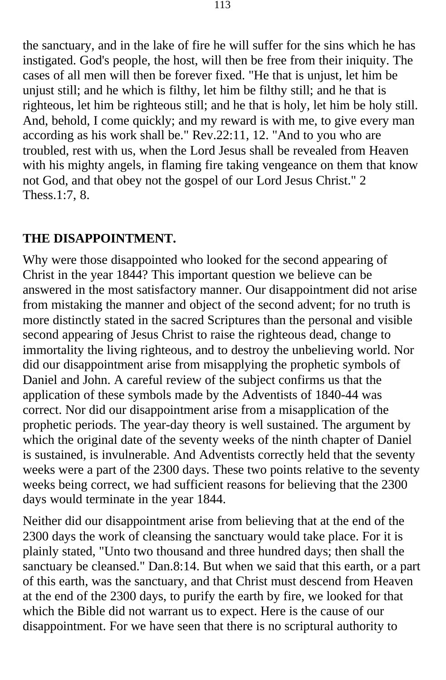the sanctuary, and in the lake of fire he will suffer for the sins which he has instigated. God's people, the host, will then be free from their iniquity. The cases of all men will then be forever fixed. "He that is unjust, let him be unjust still; and he which is filthy, let him be filthy still; and he that is righteous, let him be righteous still; and he that is holy, let him be holy still. And, behold, I come quickly; and my reward is with me, to give every man according as his work shall be." Rev.22:11, 12. "And to you who are troubled, rest with us, when the Lord Jesus shall be revealed from Heaven with his mighty angels, in flaming fire taking vengeance on them that know not God, and that obey not the gospel of our Lord Jesus Christ." 2 Thess.1:7, 8.

## **THE DISAPPOINTMENT.**

Why were those disappointed who looked for the second appearing of Christ in the year 1844? This important question we believe can be answered in the most satisfactory manner. Our disappointment did not arise from mistaking the manner and object of the second advent; for no truth is more distinctly stated in the sacred Scriptures than the personal and visible second appearing of Jesus Christ to raise the righteous dead, change to immortality the living righteous, and to destroy the unbelieving world. Nor did our disappointment arise from misapplying the prophetic symbols of Daniel and John. A careful review of the subject confirms us that the application of these symbols made by the Adventists of 1840-44 was correct. Nor did our disappointment arise from a misapplication of the prophetic periods. The year-day theory is well sustained. The argument by which the original date of the seventy weeks of the ninth chapter of Daniel is sustained, is invulnerable. And Adventists correctly held that the seventy weeks were a part of the 2300 days. These two points relative to the seventy weeks being correct, we had sufficient reasons for believing that the 2300 days would terminate in the year 1844.

Neither did our disappointment arise from believing that at the end of the 2300 days the work of cleansing the sanctuary would take place. For it is plainly stated, "Unto two thousand and three hundred days; then shall the sanctuary be cleansed." Dan.8:14. But when we said that this earth, or a part of this earth, was the sanctuary, and that Christ must descend from Heaven at the end of the 2300 days, to purify the earth by fire, we looked for that which the Bible did not warrant us to expect. Here is the cause of our disappointment. For we have seen that there is no scriptural authority to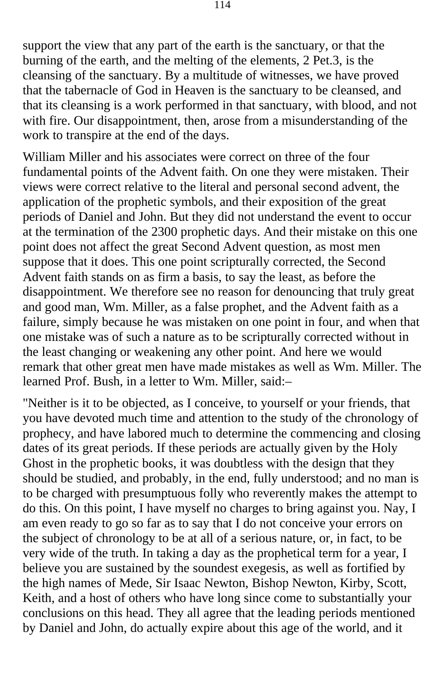support the view that any part of the earth is the sanctuary, or that the burning of the earth, and the melting of the elements, 2 Pet.3, is the cleansing of the sanctuary. By a multitude of witnesses, we have proved that the tabernacle of God in Heaven is the sanctuary to be cleansed, and that its cleansing is a work performed in that sanctuary, with blood, and not with fire. Our disappointment, then, arose from a misunderstanding of the work to transpire at the end of the days.

William Miller and his associates were correct on three of the four fundamental points of the Advent faith. On one they were mistaken. Their views were correct relative to the literal and personal second advent, the application of the prophetic symbols, and their exposition of the great periods of Daniel and John. But they did not understand the event to occur at the termination of the 2300 prophetic days. And their mistake on this one point does not affect the great Second Advent question, as most men suppose that it does. This one point scripturally corrected, the Second Advent faith stands on as firm a basis, to say the least, as before the disappointment. We therefore see no reason for denouncing that truly great and good man, Wm. Miller, as a false prophet, and the Advent faith as a failure, simply because he was mistaken on one point in four, and when that one mistake was of such a nature as to be scripturally corrected without in the least changing or weakening any other point. And here we would remark that other great men have made mistakes as well as Wm. Miller. The learned Prof. Bush, in a letter to Wm. Miller, said:–

"Neither is it to be objected, as I conceive, to yourself or your friends, that you have devoted much time and attention to the study of the chronology of prophecy, and have labored much to determine the commencing and closing dates of its great periods. If these periods are actually given by the Holy Ghost in the prophetic books, it was doubtless with the design that they should be studied, and probably, in the end, fully understood; and no man is to be charged with presumptuous folly who reverently makes the attempt to do this. On this point, I have myself no charges to bring against you. Nay, I am even ready to go so far as to say that I do not conceive your errors on the subject of chronology to be at all of a serious nature, or, in fact, to be very wide of the truth. In taking a day as the prophetical term for a year, I believe you are sustained by the soundest exegesis, as well as fortified by the high names of Mede, Sir Isaac Newton, Bishop Newton, Kirby, Scott, Keith, and a host of others who have long since come to substantially your conclusions on this head. They all agree that the leading periods mentioned by Daniel and John, do actually expire about this age of the world, and it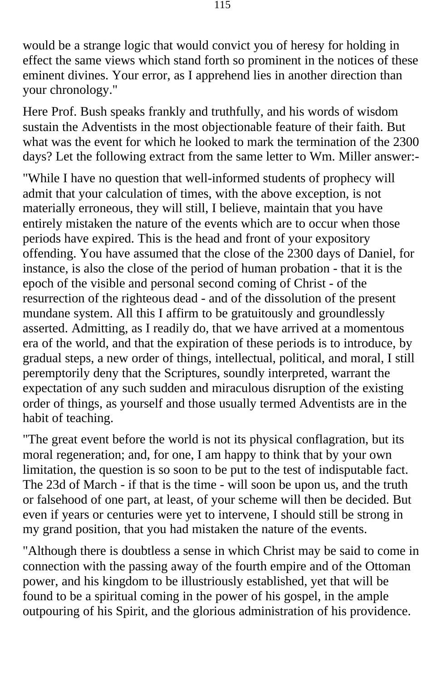would be a strange logic that would convict you of heresy for holding in effect the same views which stand forth so prominent in the notices of these eminent divines. Your error, as I apprehend lies in another direction than your chronology."

Here Prof. Bush speaks frankly and truthfully, and his words of wisdom sustain the Adventists in the most objectionable feature of their faith. But what was the event for which he looked to mark the termination of the 2300 days? Let the following extract from the same letter to Wm. Miller answer:-

"While I have no question that well-informed students of prophecy will admit that your calculation of times, with the above exception, is not materially erroneous, they will still, I believe, maintain that you have entirely mistaken the nature of the events which are to occur when those periods have expired. This is the head and front of your expository offending. You have assumed that the close of the 2300 days of Daniel, for instance, is also the close of the period of human probation - that it is the epoch of the visible and personal second coming of Christ - of the resurrection of the righteous dead - and of the dissolution of the present mundane system. All this I affirm to be gratuitously and groundlessly asserted. Admitting, as I readily do, that we have arrived at a momentous era of the world, and that the expiration of these periods is to introduce, by gradual steps, a new order of things, intellectual, political, and moral, I still peremptorily deny that the Scriptures, soundly interpreted, warrant the expectation of any such sudden and miraculous disruption of the existing order of things, as yourself and those usually termed Adventists are in the habit of teaching.

"The great event before the world is not its physical conflagration, but its moral regeneration; and, for one, I am happy to think that by your own limitation, the question is so soon to be put to the test of indisputable fact. The 23d of March - if that is the time - will soon be upon us, and the truth or falsehood of one part, at least, of your scheme will then be decided. But even if years or centuries were yet to intervene, I should still be strong in my grand position, that you had mistaken the nature of the events.

"Although there is doubtless a sense in which Christ may be said to come in connection with the passing away of the fourth empire and of the Ottoman power, and his kingdom to be illustriously established, yet that will be found to be a spiritual coming in the power of his gospel, in the ample outpouring of his Spirit, and the glorious administration of his providence.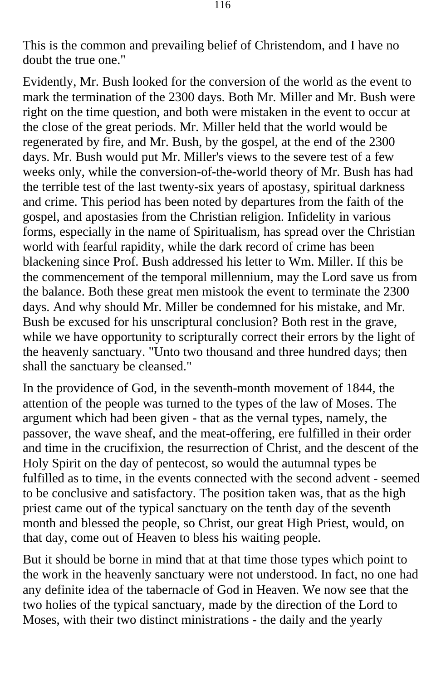This is the common and prevailing belief of Christendom, and I have no doubt the true one."

Evidently, Mr. Bush looked for the conversion of the world as the event to mark the termination of the 2300 days. Both Mr. Miller and Mr. Bush were right on the time question, and both were mistaken in the event to occur at the close of the great periods. Mr. Miller held that the world would be regenerated by fire, and Mr. Bush, by the gospel, at the end of the 2300 days. Mr. Bush would put Mr. Miller's views to the severe test of a few weeks only, while the conversion-of-the-world theory of Mr. Bush has had the terrible test of the last twenty-six years of apostasy, spiritual darkness and crime. This period has been noted by departures from the faith of the gospel, and apostasies from the Christian religion. Infidelity in various forms, especially in the name of Spiritualism, has spread over the Christian world with fearful rapidity, while the dark record of crime has been blackening since Prof. Bush addressed his letter to Wm. Miller. If this be the commencement of the temporal millennium, may the Lord save us from the balance. Both these great men mistook the event to terminate the 2300 days. And why should Mr. Miller be condemned for his mistake, and Mr. Bush be excused for his unscriptural conclusion? Both rest in the grave, while we have opportunity to scripturally correct their errors by the light of the heavenly sanctuary. "Unto two thousand and three hundred days; then shall the sanctuary be cleansed."

In the providence of God, in the seventh-month movement of 1844, the attention of the people was turned to the types of the law of Moses. The argument which had been given - that as the vernal types, namely, the passover, the wave sheaf, and the meat-offering, ere fulfilled in their order and time in the crucifixion, the resurrection of Christ, and the descent of the Holy Spirit on the day of pentecost, so would the autumnal types be fulfilled as to time, in the events connected with the second advent - seemed to be conclusive and satisfactory. The position taken was, that as the high priest came out of the typical sanctuary on the tenth day of the seventh month and blessed the people, so Christ, our great High Priest, would, on that day, come out of Heaven to bless his waiting people.

But it should be borne in mind that at that time those types which point to the work in the heavenly sanctuary were not understood. In fact, no one had any definite idea of the tabernacle of God in Heaven. We now see that the two holies of the typical sanctuary, made by the direction of the Lord to Moses, with their two distinct ministrations - the daily and the yearly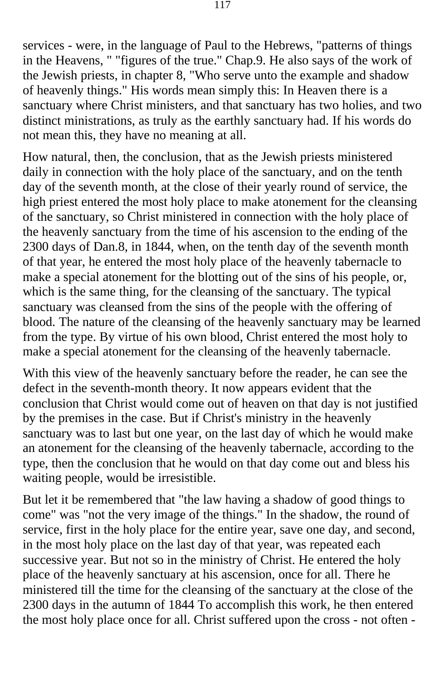services - were, in the language of Paul to the Hebrews, "patterns of things in the Heavens, " "figures of the true." Chap.9. He also says of the work of the Jewish priests, in chapter 8, "Who serve unto the example and shadow of heavenly things." His words mean simply this: In Heaven there is a sanctuary where Christ ministers, and that sanctuary has two holies, and two distinct ministrations, as truly as the earthly sanctuary had. If his words do not mean this, they have no meaning at all.

How natural, then, the conclusion, that as the Jewish priests ministered daily in connection with the holy place of the sanctuary, and on the tenth day of the seventh month, at the close of their yearly round of service, the high priest entered the most holy place to make atonement for the cleansing of the sanctuary, so Christ ministered in connection with the holy place of the heavenly sanctuary from the time of his ascension to the ending of the 2300 days of Dan.8, in 1844, when, on the tenth day of the seventh month of that year, he entered the most holy place of the heavenly tabernacle to make a special atonement for the blotting out of the sins of his people, or, which is the same thing, for the cleansing of the sanctuary. The typical sanctuary was cleansed from the sins of the people with the offering of blood. The nature of the cleansing of the heavenly sanctuary may be learned from the type. By virtue of his own blood, Christ entered the most holy to make a special atonement for the cleansing of the heavenly tabernacle.

With this view of the heavenly sanctuary before the reader, he can see the defect in the seventh-month theory. It now appears evident that the conclusion that Christ would come out of heaven on that day is not justified by the premises in the case. But if Christ's ministry in the heavenly sanctuary was to last but one year, on the last day of which he would make an atonement for the cleansing of the heavenly tabernacle, according to the type, then the conclusion that he would on that day come out and bless his waiting people, would be irresistible.

But let it be remembered that "the law having a shadow of good things to come" was "not the very image of the things." In the shadow, the round of service, first in the holy place for the entire year, save one day, and second, in the most holy place on the last day of that year, was repeated each successive year. But not so in the ministry of Christ. He entered the holy place of the heavenly sanctuary at his ascension, once for all. There he ministered till the time for the cleansing of the sanctuary at the close of the 2300 days in the autumn of 1844 To accomplish this work, he then entered the most holy place once for all. Christ suffered upon the cross - not often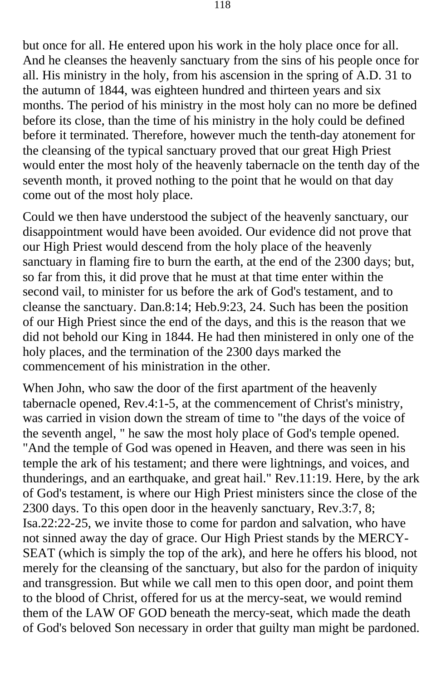but once for all. He entered upon his work in the holy place once for all. And he cleanses the heavenly sanctuary from the sins of his people once for all. His ministry in the holy, from his ascension in the spring of A.D. 31 to the autumn of 1844, was eighteen hundred and thirteen years and six months. The period of his ministry in the most holy can no more be defined before its close, than the time of his ministry in the holy could be defined before it terminated. Therefore, however much the tenth-day atonement for the cleansing of the typical sanctuary proved that our great High Priest would enter the most holy of the heavenly tabernacle on the tenth day of the seventh month, it proved nothing to the point that he would on that day come out of the most holy place.

Could we then have understood the subject of the heavenly sanctuary, our disappointment would have been avoided. Our evidence did not prove that our High Priest would descend from the holy place of the heavenly sanctuary in flaming fire to burn the earth, at the end of the 2300 days; but, so far from this, it did prove that he must at that time enter within the second vail, to minister for us before the ark of God's testament, and to cleanse the sanctuary. Dan.8:14; Heb.9:23, 24. Such has been the position of our High Priest since the end of the days, and this is the reason that we did not behold our King in 1844. He had then ministered in only one of the holy places, and the termination of the 2300 days marked the commencement of his ministration in the other.

When John, who saw the door of the first apartment of the heavenly tabernacle opened, Rev.4:1-5, at the commencement of Christ's ministry, was carried in vision down the stream of time to "the days of the voice of the seventh angel, " he saw the most holy place of God's temple opened. "And the temple of God was opened in Heaven, and there was seen in his temple the ark of his testament; and there were lightnings, and voices, and thunderings, and an earthquake, and great hail." Rev.11:19. Here, by the ark of God's testament, is where our High Priest ministers since the close of the 2300 days. To this open door in the heavenly sanctuary, Rev.3:7, 8; Isa.22:22-25, we invite those to come for pardon and salvation, who have not sinned away the day of grace. Our High Priest stands by the MERCY-SEAT (which is simply the top of the ark), and here he offers his blood, not merely for the cleansing of the sanctuary, but also for the pardon of iniquity and transgression. But while we call men to this open door, and point them to the blood of Christ, offered for us at the mercy-seat, we would remind them of the LAW OF GOD beneath the mercy-seat, which made the death of God's beloved Son necessary in order that guilty man might be pardoned.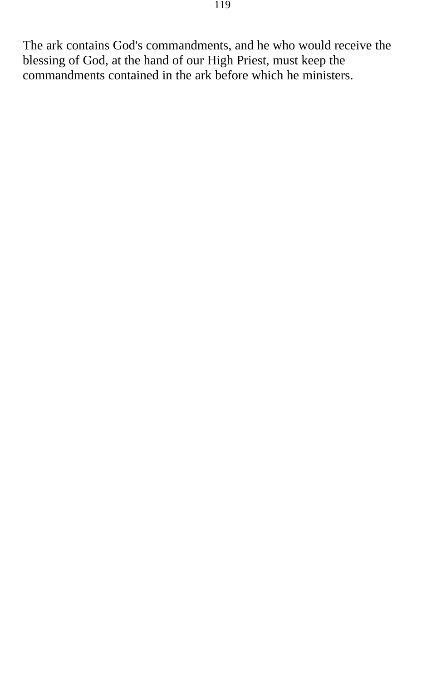The ark contains God's commandments, and he who would receive the blessing of God, at the hand of our High Priest, must keep the commandments contained in the ark before which he ministers.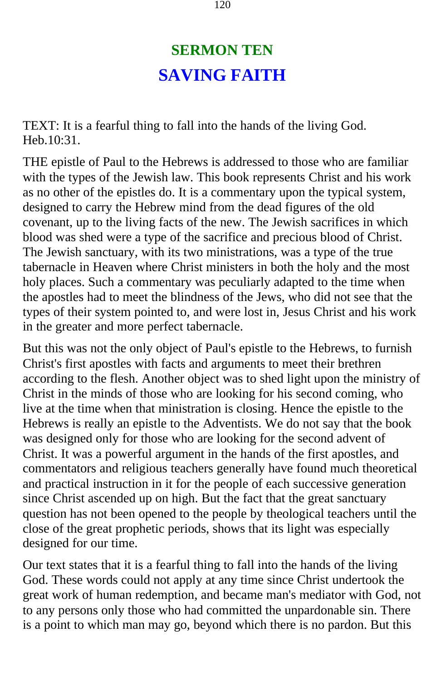## **SERMON TEN SAVING FAITH**

TEXT: It is a fearful thing to fall into the hands of the living God. Heb.10:31.

THE epistle of Paul to the Hebrews is addressed to those who are familiar with the types of the Jewish law. This book represents Christ and his work as no other of the epistles do. It is a commentary upon the typical system, designed to carry the Hebrew mind from the dead figures of the old covenant, up to the living facts of the new. The Jewish sacrifices in which blood was shed were a type of the sacrifice and precious blood of Christ. The Jewish sanctuary, with its two ministrations, was a type of the true tabernacle in Heaven where Christ ministers in both the holy and the most holy places. Such a commentary was peculiarly adapted to the time when the apostles had to meet the blindness of the Jews, who did not see that the types of their system pointed to, and were lost in, Jesus Christ and his work in the greater and more perfect tabernacle.

But this was not the only object of Paul's epistle to the Hebrews, to furnish Christ's first apostles with facts and arguments to meet their brethren according to the flesh. Another object was to shed light upon the ministry of Christ in the minds of those who are looking for his second coming, who live at the time when that ministration is closing. Hence the epistle to the Hebrews is really an epistle to the Adventists. We do not say that the book was designed only for those who are looking for the second advent of Christ. It was a powerful argument in the hands of the first apostles, and commentators and religious teachers generally have found much theoretical and practical instruction in it for the people of each successive generation since Christ ascended up on high. But the fact that the great sanctuary question has not been opened to the people by theological teachers until the close of the great prophetic periods, shows that its light was especially designed for our time.

Our text states that it is a fearful thing to fall into the hands of the living God. These words could not apply at any time since Christ undertook the great work of human redemption, and became man's mediator with God, not to any persons only those who had committed the unpardonable sin. There is a point to which man may go, beyond which there is no pardon. But this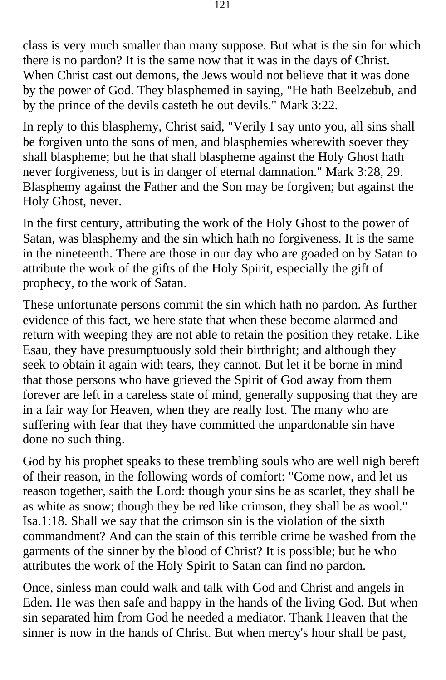class is very much smaller than many suppose. But what is the sin for which there is no pardon? It is the same now that it was in the days of Christ. When Christ cast out demons, the Jews would not believe that it was done by the power of God. They blasphemed in saying, "He hath Beelzebub, and by the prince of the devils casteth he out devils." Mark 3:22.

In reply to this blasphemy, Christ said, "Verily I say unto you, all sins shall be forgiven unto the sons of men, and blasphemies wherewith soever they shall blaspheme; but he that shall blaspheme against the Holy Ghost hath never forgiveness, but is in danger of eternal damnation." Mark 3:28, 29. Blasphemy against the Father and the Son may be forgiven; but against the Holy Ghost, never.

In the first century, attributing the work of the Holy Ghost to the power of Satan, was blasphemy and the sin which hath no forgiveness. It is the same in the nineteenth. There are those in our day who are goaded on by Satan to attribute the work of the gifts of the Holy Spirit, especially the gift of prophecy, to the work of Satan.

These unfortunate persons commit the sin which hath no pardon. As further evidence of this fact, we here state that when these become alarmed and return with weeping they are not able to retain the position they retake. Like Esau, they have presumptuously sold their birthright; and although they seek to obtain it again with tears, they cannot. But let it be borne in mind that those persons who have grieved the Spirit of God away from them forever are left in a careless state of mind, generally supposing that they are in a fair way for Heaven, when they are really lost. The many who are suffering with fear that they have committed the unpardonable sin have done no such thing.

God by his prophet speaks to these trembling souls who are well nigh bereft of their reason, in the following words of comfort: "Come now, and let us reason together, saith the Lord: though your sins be as scarlet, they shall be as white as snow; though they be red like crimson, they shall be as wool." Isa.1:18. Shall we say that the crimson sin is the violation of the sixth commandment? And can the stain of this terrible crime be washed from the garments of the sinner by the blood of Christ? It is possible; but he who attributes the work of the Holy Spirit to Satan can find no pardon.

Once, sinless man could walk and talk with God and Christ and angels in Eden. He was then safe and happy in the hands of the living God. But when sin separated him from God he needed a mediator. Thank Heaven that the sinner is now in the hands of Christ. But when mercy's hour shall be past,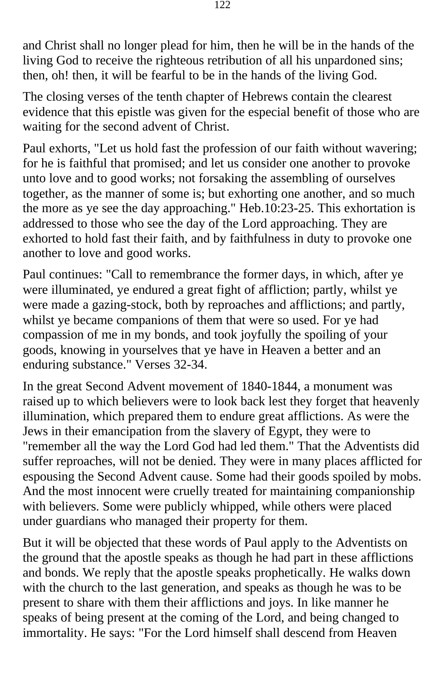and Christ shall no longer plead for him, then he will be in the hands of the living God to receive the righteous retribution of all his unpardoned sins; then, oh! then, it will be fearful to be in the hands of the living God.

The closing verses of the tenth chapter of Hebrews contain the clearest evidence that this epistle was given for the especial benefit of those who are waiting for the second advent of Christ.

Paul exhorts, "Let us hold fast the profession of our faith without wavering; for he is faithful that promised; and let us consider one another to provoke unto love and to good works; not forsaking the assembling of ourselves together, as the manner of some is; but exhorting one another, and so much the more as ye see the day approaching." Heb.10:23-25. This exhortation is addressed to those who see the day of the Lord approaching. They are exhorted to hold fast their faith, and by faithfulness in duty to provoke one another to love and good works.

Paul continues: "Call to remembrance the former days, in which, after ye were illuminated, ye endured a great fight of affliction; partly, whilst ye were made a gazing-stock, both by reproaches and afflictions; and partly, whilst ye became companions of them that were so used. For ye had compassion of me in my bonds, and took joyfully the spoiling of your goods, knowing in yourselves that ye have in Heaven a better and an enduring substance." Verses 32-34.

In the great Second Advent movement of 1840-1844, a monument was raised up to which believers were to look back lest they forget that heavenly illumination, which prepared them to endure great afflictions. As were the Jews in their emancipation from the slavery of Egypt, they were to "remember all the way the Lord God had led them." That the Adventists did suffer reproaches, will not be denied. They were in many places afflicted for espousing the Second Advent cause. Some had their goods spoiled by mobs. And the most innocent were cruelly treated for maintaining companionship with believers. Some were publicly whipped, while others were placed under guardians who managed their property for them.

But it will be objected that these words of Paul apply to the Adventists on the ground that the apostle speaks as though he had part in these afflictions and bonds. We reply that the apostle speaks prophetically. He walks down with the church to the last generation, and speaks as though he was to be present to share with them their afflictions and joys. In like manner he speaks of being present at the coming of the Lord, and being changed to immortality. He says: "For the Lord himself shall descend from Heaven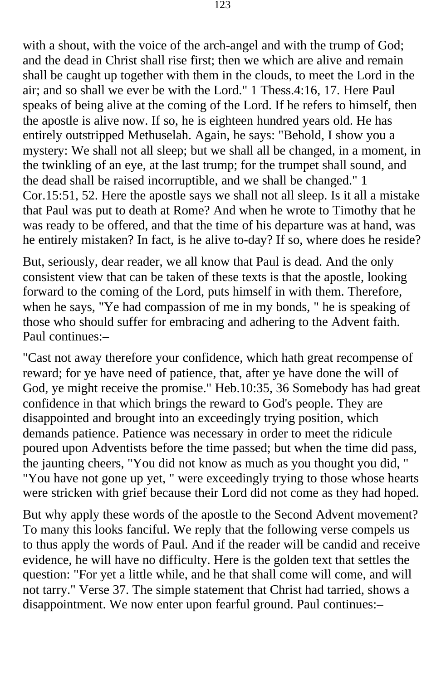with a shout, with the voice of the arch-angel and with the trump of God; and the dead in Christ shall rise first; then we which are alive and remain shall be caught up together with them in the clouds, to meet the Lord in the air; and so shall we ever be with the Lord." 1 Thess.4:16, 17. Here Paul speaks of being alive at the coming of the Lord. If he refers to himself, then the apostle is alive now. If so, he is eighteen hundred years old. He has entirely outstripped Methuselah. Again, he says: "Behold, I show you a mystery: We shall not all sleep; but we shall all be changed, in a moment, in the twinkling of an eye, at the last trump; for the trumpet shall sound, and the dead shall be raised incorruptible, and we shall be changed." 1 Cor.15:51, 52. Here the apostle says we shall not all sleep. Is it all a mistake that Paul was put to death at Rome? And when he wrote to Timothy that he was ready to be offered, and that the time of his departure was at hand, was he entirely mistaken? In fact, is he alive to-day? If so, where does he reside?

But, seriously, dear reader, we all know that Paul is dead. And the only consistent view that can be taken of these texts is that the apostle, looking forward to the coming of the Lord, puts himself in with them. Therefore, when he says, "Ye had compassion of me in my bonds, " he is speaking of those who should suffer for embracing and adhering to the Advent faith. Paul continues:–

"Cast not away therefore your confidence, which hath great recompense of reward; for ye have need of patience, that, after ye have done the will of God, ye might receive the promise." Heb.10:35, 36 Somebody has had great confidence in that which brings the reward to God's people. They are disappointed and brought into an exceedingly trying position, which demands patience. Patience was necessary in order to meet the ridicule poured upon Adventists before the time passed; but when the time did pass, the jaunting cheers, "You did not know as much as you thought you did, " "You have not gone up yet, " were exceedingly trying to those whose hearts were stricken with grief because their Lord did not come as they had hoped.

But why apply these words of the apostle to the Second Advent movement? To many this looks fanciful. We reply that the following verse compels us to thus apply the words of Paul. And if the reader will be candid and receive evidence, he will have no difficulty. Here is the golden text that settles the question: "For yet a little while, and he that shall come will come, and will not tarry." Verse 37. The simple statement that Christ had tarried, shows a disappointment. We now enter upon fearful ground. Paul continues:–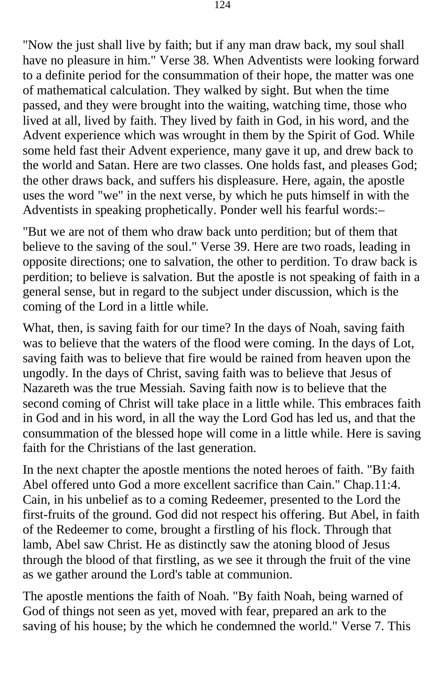"Now the just shall live by faith; but if any man draw back, my soul shall have no pleasure in him." Verse 38. When Adventists were looking forward to a definite period for the consummation of their hope, the matter was one of mathematical calculation. They walked by sight. But when the time passed, and they were brought into the waiting, watching time, those who lived at all, lived by faith. They lived by faith in God, in his word, and the Advent experience which was wrought in them by the Spirit of God. While some held fast their Advent experience, many gave it up, and drew back to the world and Satan. Here are two classes. One holds fast, and pleases God; the other draws back, and suffers his displeasure. Here, again, the apostle uses the word "we" in the next verse, by which he puts himself in with the Adventists in speaking prophetically. Ponder well his fearful words:–

"But we are not of them who draw back unto perdition; but of them that believe to the saving of the soul." Verse 39. Here are two roads, leading in opposite directions; one to salvation, the other to perdition. To draw back is perdition; to believe is salvation. But the apostle is not speaking of faith in a general sense, but in regard to the subject under discussion, which is the coming of the Lord in a little while.

What, then, is saving faith for our time? In the days of Noah, saving faith was to believe that the waters of the flood were coming. In the days of Lot, saving faith was to believe that fire would be rained from heaven upon the ungodly. In the days of Christ, saving faith was to believe that Jesus of Nazareth was the true Messiah. Saving faith now is to believe that the second coming of Christ will take place in a little while. This embraces faith in God and in his word, in all the way the Lord God has led us, and that the consummation of the blessed hope will come in a little while. Here is saving faith for the Christians of the last generation.

In the next chapter the apostle mentions the noted heroes of faith. "By faith Abel offered unto God a more excellent sacrifice than Cain." Chap.11:4. Cain, in his unbelief as to a coming Redeemer, presented to the Lord the first-fruits of the ground. God did not respect his offering. But Abel, in faith of the Redeemer to come, brought a firstling of his flock. Through that lamb, Abel saw Christ. He as distinctly saw the atoning blood of Jesus through the blood of that firstling, as we see it through the fruit of the vine as we gather around the Lord's table at communion.

The apostle mentions the faith of Noah. "By faith Noah, being warned of God of things not seen as yet, moved with fear, prepared an ark to the saving of his house; by the which he condemned the world." Verse 7. This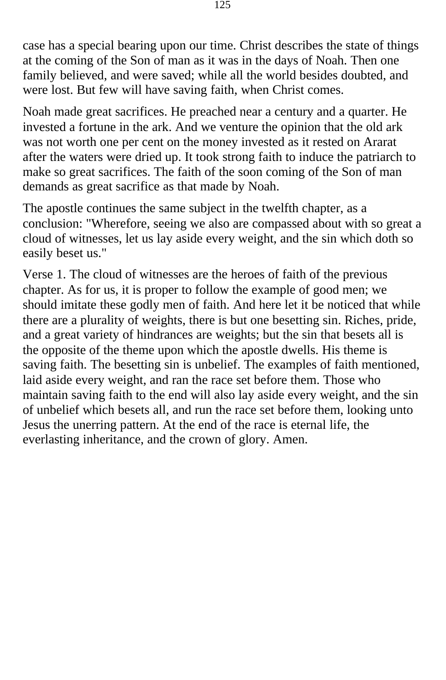case has a special bearing upon our time. Christ describes the state of things at the coming of the Son of man as it was in the days of Noah. Then one family believed, and were saved; while all the world besides doubted, and were lost. But few will have saving faith, when Christ comes.

Noah made great sacrifices. He preached near a century and a quarter. He invested a fortune in the ark. And we venture the opinion that the old ark was not worth one per cent on the money invested as it rested on Ararat after the waters were dried up. It took strong faith to induce the patriarch to make so great sacrifices. The faith of the soon coming of the Son of man demands as great sacrifice as that made by Noah.

The apostle continues the same subject in the twelfth chapter, as a conclusion: "Wherefore, seeing we also are compassed about with so great a cloud of witnesses, let us lay aside every weight, and the sin which doth so easily beset us."

Verse 1. The cloud of witnesses are the heroes of faith of the previous chapter. As for us, it is proper to follow the example of good men; we should imitate these godly men of faith. And here let it be noticed that while there are a plurality of weights, there is but one besetting sin. Riches, pride, and a great variety of hindrances are weights; but the sin that besets all is the opposite of the theme upon which the apostle dwells. His theme is saving faith. The besetting sin is unbelief. The examples of faith mentioned, laid aside every weight, and ran the race set before them. Those who maintain saving faith to the end will also lay aside every weight, and the sin of unbelief which besets all, and run the race set before them, looking unto Jesus the unerring pattern. At the end of the race is eternal life, the everlasting inheritance, and the crown of glory. Amen.